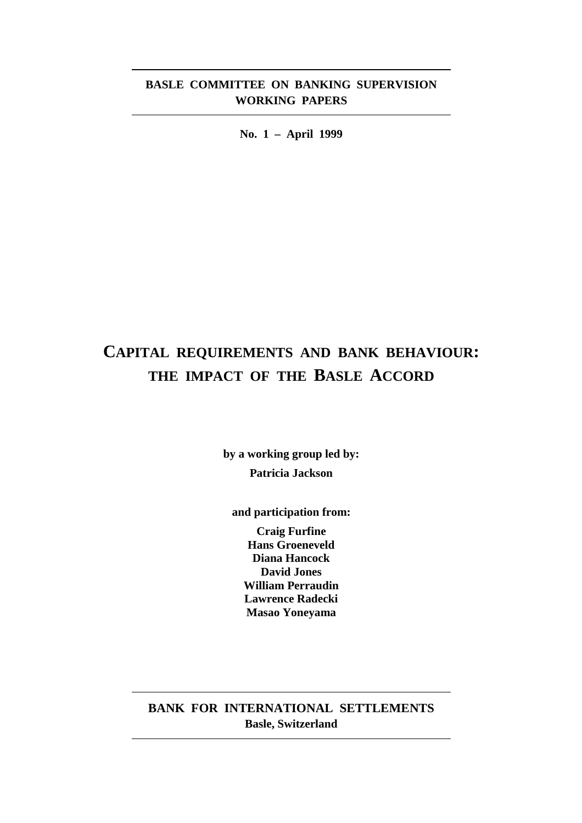# **BASLE COMMITTEE ON BANKING SUPERVISION WORKING PAPERS**

**No. 1 – April 1999**

# **CAPITAL REQUIREMENTS AND BANK BEHAVIOUR: THE IMPACT OF THE BASLE ACCORD**

**by a working group led by: Patricia Jackson**

**and participation from:**

**Craig Furfine Hans Groeneveld Diana Hancock David Jones William Perraudin Lawrence Radecki Masao Yoneyama**

**BANK FOR INTERNATIONAL SETTLEMENTS Basle, Switzerland**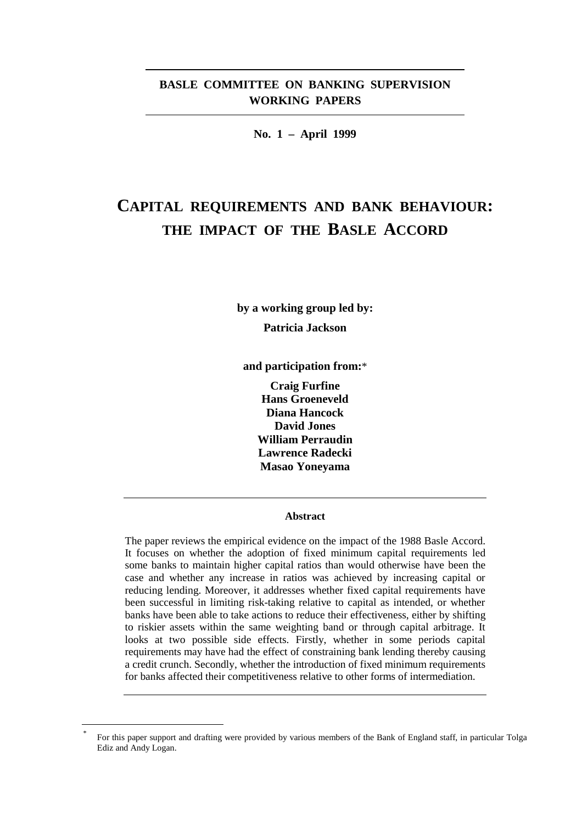# **BASLE COMMITTEE ON BANKING SUPERVISION WORKING PAPERS**

**No. 1 – April 1999**

# **CAPITAL REQUIREMENTS AND BANK BEHAVIOUR: THE IMPACT OF THE BASLE ACCORD**

**by a working group led by: Patricia Jackson**

**and participation from:**\*

**Craig Furfine Hans Groeneveld Diana Hancock David Jones William Perraudin Lawrence Radecki Masao Yoneyama**

#### **Abstract**

The paper reviews the empirical evidence on the impact of the 1988 Basle Accord. It focuses on whether the adoption of fixed minimum capital requirements led some banks to maintain higher capital ratios than would otherwise have been the case and whether any increase in ratios was achieved by increasing capital or reducing lending. Moreover, it addresses whether fixed capital requirements have been successful in limiting risk-taking relative to capital as intended, or whether banks have been able to take actions to reduce their effectiveness, either by shifting to riskier assets within the same weighting band or through capital arbitrage. It looks at two possible side effects. Firstly, whether in some periods capital requirements may have had the effect of constraining bank lending thereby causing a credit crunch. Secondly, whether the introduction of fixed minimum requirements for banks affected their competitiveness relative to other forms of intermediation.

For this paper support and drafting were provided by various members of the Bank of England staff, in particular Tolga Ediz and Andy Logan.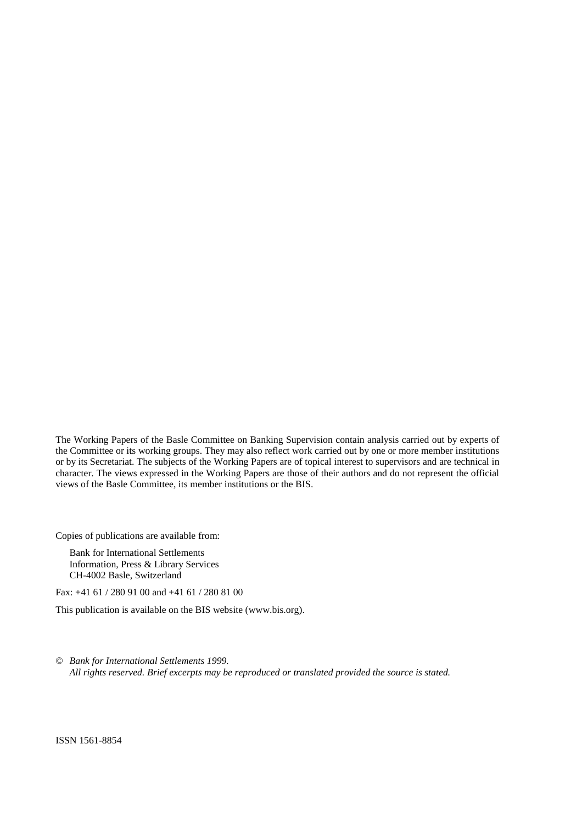The Working Papers of the Basle Committee on Banking Supervision contain analysis carried out by experts of the Committee or its working groups. They may also reflect work carried out by one or more member institutions or by its Secretariat. The subjects of the Working Papers are of topical interest to supervisors and are technical in character. The views expressed in the Working Papers are those of their authors and do not represent the official views of the Basle Committee, its member institutions or the BIS.

Copies of publications are available from:

Bank for International Settlements Information, Press & Library Services CH-4002 Basle, Switzerland

Fax: +41 61 / 280 91 00 and +41 61 / 280 81 00

This publication is available on the BIS website (www.bis.org).

© *Bank for International Settlements 1999. All rights reserved. Brief excerpts may be reproduced or translated provided the source is stated.*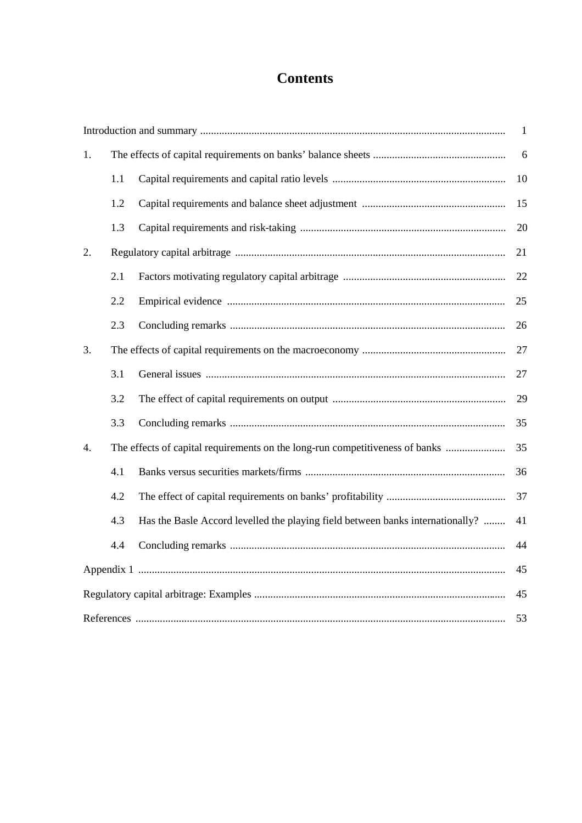# **Contents**

|    |     |                                                                                | $\mathbf{1}$ |
|----|-----|--------------------------------------------------------------------------------|--------------|
| 1. |     |                                                                                | 6            |
|    | 1.1 |                                                                                | 10           |
|    | 1.2 |                                                                                | 15           |
|    | 1.3 |                                                                                | 20           |
| 2. |     |                                                                                | 21           |
|    | 2.1 |                                                                                | 22           |
|    | 2.2 |                                                                                | 25           |
|    | 2.3 |                                                                                | 26           |
| 3. |     |                                                                                | 27           |
|    | 3.1 |                                                                                | 27           |
|    | 3.2 |                                                                                | 29           |
|    | 3.3 |                                                                                | 35           |
| 4. |     | The effects of capital requirements on the long-run competitiveness of banks   | 35           |
|    | 4.1 |                                                                                | 36           |
|    | 4.2 |                                                                                | 37           |
|    | 4.3 | Has the Basle Accord levelled the playing field between banks internationally? | 41           |
|    | 4.4 |                                                                                | 44           |
|    |     |                                                                                | 45           |
|    |     |                                                                                | 45           |
|    |     |                                                                                | 53           |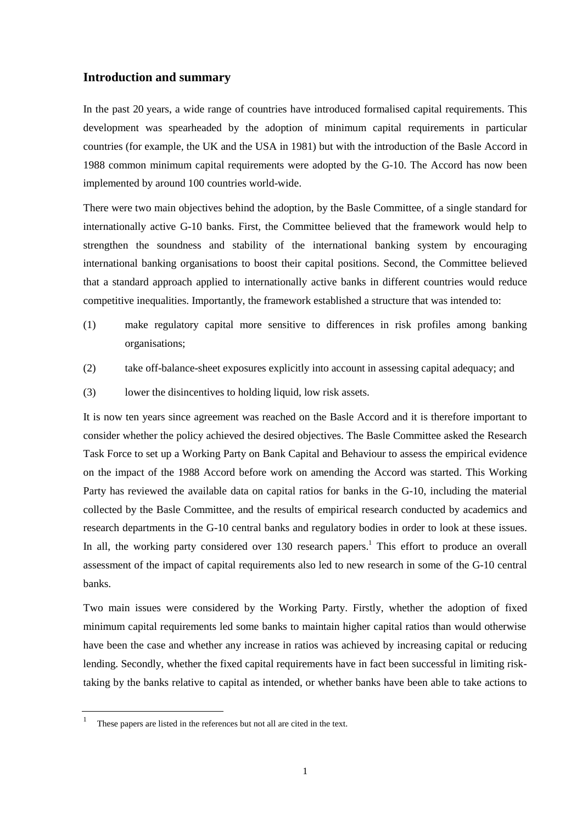## **Introduction and summary**

In the past 20 years, a wide range of countries have introduced formalised capital requirements. This development was spearheaded by the adoption of minimum capital requirements in particular countries (for example, the UK and the USA in 1981) but with the introduction of the Basle Accord in 1988 common minimum capital requirements were adopted by the G-10. The Accord has now been implemented by around 100 countries world-wide.

There were two main objectives behind the adoption, by the Basle Committee, of a single standard for internationally active G-10 banks. First, the Committee believed that the framework would help to strengthen the soundness and stability of the international banking system by encouraging international banking organisations to boost their capital positions. Second, the Committee believed that a standard approach applied to internationally active banks in different countries would reduce competitive inequalities. Importantly, the framework established a structure that was intended to:

- (1) make regulatory capital more sensitive to differences in risk profiles among banking organisations;
- (2) take off-balance-sheet exposures explicitly into account in assessing capital adequacy; and
- (3) lower the disincentives to holding liquid, low risk assets.

It is now ten years since agreement was reached on the Basle Accord and it is therefore important to consider whether the policy achieved the desired objectives. The Basle Committee asked the Research Task Force to set up a Working Party on Bank Capital and Behaviour to assess the empirical evidence on the impact of the 1988 Accord before work on amending the Accord was started. This Working Party has reviewed the available data on capital ratios for banks in the G-10, including the material collected by the Basle Committee, and the results of empirical research conducted by academics and research departments in the G-10 central banks and regulatory bodies in order to look at these issues. In all, the working party considered over 130 research papers.<sup>1</sup> This effort to produce an overall assessment of the impact of capital requirements also led to new research in some of the G-10 central banks.

Two main issues were considered by the Working Party. Firstly, whether the adoption of fixed minimum capital requirements led some banks to maintain higher capital ratios than would otherwise have been the case and whether any increase in ratios was achieved by increasing capital or reducing lending. Secondly, whether the fixed capital requirements have in fact been successful in limiting risktaking by the banks relative to capital as intended, or whether banks have been able to take actions to

These papers are listed in the references but not all are cited in the text.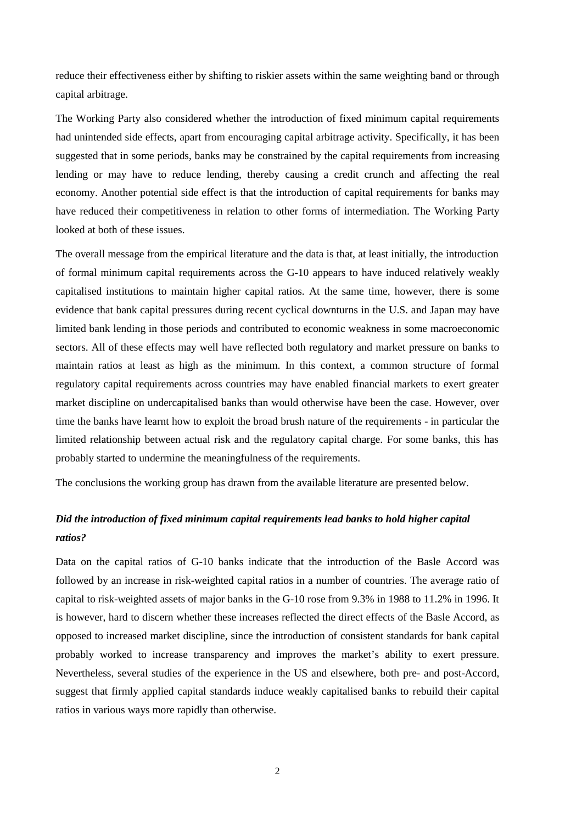reduce their effectiveness either by shifting to riskier assets within the same weighting band or through capital arbitrage.

The Working Party also considered whether the introduction of fixed minimum capital requirements had unintended side effects, apart from encouraging capital arbitrage activity. Specifically, it has been suggested that in some periods, banks may be constrained by the capital requirements from increasing lending or may have to reduce lending, thereby causing a credit crunch and affecting the real economy. Another potential side effect is that the introduction of capital requirements for banks may have reduced their competitiveness in relation to other forms of intermediation. The Working Party looked at both of these issues.

The overall message from the empirical literature and the data is that, at least initially, the introduction of formal minimum capital requirements across the G-10 appears to have induced relatively weakly capitalised institutions to maintain higher capital ratios. At the same time, however, there is some evidence that bank capital pressures during recent cyclical downturns in the U.S. and Japan may have limited bank lending in those periods and contributed to economic weakness in some macroeconomic sectors. All of these effects may well have reflected both regulatory and market pressure on banks to maintain ratios at least as high as the minimum. In this context, a common structure of formal regulatory capital requirements across countries may have enabled financial markets to exert greater market discipline on undercapitalised banks than would otherwise have been the case. However, over time the banks have learnt how to exploit the broad brush nature of the requirements - in particular the limited relationship between actual risk and the regulatory capital charge. For some banks, this has probably started to undermine the meaningfulness of the requirements.

The conclusions the working group has drawn from the available literature are presented below.

# *Did the introduction of fixed minimum capital requirements lead banks to hold higher capital ratios?*

Data on the capital ratios of G-10 banks indicate that the introduction of the Basle Accord was followed by an increase in risk-weighted capital ratios in a number of countries. The average ratio of capital to risk-weighted assets of major banks in the G-10 rose from 9.3% in 1988 to 11.2% in 1996. It is however, hard to discern whether these increases reflected the direct effects of the Basle Accord, as opposed to increased market discipline, since the introduction of consistent standards for bank capital probably worked to increase transparency and improves the market's ability to exert pressure. Nevertheless, several studies of the experience in the US and elsewhere, both pre- and post-Accord, suggest that firmly applied capital standards induce weakly capitalised banks to rebuild their capital ratios in various ways more rapidly than otherwise.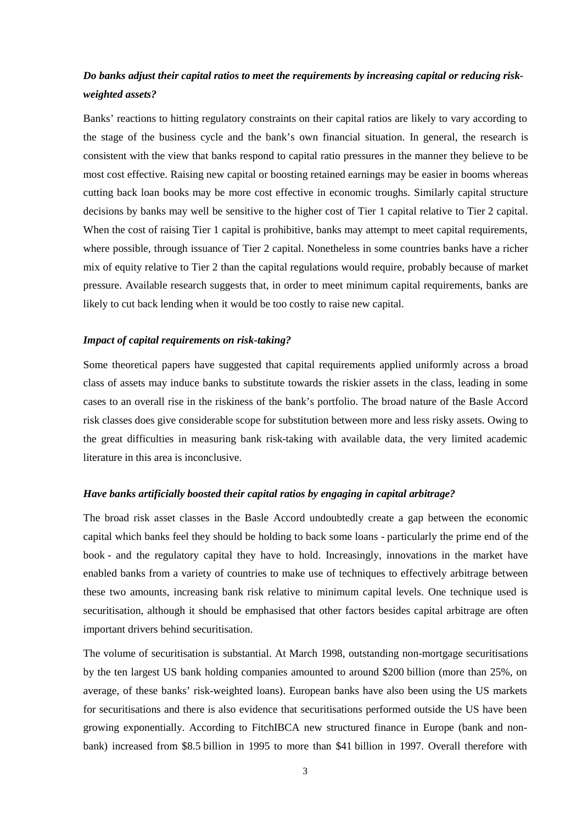# *Do banks adjust their capital ratios to meet the requirements by increasing capital or reducing riskweighted assets?*

Banks' reactions to hitting regulatory constraints on their capital ratios are likely to vary according to the stage of the business cycle and the bank's own financial situation. In general, the research is consistent with the view that banks respond to capital ratio pressures in the manner they believe to be most cost effective. Raising new capital or boosting retained earnings may be easier in booms whereas cutting back loan books may be more cost effective in economic troughs. Similarly capital structure decisions by banks may well be sensitive to the higher cost of Tier 1 capital relative to Tier 2 capital. When the cost of raising Tier 1 capital is prohibitive, banks may attempt to meet capital requirements, where possible, through issuance of Tier 2 capital. Nonetheless in some countries banks have a richer mix of equity relative to Tier 2 than the capital regulations would require, probably because of market pressure. Available research suggests that, in order to meet minimum capital requirements, banks are likely to cut back lending when it would be too costly to raise new capital.

#### *Impact of capital requirements on risk-taking?*

Some theoretical papers have suggested that capital requirements applied uniformly across a broad class of assets may induce banks to substitute towards the riskier assets in the class, leading in some cases to an overall rise in the riskiness of the bank's portfolio. The broad nature of the Basle Accord risk classes does give considerable scope for substitution between more and less risky assets. Owing to the great difficulties in measuring bank risk-taking with available data, the very limited academic literature in this area is inconclusive.

#### *Have banks artificially boosted their capital ratios by engaging in capital arbitrage?*

The broad risk asset classes in the Basle Accord undoubtedly create a gap between the economic capital which banks feel they should be holding to back some loans - particularly the prime end of the book - and the regulatory capital they have to hold. Increasingly, innovations in the market have enabled banks from a variety of countries to make use of techniques to effectively arbitrage between these two amounts, increasing bank risk relative to minimum capital levels. One technique used is securitisation, although it should be emphasised that other factors besides capital arbitrage are often important drivers behind securitisation.

The volume of securitisation is substantial. At March 1998, outstanding non-mortgage securitisations by the ten largest US bank holding companies amounted to around \$200 billion (more than 25%, on average, of these banks' risk-weighted loans). European banks have also been using the US markets for securitisations and there is also evidence that securitisations performed outside the US have been growing exponentially. According to FitchIBCA new structured finance in Europe (bank and nonbank) increased from \$8.5 billion in 1995 to more than \$41 billion in 1997. Overall therefore with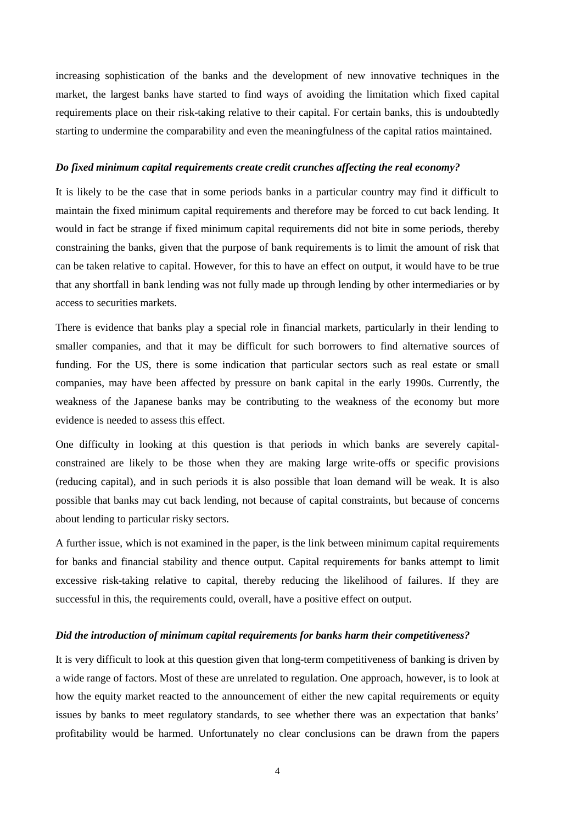increasing sophistication of the banks and the development of new innovative techniques in the market, the largest banks have started to find ways of avoiding the limitation which fixed capital requirements place on their risk-taking relative to their capital. For certain banks, this is undoubtedly starting to undermine the comparability and even the meaningfulness of the capital ratios maintained.

#### *Do fixed minimum capital requirements create credit crunches affecting the real economy?*

It is likely to be the case that in some periods banks in a particular country may find it difficult to maintain the fixed minimum capital requirements and therefore may be forced to cut back lending. It would in fact be strange if fixed minimum capital requirements did not bite in some periods, thereby constraining the banks, given that the purpose of bank requirements is to limit the amount of risk that can be taken relative to capital. However, for this to have an effect on output, it would have to be true that any shortfall in bank lending was not fully made up through lending by other intermediaries or by access to securities markets.

There is evidence that banks play a special role in financial markets, particularly in their lending to smaller companies, and that it may be difficult for such borrowers to find alternative sources of funding. For the US, there is some indication that particular sectors such as real estate or small companies, may have been affected by pressure on bank capital in the early 1990s. Currently, the weakness of the Japanese banks may be contributing to the weakness of the economy but more evidence is needed to assess this effect.

One difficulty in looking at this question is that periods in which banks are severely capitalconstrained are likely to be those when they are making large write-offs or specific provisions (reducing capital), and in such periods it is also possible that loan demand will be weak. It is also possible that banks may cut back lending, not because of capital constraints, but because of concerns about lending to particular risky sectors.

A further issue, which is not examined in the paper, is the link between minimum capital requirements for banks and financial stability and thence output. Capital requirements for banks attempt to limit excessive risk-taking relative to capital, thereby reducing the likelihood of failures. If they are successful in this, the requirements could, overall, have a positive effect on output.

#### *Did the introduction of minimum capital requirements for banks harm their competitiveness?*

It is very difficult to look at this question given that long-term competitiveness of banking is driven by a wide range of factors. Most of these are unrelated to regulation. One approach, however, is to look at how the equity market reacted to the announcement of either the new capital requirements or equity issues by banks to meet regulatory standards, to see whether there was an expectation that banks' profitability would be harmed. Unfortunately no clear conclusions can be drawn from the papers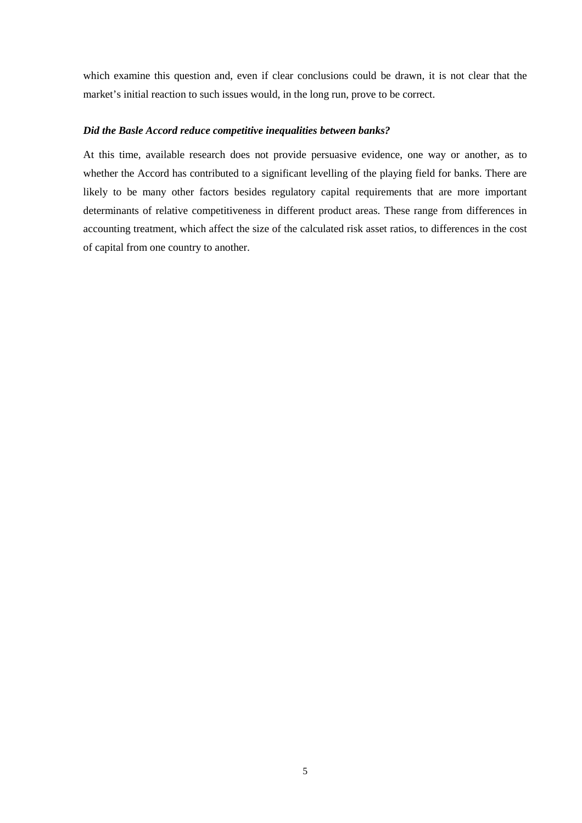which examine this question and, even if clear conclusions could be drawn, it is not clear that the market's initial reaction to such issues would, in the long run, prove to be correct.

#### *Did the Basle Accord reduce competitive inequalities between banks?*

At this time, available research does not provide persuasive evidence, one way or another, as to whether the Accord has contributed to a significant levelling of the playing field for banks. There are likely to be many other factors besides regulatory capital requirements that are more important determinants of relative competitiveness in different product areas. These range from differences in accounting treatment, which affect the size of the calculated risk asset ratios, to differences in the cost of capital from one country to another.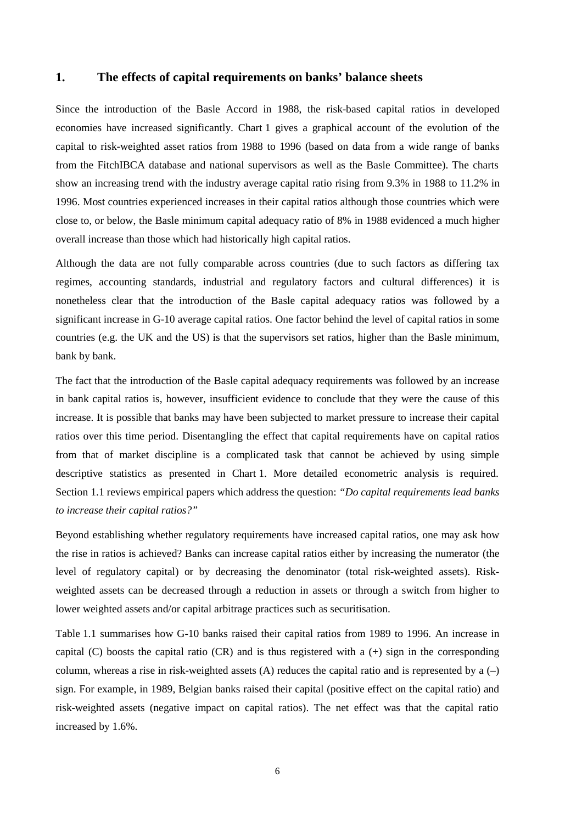### **1. The effects of capital requirements on banks' balance sheets**

Since the introduction of the Basle Accord in 1988, the risk-based capital ratios in developed economies have increased significantly. Chart 1 gives a graphical account of the evolution of the capital to risk-weighted asset ratios from 1988 to 1996 (based on data from a wide range of banks from the FitchIBCA database and national supervisors as well as the Basle Committee). The charts show an increasing trend with the industry average capital ratio rising from 9.3% in 1988 to 11.2% in 1996. Most countries experienced increases in their capital ratios although those countries which were close to, or below, the Basle minimum capital adequacy ratio of 8% in 1988 evidenced a much higher overall increase than those which had historically high capital ratios.

Although the data are not fully comparable across countries (due to such factors as differing tax regimes, accounting standards, industrial and regulatory factors and cultural differences) it is nonetheless clear that the introduction of the Basle capital adequacy ratios was followed by a significant increase in G-10 average capital ratios. One factor behind the level of capital ratios in some countries (e.g. the UK and the US) is that the supervisors set ratios, higher than the Basle minimum, bank by bank.

The fact that the introduction of the Basle capital adequacy requirements was followed by an increase in bank capital ratios is, however, insufficient evidence to conclude that they were the cause of this increase. It is possible that banks may have been subjected to market pressure to increase their capital ratios over this time period. Disentangling the effect that capital requirements have on capital ratios from that of market discipline is a complicated task that cannot be achieved by using simple descriptive statistics as presented in Chart 1. More detailed econometric analysis is required. Section 1.1 reviews empirical papers which address the question: *"Do capital requirements lead banks to increase their capital ratios?"*

Beyond establishing whether regulatory requirements have increased capital ratios, one may ask how the rise in ratios is achieved? Banks can increase capital ratios either by increasing the numerator (the level of regulatory capital) or by decreasing the denominator (total risk-weighted assets). Riskweighted assets can be decreased through a reduction in assets or through a switch from higher to lower weighted assets and/or capital arbitrage practices such as securitisation.

Table 1.1 summarises how G-10 banks raised their capital ratios from 1989 to 1996. An increase in capital (C) boosts the capital ratio (CR) and is thus registered with a  $(+)$  sign in the corresponding column, whereas a rise in risk-weighted assets (A) reduces the capital ratio and is represented by a  $(-)$ sign. For example, in 1989, Belgian banks raised their capital (positive effect on the capital ratio) and risk-weighted assets (negative impact on capital ratios). The net effect was that the capital ratio increased by 1.6%.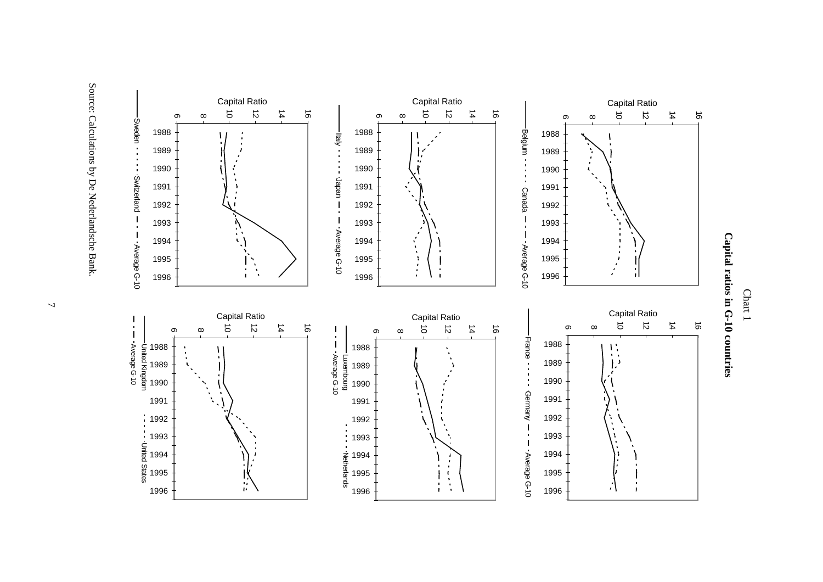





Source: Calculations by De Nederlandsche Bank. Source: Calculations by De Nederlandsche Bank.

 $\overline{2}$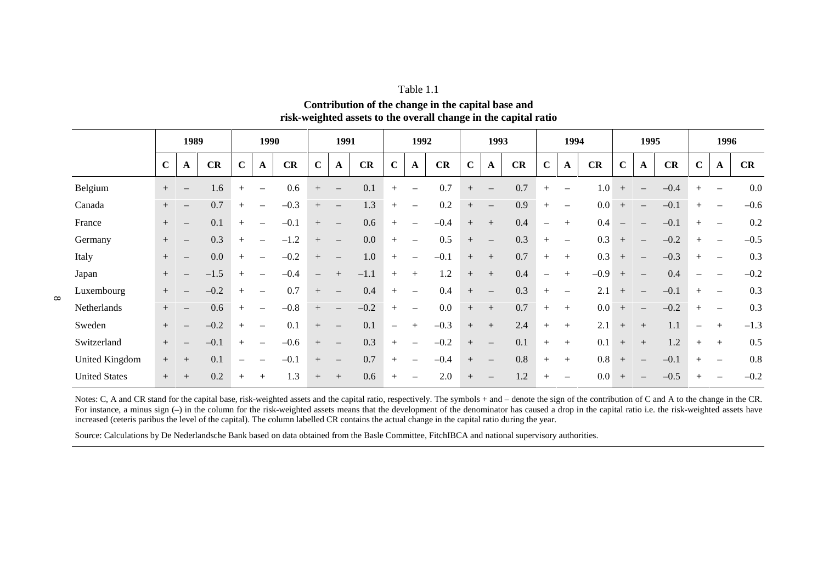#### Table 1.1

**Contribution of the change in the capital base and risk-weighted assets to the overall change in the capital ratio**

|                      |             | 1989                            |        |                          | 1990                            |        |                          | 1991                            |         |             | 1992                              |        |             | 1993                     |     |                          | 1994                     |                  |                   | 1995                     |        |                          | 1996                     |        |
|----------------------|-------------|---------------------------------|--------|--------------------------|---------------------------------|--------|--------------------------|---------------------------------|---------|-------------|-----------------------------------|--------|-------------|--------------------------|-----|--------------------------|--------------------------|------------------|-------------------|--------------------------|--------|--------------------------|--------------------------|--------|
|                      | $\mathbf C$ | A                               | CR     | $\mathbf C$              | A                               | CR     | $\mathbf C$              | A                               | CR      | $\mathbf C$ | $\mathbf A$                       | CR     | $\mathbf C$ | $\mathbf A$              | CR  | $\mathbf C$              | A                        | CR               | $\mathbf C$       | A                        | CR     | $\mathbf C$              | A                        | CR     |
| Belgium              |             |                                 | 1.6    | $+$                      | $\overline{\phantom{0}}$        | 0.6    | $+$                      | $\overline{\phantom{m}}$        | 0.1     | $+$         | $\overline{\phantom{0}}$          | 0.7    | $+$         | $\overline{\phantom{m}}$ | 0.7 | $+$                      | $\overline{\phantom{0}}$ | 1.0 <sub>1</sub> | $+$               |                          | $-0.4$ | $^{+}$                   | $\overline{\phantom{m}}$ | 0.0    |
| Canada               | $^{+}$      | $\overline{\phantom{m}}$        | 0.7    | $+$                      | $\overbrace{\phantom{1232211}}$ | $-0.3$ | $\boldsymbol{+}$         | $\overline{\phantom{m}}$        | 1.3     | $+$         | $\overbrace{\phantom{1232211}}$   | 0.2    | $+$         | $\overline{\phantom{m}}$ | 0.9 | $^{+}$                   | $\overline{\phantom{0}}$ | 0.0              | $+$               |                          | $-0.1$ | $^{+}$                   | $\overline{\phantom{m}}$ | $-0.6$ |
| France               | $^{+}$      | $\overline{\phantom{m}}$        | 0.1    | $+$                      | $\overline{\phantom{m}}$        | $-0.1$ | $^{+}$                   | $\overline{\phantom{m}}$        | 0.6     | $+$         | $\overline{\phantom{0}}$          | $-0.4$ | $+$         | $^{+}$                   | 0.4 | $\overline{\phantom{0}}$ | $+$                      | 0.4              | $\qquad \qquad -$ |                          | $-0.1$ | $^{+}$                   | $\overline{\phantom{m}}$ | 0.2    |
| Germany              | $^{+}$      | $\overline{\phantom{m}}$        | 0.3    | $+$                      | $\overbrace{\phantom{1232211}}$ | $-1.2$ | $+$                      | $\overline{\phantom{m}}$        | $0.0\,$ | $+$         | $\overbrace{\phantom{1232211}}$   | 0.5    | $+$         | $\overline{\phantom{m}}$ | 0.3 | $+$                      | $\overline{\phantom{0}}$ | 0.3              | $+$               | $\qquad \qquad -$        | $-0.2$ | $^{+}$                   | $\overline{\phantom{m}}$ | $-0.5$ |
| Italy                | $+$         | $\overline{\phantom{m}}$        | 0.0    | $+$                      | $\overbrace{\phantom{1232211}}$ | $-0.2$ | $^{+}$                   | $\overline{\phantom{m}}$        | $1.0\,$ | $+$         |                                   | $-0.1$ | $+$         | $+$                      | 0.7 | $+$                      | $+$                      | 0.3              | $+$               |                          | $-0.3$ | $^{+}$                   | $\overline{\phantom{m}}$ | 0.3    |
| Japan                | $\! +$      | $\overline{\phantom{m}}$        | $-1.5$ | $+$                      |                                 | $-0.4$ | $\overline{\phantom{m}}$ | $^{+}$                          | $-1.1$  | $+$         | $+$                               | 1.2    | $+$         | $+$                      | 0.4 | $\overline{\phantom{0}}$ | $+$                      | $-0.9$           | $+$               | $\qquad \qquad -$        | 0.4    | $\overline{\phantom{0}}$ | $\overline{\phantom{m}}$ | $-0.2$ |
| Luxembourg           |             |                                 | $-0.2$ | $+$                      | $\overline{\phantom{m}}$        | 0.7    | $\boldsymbol{+}$         | $\overline{\phantom{m}}$        | 0.4     | $+$         | $\overbrace{\phantom{123221111}}$ | 0.4    | $+$         | $\overline{\phantom{m}}$ | 0.3 | $+$                      | $\overline{\phantom{0}}$ | 2.1              | $+$               |                          | $-0.1$ | $^{+}$                   | $\overline{\phantom{m}}$ | 0.3    |
| Netherlands          | $+$         | $\hspace{0.1mm}-\hspace{0.1mm}$ | 0.6    | $+$                      | $\qquad \qquad -$               | $-0.8$ | $+$                      | $\qquad \qquad -$               | $-0.2$  | $+$         | $\overbrace{\phantom{123221111}}$ | 0.0    | $+$         | $+$                      | 0.7 | $+$                      | $+$                      | 0.0              | $+$               | $\overline{\phantom{m}}$ | $-0.2$ | $^{+}$                   | $\overline{\phantom{a}}$ | 0.3    |
| Sweden               | $+$         |                                 | $-0.2$ | $+$                      | $\overline{\phantom{m}}$        | 0.1    | $\boldsymbol{+}$         | $\hspace{0.1mm}-\hspace{0.1mm}$ | 0.1     |             | $+$                               | $-0.3$ | $^{+}$      | $+$                      | 2.4 | $+$                      | $+$                      | 2.1              | $+$               | $+$                      | 1.1    | -                        | $^{+}$                   | $-1.3$ |
| Switzerland          | $+$         | $\hspace{0.1mm}-\hspace{0.1mm}$ | $-0.1$ | $+$                      | $\overline{\phantom{0}}$        | $-0.6$ | $+$                      | $\hspace{0.1mm}-\hspace{0.1mm}$ | 0.3     | $+$         | $\overbrace{\phantom{1232211}}$   | $-0.2$ | $+$         | $\overline{\phantom{m}}$ | 0.1 | $^{+}$                   | $+$                      | 0.1              | $+$               | $+$                      | 1.2    | $+$                      | $+$                      | 0.5    |
| United Kingdom       | $+$         | $^{+}$                          | 0.1    | $\overline{\phantom{m}}$ | $\qquad \qquad -$               | $-0.1$ | $+$                      | $\qquad \qquad -$               | 0.7     | $+$         | $\overbrace{\phantom{1232211}}$   | $-0.4$ | $+$         | $\overline{\phantom{m}}$ | 0.8 | $+$                      | $+$                      | 0.8              | $+$               |                          | $-0.1$ | $^{+}$                   | $\overline{\phantom{m}}$ | 0.8    |
| <b>United States</b> | $^{+}$      | $^{+}$                          | 0.2    | $+$                      | $^{+}$                          | 1.3    | $\boldsymbol{+}$         | $^{+}$                          | $0.6\,$ | $^{+}$      | $\overbrace{\phantom{1232211}}$   | 2.0    |             | $\overline{\phantom{m}}$ | 1.2 | $+$                      | $\overline{\phantom{0}}$ | 0.0              | $+$               |                          | $-0.5$ | $^{+}$                   | $\overline{\phantom{m}}$ | $-0.2$ |

Notes: C, A and CR stand for the capital base, risk-weighted assets and the capital ratio, respectively. The symbols + and – denote the sign of the contribution of C and A to the change in the CR. For instance, a minus sign (–) in the column for the risk-weighted assets means that the development of the denominator has caused a drop in the capital ratio i.e. the risk-weighted assets have increased (ceteris paribus the level of the capital). The column labelled CR contains the actual change in the capital ratio during the year.

Source: Calculations by De Nederlandsche Bank based on data obtained from the Basle Committee, FitchIBCA and national supervisory authorities.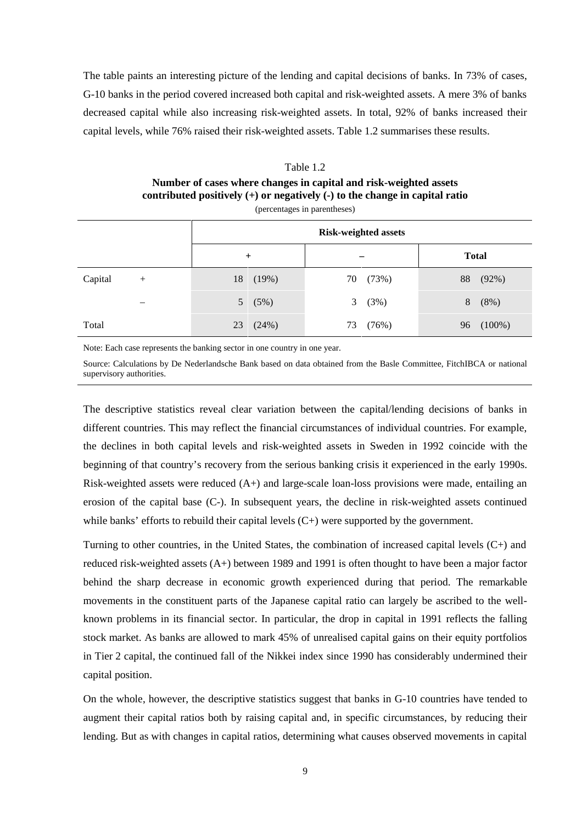The table paints an interesting picture of the lending and capital decisions of banks. In 73% of cases, G-10 banks in the period covered increased both capital and risk-weighted assets. A mere 3% of banks decreased capital while also increasing risk-weighted assets. In total, 92% of banks increased their capital levels, while 76% raised their risk-weighted assets. Table 1.2 summarises these results.

#### Table 1.2

# **Number of cases where changes in capital and risk-weighted assets contributed positively (+) or negatively (-) to the change in capital ratio**

|         |        |                        | <b>Risk-weighted assets</b> |                 |  |  |  |  |
|---------|--------|------------------------|-----------------------------|-----------------|--|--|--|--|
|         |        | $+$                    |                             | <b>Total</b>    |  |  |  |  |
| Capital | $^{+}$ | 18<br>(19%)            | (73%)<br>70                 | 88<br>(92%)     |  |  |  |  |
|         |        | (5%)<br>5 <sup>5</sup> | (3%)<br>3                   | (8%)<br>8       |  |  |  |  |
| Total   |        | (24%)<br>23            | (76%)<br>73                 | $(100\%)$<br>96 |  |  |  |  |

(percentages in parentheses)

Note: Each case represents the banking sector in one country in one year.

Source: Calculations by De Nederlandsche Bank based on data obtained from the Basle Committee, FitchIBCA or national supervisory authorities.

The descriptive statistics reveal clear variation between the capital/lending decisions of banks in different countries. This may reflect the financial circumstances of individual countries. For example, the declines in both capital levels and risk-weighted assets in Sweden in 1992 coincide with the beginning of that country's recovery from the serious banking crisis it experienced in the early 1990s. Risk-weighted assets were reduced  $(A+)$  and large-scale loan-loss provisions were made, entailing an erosion of the capital base (C-). In subsequent years, the decline in risk-weighted assets continued while banks' efforts to rebuild their capital levels  $(C+)$  were supported by the government.

Turning to other countries, in the United States, the combination of increased capital levels (C+) and reduced risk-weighted assets (A+) between 1989 and 1991 is often thought to have been a major factor behind the sharp decrease in economic growth experienced during that period. The remarkable movements in the constituent parts of the Japanese capital ratio can largely be ascribed to the wellknown problems in its financial sector. In particular, the drop in capital in 1991 reflects the falling stock market. As banks are allowed to mark 45% of unrealised capital gains on their equity portfolios in Tier 2 capital, the continued fall of the Nikkei index since 1990 has considerably undermined their capital position.

On the whole, however, the descriptive statistics suggest that banks in G-10 countries have tended to augment their capital ratios both by raising capital and, in specific circumstances, by reducing their lending. But as with changes in capital ratios, determining what causes observed movements in capital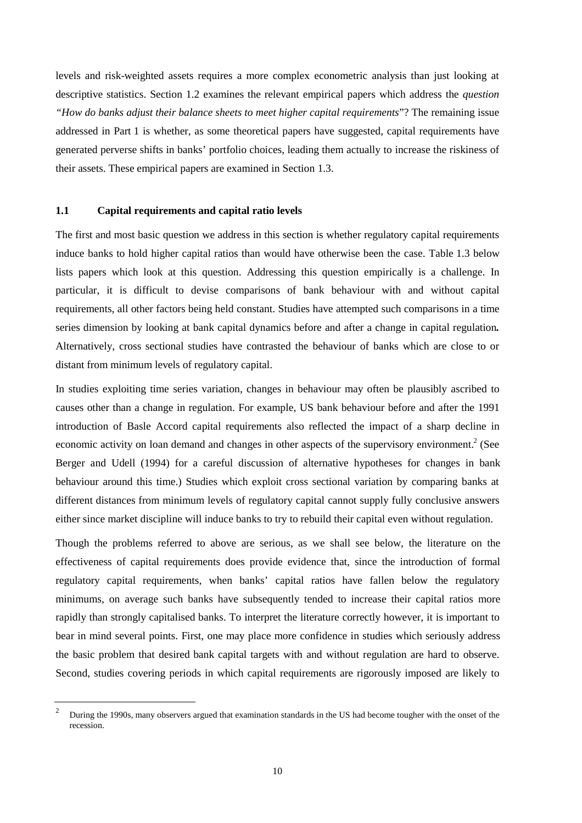levels and risk-weighted assets requires a more complex econometric analysis than just looking at descriptive statistics. Section 1.2 examines the relevant empirical papers which address the *question "How do banks adjust their balance sheets to meet higher capital requirements*"? The remaining issue addressed in Part 1 is whether, as some theoretical papers have suggested, capital requirements have generated perverse shifts in banks' portfolio choices, leading them actually to increase the riskiness of their assets. These empirical papers are examined in Section 1.3.

## **1.1 Capital requirements and capital ratio levels**

The first and most basic question we address in this section is whether regulatory capital requirements induce banks to hold higher capital ratios than would have otherwise been the case. Table 1.3 below lists papers which look at this question. Addressing this question empirically is a challenge. In particular, it is difficult to devise comparisons of bank behaviour with and without capital requirements, all other factors being held constant. Studies have attempted such comparisons in a time series dimension by looking at bank capital dynamics before and after a change in capital regulation*.* Alternatively, cross sectional studies have contrasted the behaviour of banks which are close to or distant from minimum levels of regulatory capital.

In studies exploiting time series variation, changes in behaviour may often be plausibly ascribed to causes other than a change in regulation. For example, US bank behaviour before and after the 1991 introduction of Basle Accord capital requirements also reflected the impact of a sharp decline in economic activity on loan demand and changes in other aspects of the supervisory environment.<sup>2</sup> (See Berger and Udell (1994) for a careful discussion of alternative hypotheses for changes in bank behaviour around this time.) Studies which exploit cross sectional variation by comparing banks at different distances from minimum levels of regulatory capital cannot supply fully conclusive answers either since market discipline will induce banks to try to rebuild their capital even without regulation.

Though the problems referred to above are serious, as we shall see below, the literature on the effectiveness of capital requirements does provide evidence that, since the introduction of formal regulatory capital requirements, when banks' capital ratios have fallen below the regulatory minimums, on average such banks have subsequently tended to increase their capital ratios more rapidly than strongly capitalised banks. To interpret the literature correctly however, it is important to bear in mind several points. First, one may place more confidence in studies which seriously address the basic problem that desired bank capital targets with and without regulation are hard to observe. Second, studies covering periods in which capital requirements are rigorously imposed are likely to

<sup>&</sup>lt;sup>2</sup> During the 1990s, many observers argued that examination standards in the US had become tougher with the onset of the recession.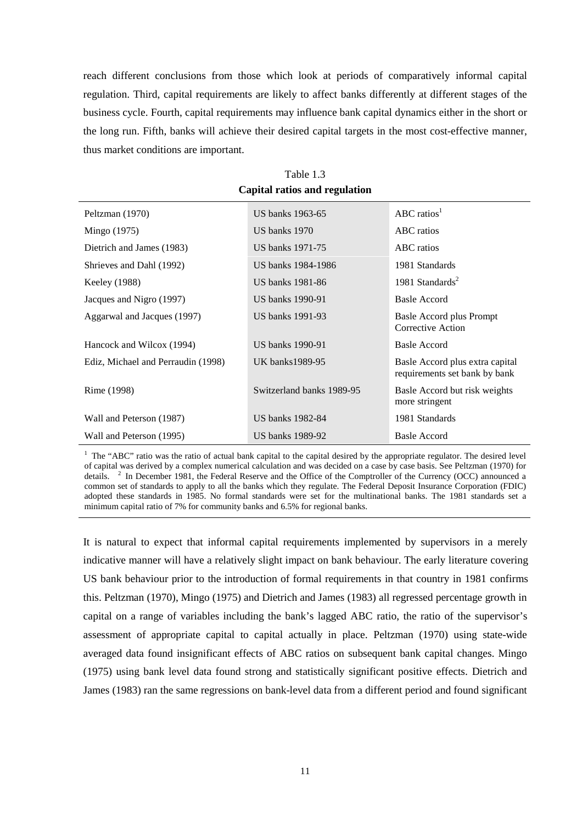reach different conclusions from those which look at periods of comparatively informal capital regulation. Third, capital requirements are likely to affect banks differently at different stages of the business cycle. Fourth, capital requirements may influence bank capital dynamics either in the short or the long run. Fifth, banks will achieve their desired capital targets in the most cost-effective manner, thus market conditions are important.

| Peltzman (1970)                    | US banks 1963-65          | ABC ratios <sup>1</sup>                                          |
|------------------------------------|---------------------------|------------------------------------------------------------------|
| Mingo (1975)                       | US banks 1970             | ABC ratios                                                       |
| Dietrich and James (1983)          | US banks 1971-75          | ABC ratios                                                       |
| Shrieves and Dahl (1992)           | US banks 1984-1986        | 1981 Standards                                                   |
| Keeley (1988)                      | US banks 1981-86          | 1981 Standards <sup>2</sup>                                      |
| Jacques and Nigro (1997)           | US banks 1990-91          | Basle Accord                                                     |
| Aggarwal and Jacques (1997)        | US banks 1991-93          | <b>Basle Accord plus Prompt</b><br>Corrective Action             |
| Hancock and Wilcox (1994)          | US banks 1990-91          | Basle Accord                                                     |
| Ediz, Michael and Perraudin (1998) | UK banks1989-95           | Basle Accord plus extra capital<br>requirements set bank by bank |
| Rime (1998)                        | Switzerland banks 1989-95 | Basle Accord but risk weights<br>more stringent                  |
| Wall and Peterson (1987)           | US banks 1982-84          | 1981 Standards                                                   |
| Wall and Peterson (1995)           | US banks 1989-92          | <b>Basle Accord</b>                                              |

Table 1.3 **Capital ratios and regulation**

<sup>1</sup> The "ABC" ratio was the ratio of actual bank capital to the capital desired by the appropriate regulator. The desired level of capital was derived by a complex numerical calculation and was decided on a case by case basis. See Peltzman (1970) for details. <sup>2</sup> In December 1981, the Federal Reserve and the Office of the Comptroller of the Currency (OCC) announced a common set of standards to apply to all the banks which they regulate. The Federal Deposit Insurance Corporation (FDIC) adopted these standards in 1985. No formal standards were set for the multinational banks. The 1981 standards set a minimum capital ratio of 7% for community banks and 6.5% for regional banks.

It is natural to expect that informal capital requirements implemented by supervisors in a merely indicative manner will have a relatively slight impact on bank behaviour. The early literature covering US bank behaviour prior to the introduction of formal requirements in that country in 1981 confirms this. Peltzman (1970), Mingo (1975) and Dietrich and James (1983) all regressed percentage growth in capital on a range of variables including the bank's lagged ABC ratio, the ratio of the supervisor's assessment of appropriate capital to capital actually in place. Peltzman (1970) using state-wide averaged data found insignificant effects of ABC ratios on subsequent bank capital changes. Mingo (1975) using bank level data found strong and statistically significant positive effects. Dietrich and James (1983) ran the same regressions on bank-level data from a different period and found significant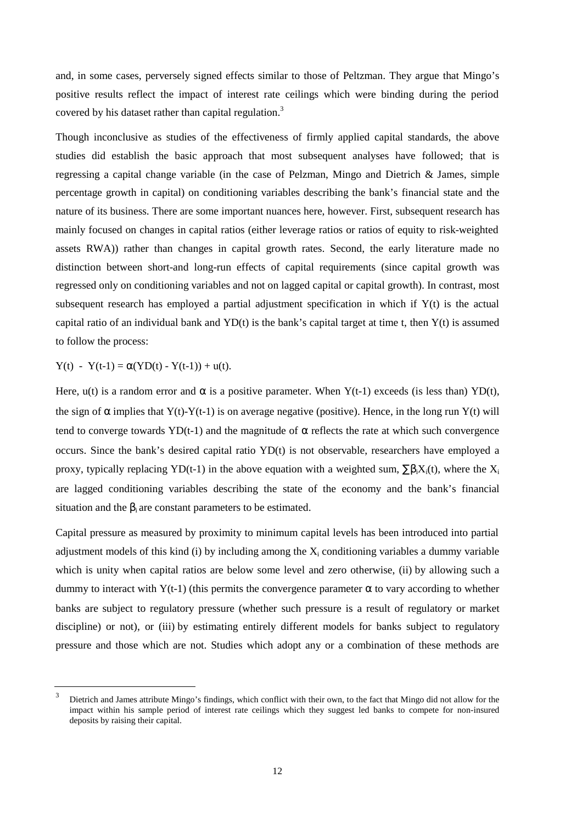and, in some cases, perversely signed effects similar to those of Peltzman. They argue that Mingo's positive results reflect the impact of interest rate ceilings which were binding during the period covered by his dataset rather than capital regulation.<sup>3</sup>

Though inconclusive as studies of the effectiveness of firmly applied capital standards, the above studies did establish the basic approach that most subsequent analyses have followed; that is regressing a capital change variable (in the case of Pelzman, Mingo and Dietrich & James, simple percentage growth in capital) on conditioning variables describing the bank's financial state and the nature of its business. There are some important nuances here, however. First, subsequent research has mainly focused on changes in capital ratios (either leverage ratios or ratios of equity to risk-weighted assets RWA)) rather than changes in capital growth rates. Second, the early literature made no distinction between short-and long-run effects of capital requirements (since capital growth was regressed only on conditioning variables and not on lagged capital or capital growth). In contrast, most subsequent research has employed a partial adjustment specification in which if Y(t) is the actual capital ratio of an individual bank and YD(t) is the bank's capital target at time t, then  $Y(t)$  is assumed to follow the process:

 $Y(t) - Y(t-1) = \alpha (YD(t) - Y(t-1)) + u(t).$ 

Here,  $u(t)$  is a random error and  $\alpha$  is a positive parameter. When Y(t-1) exceeds (is less than) YD(t), the sign of  $\alpha$  implies that Y(t)-Y(t-1) is on average negative (positive). Hence, in the long run Y(t) will tend to converge towards YD(t-1) and the magnitude of  $\alpha$  reflects the rate at which such convergence occurs. Since the bank's desired capital ratio YD(t) is not observable, researchers have employed a proxy, typically replacing YD(t-1) in the above equation with a weighted sum,  $\sum \beta_i X_i(t)$ , where the X<sub>i</sub> are lagged conditioning variables describing the state of the economy and the bank's financial situation and the  $\beta_i$  are constant parameters to be estimated.

Capital pressure as measured by proximity to minimum capital levels has been introduced into partial adjustment models of this kind (i) by including among the  $X_i$  conditioning variables a dummy variable which is unity when capital ratios are below some level and zero otherwise, (ii) by allowing such a dummy to interact with Y(t-1) (this permits the convergence parameter  $\alpha$  to vary according to whether banks are subject to regulatory pressure (whether such pressure is a result of regulatory or market discipline) or not), or (iii) by estimating entirely different models for banks subject to regulatory pressure and those which are not. Studies which adopt any or a combination of these methods are

Dietrich and James attribute Mingo's findings, which conflict with their own, to the fact that Mingo did not allow for the impact within his sample period of interest rate ceilings which they suggest led banks to compete for non-insured deposits by raising their capital.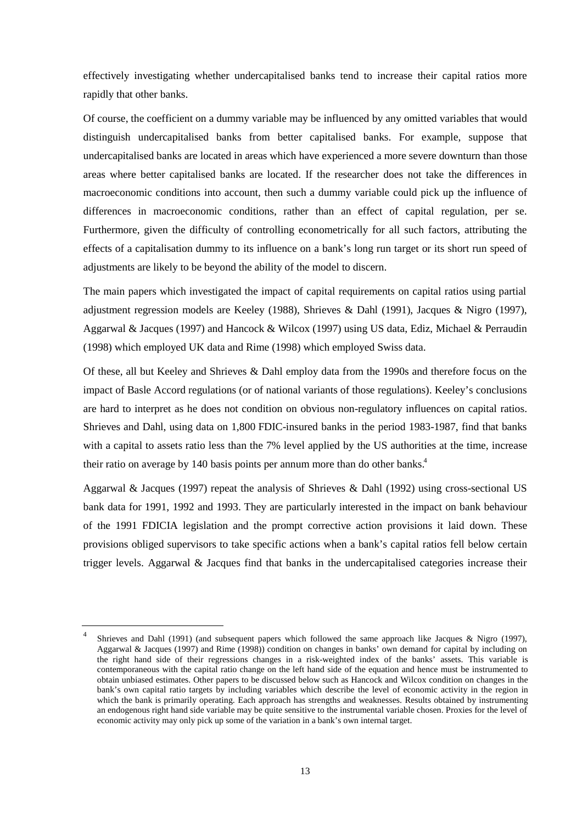effectively investigating whether undercapitalised banks tend to increase their capital ratios more rapidly that other banks.

Of course, the coefficient on a dummy variable may be influenced by any omitted variables that would distinguish undercapitalised banks from better capitalised banks. For example, suppose that undercapitalised banks are located in areas which have experienced a more severe downturn than those areas where better capitalised banks are located. If the researcher does not take the differences in macroeconomic conditions into account, then such a dummy variable could pick up the influence of differences in macroeconomic conditions, rather than an effect of capital regulation, per se. Furthermore, given the difficulty of controlling econometrically for all such factors, attributing the effects of a capitalisation dummy to its influence on a bank's long run target or its short run speed of adjustments are likely to be beyond the ability of the model to discern.

The main papers which investigated the impact of capital requirements on capital ratios using partial adjustment regression models are Keeley (1988), Shrieves & Dahl (1991), Jacques & Nigro (1997), Aggarwal & Jacques (1997) and Hancock & Wilcox (1997) using US data, Ediz, Michael & Perraudin (1998) which employed UK data and Rime (1998) which employed Swiss data.

Of these, all but Keeley and Shrieves & Dahl employ data from the 1990s and therefore focus on the impact of Basle Accord regulations (or of national variants of those regulations). Keeley's conclusions are hard to interpret as he does not condition on obvious non-regulatory influences on capital ratios. Shrieves and Dahl, using data on 1,800 FDIC-insured banks in the period 1983-1987, find that banks with a capital to assets ratio less than the 7% level applied by the US authorities at the time, increase their ratio on average by 140 basis points per annum more than do other banks.<sup>4</sup>

Aggarwal & Jacques (1997) repeat the analysis of Shrieves & Dahl (1992) using cross-sectional US bank data for 1991, 1992 and 1993. They are particularly interested in the impact on bank behaviour of the 1991 FDICIA legislation and the prompt corrective action provisions it laid down. These provisions obliged supervisors to take specific actions when a bank's capital ratios fell below certain trigger levels. Aggarwal & Jacques find that banks in the undercapitalised categories increase their

Shrieves and Dahl (1991) (and subsequent papers which followed the same approach like Jacques & Nigro (1997), Aggarwal & Jacques (1997) and Rime (1998)) condition on changes in banks' own demand for capital by including on the right hand side of their regressions changes in a risk-weighted index of the banks' assets. This variable is contemporaneous with the capital ratio change on the left hand side of the equation and hence must be instrumented to obtain unbiased estimates. Other papers to be discussed below such as Hancock and Wilcox condition on changes in the bank's own capital ratio targets by including variables which describe the level of economic activity in the region in which the bank is primarily operating. Each approach has strengths and weaknesses. Results obtained by instrumenting an endogenous right hand side variable may be quite sensitive to the instrumental variable chosen. Proxies for the level of economic activity may only pick up some of the variation in a bank's own internal target.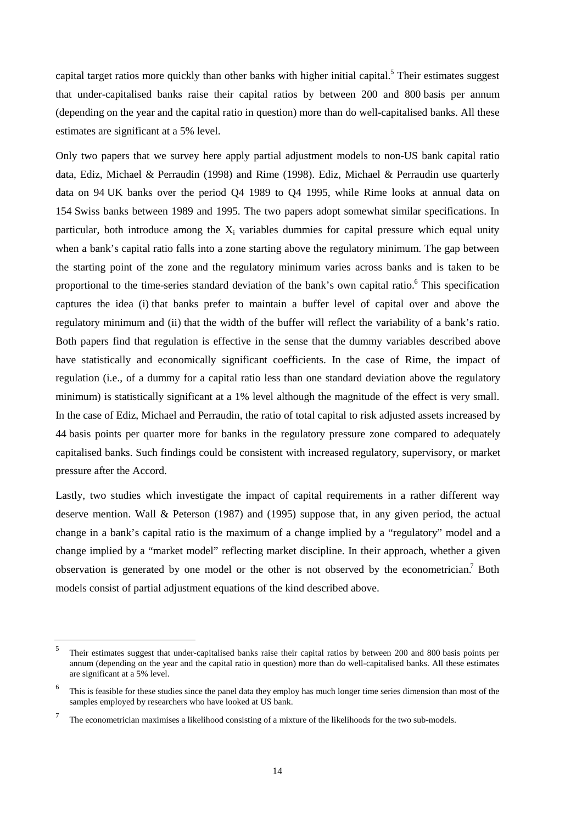capital target ratios more quickly than other banks with higher initial capital.<sup>5</sup> Their estimates suggest that under-capitalised banks raise their capital ratios by between 200 and 800 basis per annum (depending on the year and the capital ratio in question) more than do well-capitalised banks. All these estimates are significant at a 5% level.

Only two papers that we survey here apply partial adjustment models to non-US bank capital ratio data, Ediz, Michael & Perraudin (1998) and Rime (1998). Ediz, Michael & Perraudin use quarterly data on 94 UK banks over the period Q4 1989 to Q4 1995, while Rime looks at annual data on 154 Swiss banks between 1989 and 1995. The two papers adopt somewhat similar specifications. In particular, both introduce among the  $X_i$  variables dummies for capital pressure which equal unity when a bank's capital ratio falls into a zone starting above the regulatory minimum. The gap between the starting point of the zone and the regulatory minimum varies across banks and is taken to be proportional to the time-series standard deviation of the bank's own capital ratio.<sup>6</sup> This specification captures the idea (i) that banks prefer to maintain a buffer level of capital over and above the regulatory minimum and (ii) that the width of the buffer will reflect the variability of a bank's ratio. Both papers find that regulation is effective in the sense that the dummy variables described above have statistically and economically significant coefficients. In the case of Rime, the impact of regulation (i.e., of a dummy for a capital ratio less than one standard deviation above the regulatory minimum) is statistically significant at a 1% level although the magnitude of the effect is very small. In the case of Ediz, Michael and Perraudin, the ratio of total capital to risk adjusted assets increased by 44 basis points per quarter more for banks in the regulatory pressure zone compared to adequately capitalised banks. Such findings could be consistent with increased regulatory, supervisory, or market pressure after the Accord.

Lastly, two studies which investigate the impact of capital requirements in a rather different way deserve mention. Wall & Peterson (1987) and (1995) suppose that, in any given period, the actual change in a bank's capital ratio is the maximum of a change implied by a "regulatory" model and a change implied by a "market model" reflecting market discipline. In their approach, whether a given observation is generated by one model or the other is not observed by the econometrician.<sup>7</sup> Both models consist of partial adjustment equations of the kind described above.

<sup>&</sup>lt;sup>5</sup> Their estimates suggest that under-capitalised banks raise their capital ratios by between 200 and 800 basis points per annum (depending on the year and the capital ratio in question) more than do well-capitalised banks. All these estimates are significant at a 5% level.

This is feasible for these studies since the panel data they employ has much longer time series dimension than most of the samples employed by researchers who have looked at US bank.

<sup>7</sup> The econometrician maximises a likelihood consisting of a mixture of the likelihoods for the two sub-models.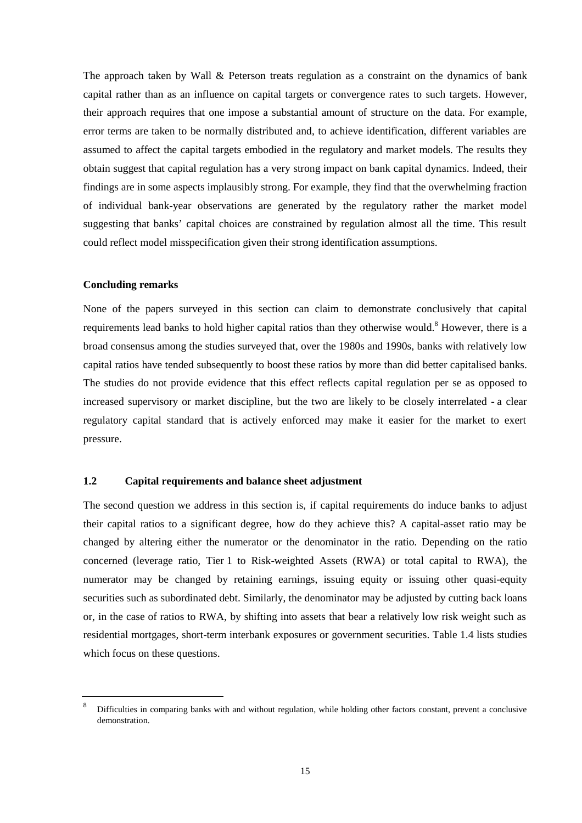The approach taken by Wall & Peterson treats regulation as a constraint on the dynamics of bank capital rather than as an influence on capital targets or convergence rates to such targets. However, their approach requires that one impose a substantial amount of structure on the data. For example, error terms are taken to be normally distributed and, to achieve identification, different variables are assumed to affect the capital targets embodied in the regulatory and market models. The results they obtain suggest that capital regulation has a very strong impact on bank capital dynamics. Indeed, their findings are in some aspects implausibly strong. For example, they find that the overwhelming fraction of individual bank-year observations are generated by the regulatory rather the market model suggesting that banks' capital choices are constrained by regulation almost all the time. This result could reflect model misspecification given their strong identification assumptions.

#### **Concluding remarks**

None of the papers surveyed in this section can claim to demonstrate conclusively that capital requirements lead banks to hold higher capital ratios than they otherwise would.<sup>8</sup> However, there is a broad consensus among the studies surveyed that, over the 1980s and 1990s, banks with relatively low capital ratios have tended subsequently to boost these ratios by more than did better capitalised banks. The studies do not provide evidence that this effect reflects capital regulation per se as opposed to increased supervisory or market discipline, but the two are likely to be closely interrelated - a clear regulatory capital standard that is actively enforced may make it easier for the market to exert pressure.

#### **1.2 Capital requirements and balance sheet adjustment**

The second question we address in this section is, if capital requirements do induce banks to adjust their capital ratios to a significant degree, how do they achieve this? A capital-asset ratio may be changed by altering either the numerator or the denominator in the ratio. Depending on the ratio concerned (leverage ratio, Tier 1 to Risk-weighted Assets (RWA) or total capital to RWA), the numerator may be changed by retaining earnings, issuing equity or issuing other quasi-equity securities such as subordinated debt. Similarly, the denominator may be adjusted by cutting back loans or, in the case of ratios to RWA, by shifting into assets that bear a relatively low risk weight such as residential mortgages, short-term interbank exposures or government securities. Table 1.4 lists studies which focus on these questions.

<sup>8</sup> Difficulties in comparing banks with and without regulation, while holding other factors constant, prevent a conclusive demonstration.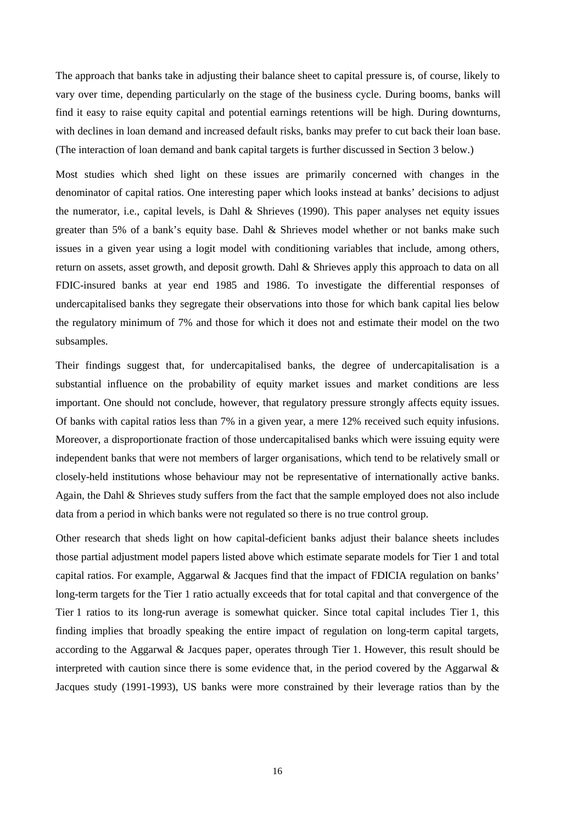The approach that banks take in adjusting their balance sheet to capital pressure is, of course, likely to vary over time, depending particularly on the stage of the business cycle. During booms, banks will find it easy to raise equity capital and potential earnings retentions will be high. During downturns, with declines in loan demand and increased default risks, banks may prefer to cut back their loan base. (The interaction of loan demand and bank capital targets is further discussed in Section 3 below.)

Most studies which shed light on these issues are primarily concerned with changes in the denominator of capital ratios. One interesting paper which looks instead at banks' decisions to adjust the numerator, i.e., capital levels, is Dahl & Shrieves (1990). This paper analyses net equity issues greater than 5% of a bank's equity base. Dahl & Shrieves model whether or not banks make such issues in a given year using a logit model with conditioning variables that include, among others, return on assets, asset growth, and deposit growth. Dahl & Shrieves apply this approach to data on all FDIC-insured banks at year end 1985 and 1986. To investigate the differential responses of undercapitalised banks they segregate their observations into those for which bank capital lies below the regulatory minimum of 7% and those for which it does not and estimate their model on the two subsamples.

Their findings suggest that, for undercapitalised banks, the degree of undercapitalisation is a substantial influence on the probability of equity market issues and market conditions are less important. One should not conclude, however, that regulatory pressure strongly affects equity issues. Of banks with capital ratios less than 7% in a given year, a mere 12% received such equity infusions. Moreover, a disproportionate fraction of those undercapitalised banks which were issuing equity were independent banks that were not members of larger organisations, which tend to be relatively small or closely-held institutions whose behaviour may not be representative of internationally active banks. Again, the Dahl & Shrieves study suffers from the fact that the sample employed does not also include data from a period in which banks were not regulated so there is no true control group.

Other research that sheds light on how capital-deficient banks adjust their balance sheets includes those partial adjustment model papers listed above which estimate separate models for Tier 1 and total capital ratios. For example, Aggarwal & Jacques find that the impact of FDICIA regulation on banks' long-term targets for the Tier 1 ratio actually exceeds that for total capital and that convergence of the Tier 1 ratios to its long-run average is somewhat quicker. Since total capital includes Tier 1, this finding implies that broadly speaking the entire impact of regulation on long-term capital targets, according to the Aggarwal & Jacques paper, operates through Tier 1. However, this result should be interpreted with caution since there is some evidence that, in the period covered by the Aggarwal  $\&$ Jacques study (1991-1993), US banks were more constrained by their leverage ratios than by the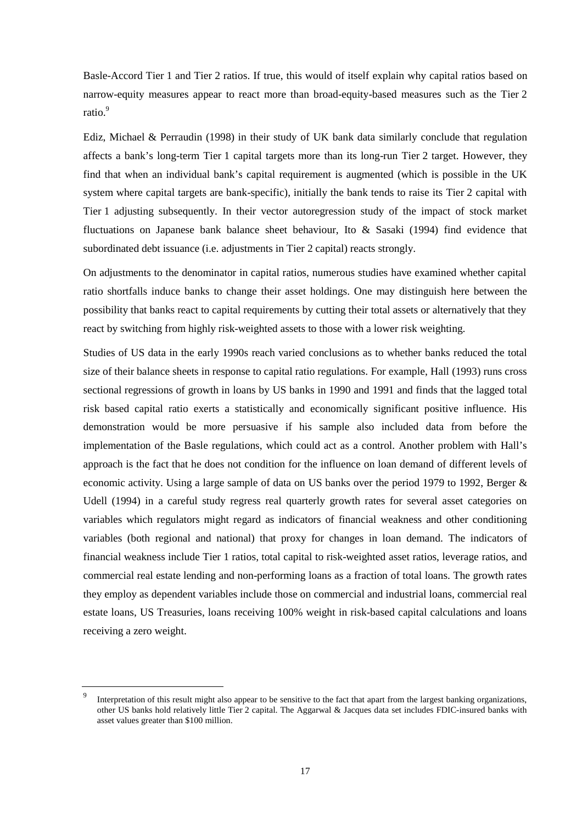Basle-Accord Tier 1 and Tier 2 ratios. If true, this would of itself explain why capital ratios based on narrow-equity measures appear to react more than broad-equity-based measures such as the Tier 2 ratio.<sup>9</sup>

Ediz, Michael & Perraudin (1998) in their study of UK bank data similarly conclude that regulation affects a bank's long-term Tier 1 capital targets more than its long-run Tier 2 target. However, they find that when an individual bank's capital requirement is augmented (which is possible in the UK system where capital targets are bank-specific), initially the bank tends to raise its Tier 2 capital with Tier 1 adjusting subsequently. In their vector autoregression study of the impact of stock market fluctuations on Japanese bank balance sheet behaviour, Ito & Sasaki (1994) find evidence that subordinated debt issuance (i.e. adjustments in Tier 2 capital) reacts strongly.

On adjustments to the denominator in capital ratios, numerous studies have examined whether capital ratio shortfalls induce banks to change their asset holdings. One may distinguish here between the possibility that banks react to capital requirements by cutting their total assets or alternatively that they react by switching from highly risk-weighted assets to those with a lower risk weighting.

Studies of US data in the early 1990s reach varied conclusions as to whether banks reduced the total size of their balance sheets in response to capital ratio regulations. For example, Hall (1993) runs cross sectional regressions of growth in loans by US banks in 1990 and 1991 and finds that the lagged total risk based capital ratio exerts a statistically and economically significant positive influence. His demonstration would be more persuasive if his sample also included data from before the implementation of the Basle regulations, which could act as a control. Another problem with Hall's approach is the fact that he does not condition for the influence on loan demand of different levels of economic activity. Using a large sample of data on US banks over the period 1979 to 1992, Berger & Udell (1994) in a careful study regress real quarterly growth rates for several asset categories on variables which regulators might regard as indicators of financial weakness and other conditioning variables (both regional and national) that proxy for changes in loan demand. The indicators of financial weakness include Tier 1 ratios, total capital to risk-weighted asset ratios, leverage ratios, and commercial real estate lending and non-performing loans as a fraction of total loans. The growth rates they employ as dependent variables include those on commercial and industrial loans, commercial real estate loans, US Treasuries, loans receiving 100% weight in risk-based capital calculations and loans receiving a zero weight.

Interpretation of this result might also appear to be sensitive to the fact that apart from the largest banking organizations, other US banks hold relatively little Tier 2 capital. The Aggarwal & Jacques data set includes FDIC-insured banks with asset values greater than \$100 million.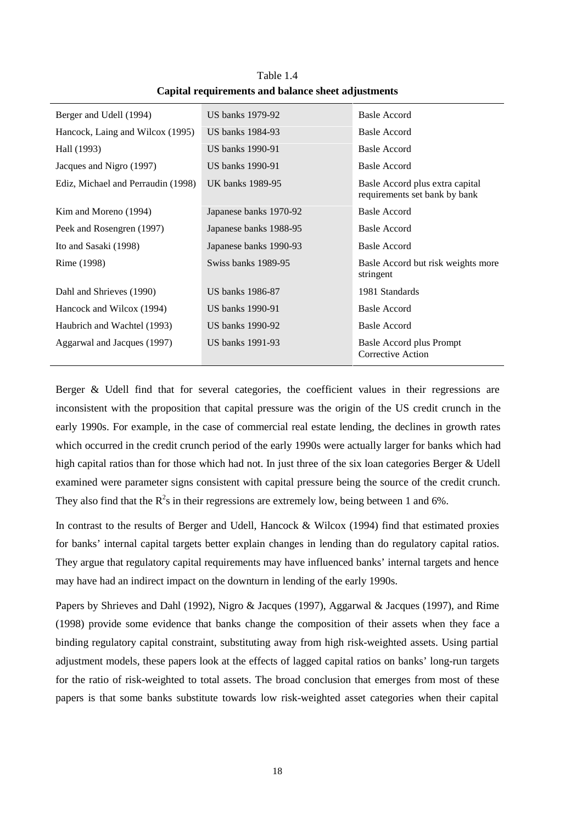| Berger and Udell (1994)            | US banks 1979-92       | <b>Basle Accord</b>                                              |
|------------------------------------|------------------------|------------------------------------------------------------------|
| Hancock, Laing and Wilcox (1995)   | US banks 1984-93       | <b>Basle Accord</b>                                              |
| Hall (1993)                        | US banks 1990-91       | <b>Basle Accord</b>                                              |
| Jacques and Nigro (1997)           | US banks 1990-91       | Basle Accord                                                     |
| Ediz, Michael and Perraudin (1998) | UK banks 1989-95       | Basle Accord plus extra capital<br>requirements set bank by bank |
| Kim and Moreno (1994)              | Japanese banks 1970-92 | Basle Accord                                                     |
| Peek and Rosengren (1997)          | Japanese banks 1988-95 | <b>Basle Accord</b>                                              |
| Ito and Sasaki (1998)              | Japanese banks 1990-93 | Basle Accord                                                     |
| Rime (1998)                        | Swiss banks 1989-95    | Basle Accord but risk weights more<br>stringent                  |
| Dahl and Shrieves (1990)           | US banks 1986-87       | 1981 Standards                                                   |
| Hancock and Wilcox (1994)          | US banks 1990-91       | Basle Accord                                                     |
| Haubrich and Wachtel (1993)        | US banks 1990-92       | Basle Accord                                                     |
| Aggarwal and Jacques (1997)        | US banks 1991-93       | Basle Accord plus Prompt<br>Corrective Action                    |

Table 1.4 **Capital requirements and balance sheet adjustments**

Berger & Udell find that for several categories, the coefficient values in their regressions are inconsistent with the proposition that capital pressure was the origin of the US credit crunch in the early 1990s. For example, in the case of commercial real estate lending, the declines in growth rates which occurred in the credit crunch period of the early 1990s were actually larger for banks which had high capital ratios than for those which had not. In just three of the six loan categories Berger & Udell examined were parameter signs consistent with capital pressure being the source of the credit crunch. They also find that the  $R^2$ s in their regressions are extremely low, being between 1 and 6%.

In contrast to the results of Berger and Udell, Hancock & Wilcox (1994) find that estimated proxies for banks' internal capital targets better explain changes in lending than do regulatory capital ratios. They argue that regulatory capital requirements may have influenced banks' internal targets and hence may have had an indirect impact on the downturn in lending of the early 1990s.

Papers by Shrieves and Dahl (1992), Nigro & Jacques (1997), Aggarwal & Jacques (1997), and Rime (1998) provide some evidence that banks change the composition of their assets when they face a binding regulatory capital constraint, substituting away from high risk-weighted assets. Using partial adjustment models, these papers look at the effects of lagged capital ratios on banks' long-run targets for the ratio of risk-weighted to total assets. The broad conclusion that emerges from most of these papers is that some banks substitute towards low risk-weighted asset categories when their capital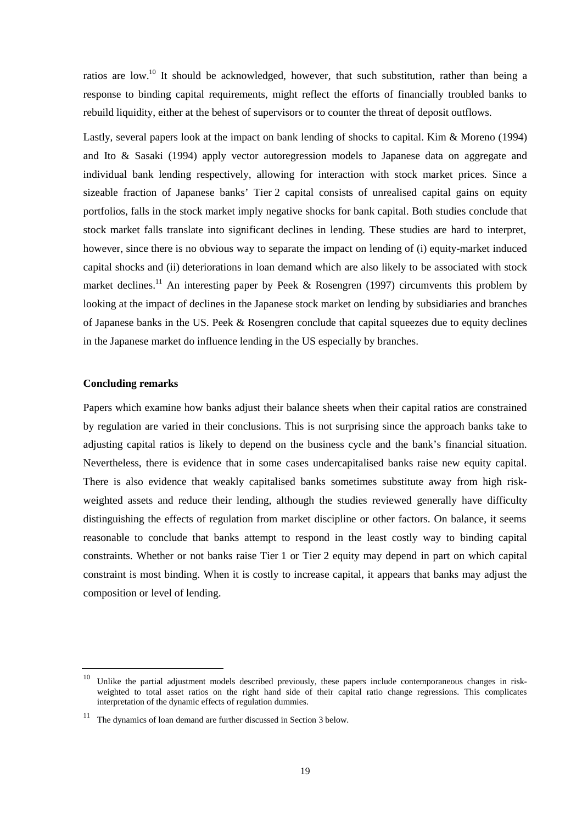ratios are low.<sup>10</sup> It should be acknowledged, however, that such substitution, rather than being a response to binding capital requirements, might reflect the efforts of financially troubled banks to rebuild liquidity, either at the behest of supervisors or to counter the threat of deposit outflows.

Lastly, several papers look at the impact on bank lending of shocks to capital. Kim & Moreno (1994) and Ito & Sasaki (1994) apply vector autoregression models to Japanese data on aggregate and individual bank lending respectively, allowing for interaction with stock market prices. Since a sizeable fraction of Japanese banks' Tier 2 capital consists of unrealised capital gains on equity portfolios, falls in the stock market imply negative shocks for bank capital. Both studies conclude that stock market falls translate into significant declines in lending. These studies are hard to interpret, however, since there is no obvious way to separate the impact on lending of (i) equity-market induced capital shocks and (ii) deteriorations in loan demand which are also likely to be associated with stock market declines.<sup>11</sup> An interesting paper by Peek & Rosengren (1997) circumvents this problem by looking at the impact of declines in the Japanese stock market on lending by subsidiaries and branches of Japanese banks in the US. Peek & Rosengren conclude that capital squeezes due to equity declines in the Japanese market do influence lending in the US especially by branches.

#### **Concluding remarks**

Papers which examine how banks adjust their balance sheets when their capital ratios are constrained by regulation are varied in their conclusions. This is not surprising since the approach banks take to adjusting capital ratios is likely to depend on the business cycle and the bank's financial situation. Nevertheless, there is evidence that in some cases undercapitalised banks raise new equity capital. There is also evidence that weakly capitalised banks sometimes substitute away from high riskweighted assets and reduce their lending, although the studies reviewed generally have difficulty distinguishing the effects of regulation from market discipline or other factors. On balance, it seems reasonable to conclude that banks attempt to respond in the least costly way to binding capital constraints. Whether or not banks raise Tier 1 or Tier 2 equity may depend in part on which capital constraint is most binding. When it is costly to increase capital, it appears that banks may adjust the composition or level of lending.

<sup>10</sup> Unlike the partial adjustment models described previously, these papers include contemporaneous changes in riskweighted to total asset ratios on the right hand side of their capital ratio change regressions. This complicates interpretation of the dynamic effects of regulation dummies.

 $11$  The dynamics of loan demand are further discussed in Section 3 below.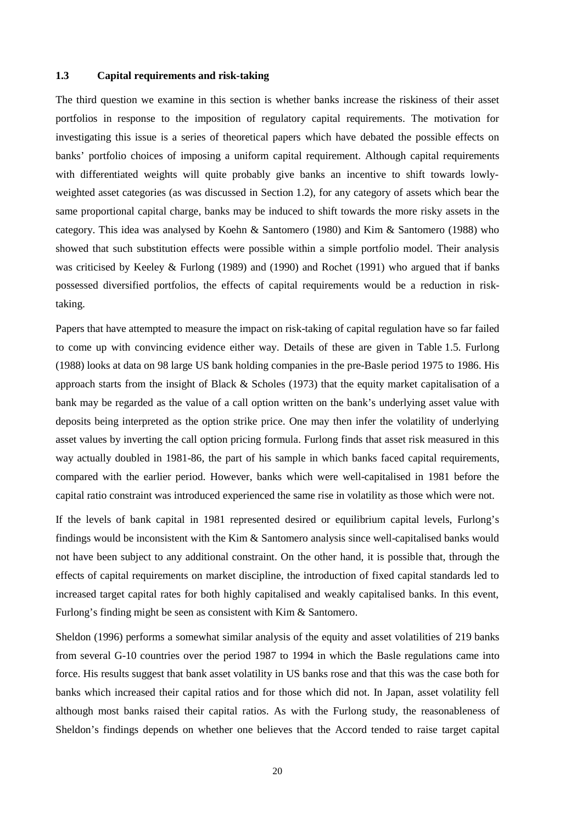#### **1.3 Capital requirements and risk-taking**

The third question we examine in this section is whether banks increase the riskiness of their asset portfolios in response to the imposition of regulatory capital requirements. The motivation for investigating this issue is a series of theoretical papers which have debated the possible effects on banks' portfolio choices of imposing a uniform capital requirement. Although capital requirements with differentiated weights will quite probably give banks an incentive to shift towards lowlyweighted asset categories (as was discussed in Section 1.2), for any category of assets which bear the same proportional capital charge, banks may be induced to shift towards the more risky assets in the category. This idea was analysed by Koehn & Santomero (1980) and Kim & Santomero (1988) who showed that such substitution effects were possible within a simple portfolio model. Their analysis was criticised by Keeley & Furlong (1989) and (1990) and Rochet (1991) who argued that if banks possessed diversified portfolios, the effects of capital requirements would be a reduction in risktaking.

Papers that have attempted to measure the impact on risk-taking of capital regulation have so far failed to come up with convincing evidence either way. Details of these are given in Table 1.5. Furlong (1988) looks at data on 98 large US bank holding companies in the pre-Basle period 1975 to 1986. His approach starts from the insight of Black & Scholes (1973) that the equity market capitalisation of a bank may be regarded as the value of a call option written on the bank's underlying asset value with deposits being interpreted as the option strike price. One may then infer the volatility of underlying asset values by inverting the call option pricing formula. Furlong finds that asset risk measured in this way actually doubled in 1981-86, the part of his sample in which banks faced capital requirements, compared with the earlier period. However, banks which were well-capitalised in 1981 before the capital ratio constraint was introduced experienced the same rise in volatility as those which were not.

If the levels of bank capital in 1981 represented desired or equilibrium capital levels, Furlong's findings would be inconsistent with the Kim & Santomero analysis since well-capitalised banks would not have been subject to any additional constraint. On the other hand, it is possible that, through the effects of capital requirements on market discipline, the introduction of fixed capital standards led to increased target capital rates for both highly capitalised and weakly capitalised banks. In this event, Furlong's finding might be seen as consistent with Kim & Santomero.

Sheldon (1996) performs a somewhat similar analysis of the equity and asset volatilities of 219 banks from several G-10 countries over the period 1987 to 1994 in which the Basle regulations came into force. His results suggest that bank asset volatility in US banks rose and that this was the case both for banks which increased their capital ratios and for those which did not. In Japan, asset volatility fell although most banks raised their capital ratios. As with the Furlong study, the reasonableness of Sheldon's findings depends on whether one believes that the Accord tended to raise target capital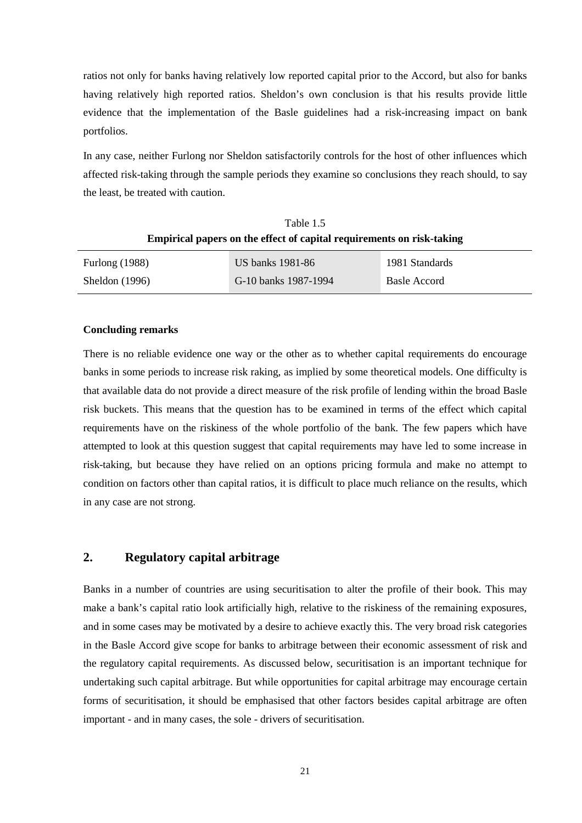ratios not only for banks having relatively low reported capital prior to the Accord, but also for banks having relatively high reported ratios. Sheldon's own conclusion is that his results provide little evidence that the implementation of the Basle guidelines had a risk-increasing impact on bank portfolios.

In any case, neither Furlong nor Sheldon satisfactorily controls for the host of other influences which affected risk-taking through the sample periods they examine so conclusions they reach should, to say the least, be treated with caution.

Table 1.5 **Empirical papers on the effect of capital requirements on risk-taking**

| Furlong $(1988)$ | US banks 1981-86     | 1981 Standards |
|------------------|----------------------|----------------|
| Sheldon $(1996)$ | G-10 banks 1987-1994 | Basle Accord   |

#### **Concluding remarks**

There is no reliable evidence one way or the other as to whether capital requirements do encourage banks in some periods to increase risk raking, as implied by some theoretical models. One difficulty is that available data do not provide a direct measure of the risk profile of lending within the broad Basle risk buckets. This means that the question has to be examined in terms of the effect which capital requirements have on the riskiness of the whole portfolio of the bank. The few papers which have attempted to look at this question suggest that capital requirements may have led to some increase in risk-taking, but because they have relied on an options pricing formula and make no attempt to condition on factors other than capital ratios, it is difficult to place much reliance on the results, which in any case are not strong.

# **2. Regulatory capital arbitrage**

Banks in a number of countries are using securitisation to alter the profile of their book. This may make a bank's capital ratio look artificially high, relative to the riskiness of the remaining exposures, and in some cases may be motivated by a desire to achieve exactly this. The very broad risk categories in the Basle Accord give scope for banks to arbitrage between their economic assessment of risk and the regulatory capital requirements. As discussed below, securitisation is an important technique for undertaking such capital arbitrage. But while opportunities for capital arbitrage may encourage certain forms of securitisation, it should be emphasised that other factors besides capital arbitrage are often important - and in many cases, the sole - drivers of securitisation.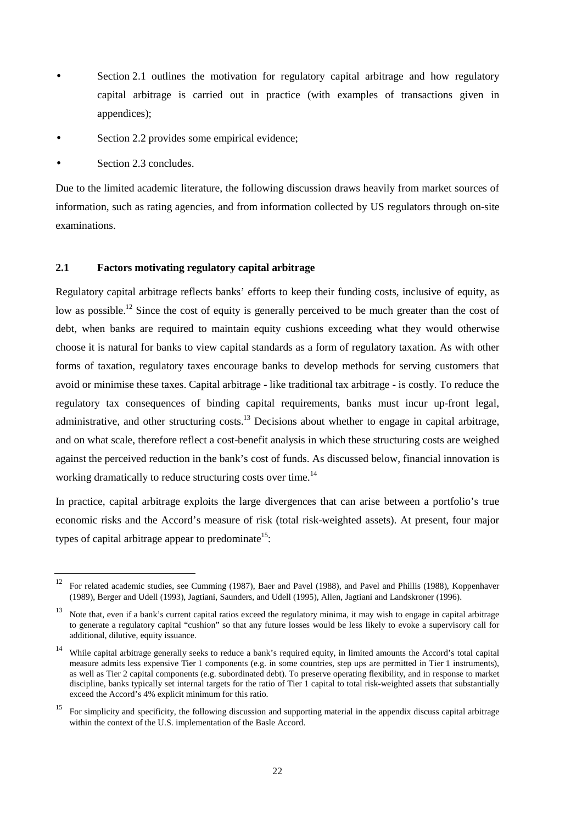- Section 2.1 outlines the motivation for regulatory capital arbitrage and how regulatory capital arbitrage is carried out in practice (with examples of transactions given in appendices);
- Section 2.2 provides some empirical evidence;
- Section 2.3 concludes.

Due to the limited academic literature, the following discussion draws heavily from market sources of information, such as rating agencies, and from information collected by US regulators through on-site examinations.

### **2.1 Factors motivating regulatory capital arbitrage**

Regulatory capital arbitrage reflects banks' efforts to keep their funding costs, inclusive of equity, as low as possible.<sup>12</sup> Since the cost of equity is generally perceived to be much greater than the cost of debt, when banks are required to maintain equity cushions exceeding what they would otherwise choose it is natural for banks to view capital standards as a form of regulatory taxation. As with other forms of taxation, regulatory taxes encourage banks to develop methods for serving customers that avoid or minimise these taxes. Capital arbitrage - like traditional tax arbitrage - is costly. To reduce the regulatory tax consequences of binding capital requirements, banks must incur up-front legal, administrative, and other structuring costs.<sup>13</sup> Decisions about whether to engage in capital arbitrage, and on what scale, therefore reflect a cost-benefit analysis in which these structuring costs are weighed against the perceived reduction in the bank's cost of funds. As discussed below, financial innovation is working dramatically to reduce structuring costs over time.<sup>14</sup>

In practice, capital arbitrage exploits the large divergences that can arise between a portfolio's true economic risks and the Accord's measure of risk (total risk-weighted assets). At present, four major types of capital arbitrage appear to predominate<sup>15</sup>:

<sup>&</sup>lt;sup>12</sup> For related academic studies, see Cumming (1987), Baer and Pavel (1988), and Pavel and Phillis (1988), Koppenhaver (1989), Berger and Udell (1993), Jagtiani, Saunders, and Udell (1995), Allen, Jagtiani and Landskroner (1996).

<sup>&</sup>lt;sup>13</sup> Note that, even if a bank's current capital ratios exceed the regulatory minima, it may wish to engage in capital arbitrage to generate a regulatory capital "cushion" so that any future losses would be less likely to evoke a supervisory call for additional, dilutive, equity issuance.

<sup>&</sup>lt;sup>14</sup> While capital arbitrage generally seeks to reduce a bank's required equity, in limited amounts the Accord's total capital measure admits less expensive Tier 1 components (e.g. in some countries, step ups are permitted in Tier 1 instruments), as well as Tier 2 capital components (e.g. subordinated debt). To preserve operating flexibility, and in response to market discipline, banks typically set internal targets for the ratio of Tier 1 capital to total risk-weighted assets that substantially exceed the Accord's 4% explicit minimum for this ratio.

<sup>&</sup>lt;sup>15</sup> For simplicity and specificity, the following discussion and supporting material in the appendix discuss capital arbitrage within the context of the U.S. implementation of the Basle Accord.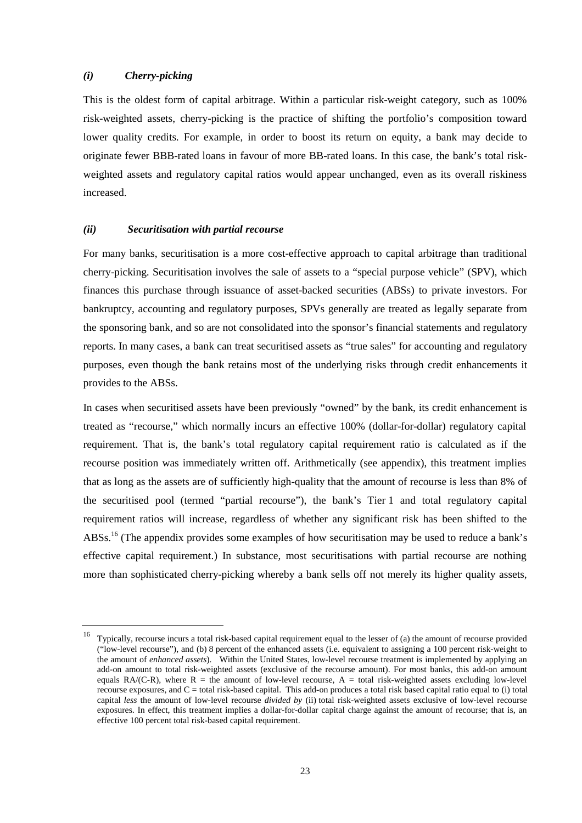#### *(i) Cherry-picking*

This is the oldest form of capital arbitrage. Within a particular risk-weight category, such as 100% risk-weighted assets, cherry-picking is the practice of shifting the portfolio's composition toward lower quality credits. For example, in order to boost its return on equity, a bank may decide to originate fewer BBB-rated loans in favour of more BB-rated loans. In this case, the bank's total riskweighted assets and regulatory capital ratios would appear unchanged, even as its overall riskiness increased.

#### *(ii) Securitisation with partial recourse*

For many banks, securitisation is a more cost-effective approach to capital arbitrage than traditional cherry-picking. Securitisation involves the sale of assets to a "special purpose vehicle" (SPV), which finances this purchase through issuance of asset-backed securities (ABSs) to private investors. For bankruptcy, accounting and regulatory purposes, SPVs generally are treated as legally separate from the sponsoring bank, and so are not consolidated into the sponsor's financial statements and regulatory reports. In many cases, a bank can treat securitised assets as "true sales" for accounting and regulatory purposes, even though the bank retains most of the underlying risks through credit enhancements it provides to the ABSs.

In cases when securitised assets have been previously "owned" by the bank, its credit enhancement is treated as "recourse," which normally incurs an effective 100% (dollar-for-dollar) regulatory capital requirement. That is, the bank's total regulatory capital requirement ratio is calculated as if the recourse position was immediately written off. Arithmetically (see appendix), this treatment implies that as long as the assets are of sufficiently high-quality that the amount of recourse is less than 8% of the securitised pool (termed "partial recourse"), the bank's Tier 1 and total regulatory capital requirement ratios will increase, regardless of whether any significant risk has been shifted to the ABSs.<sup>16</sup> (The appendix provides some examples of how securitisation may be used to reduce a bank's effective capital requirement.) In substance, most securitisations with partial recourse are nothing more than sophisticated cherry-picking whereby a bank sells off not merely its higher quality assets,

<sup>16</sup> Typically, recourse incurs a total risk-based capital requirement equal to the lesser of (a) the amount of recourse provided ("low-level recourse"), and (b) 8 percent of the enhanced assets (i.e. equivalent to assigning a 100 percent risk-weight to the amount of *enhanced assets*). Within the United States, low-level recourse treatment is implemented by applying an add-on amount to total risk-weighted assets (exclusive of the recourse amount). For most banks, this add-on amount equals  $RA/(C-R)$ , where  $R =$  the amount of low-level recourse,  $A =$  total risk-weighted assets excluding low-level recourse exposures, and  $C =$  total risk-based capital. This add-on produces a total risk based capital ratio equal to (i) total capital *less* the amount of low-level recourse *divided by* (ii) total risk-weighted assets exclusive of low-level recourse exposures. In effect, this treatment implies a dollar-for-dollar capital charge against the amount of recourse; that is, an effective 100 percent total risk-based capital requirement.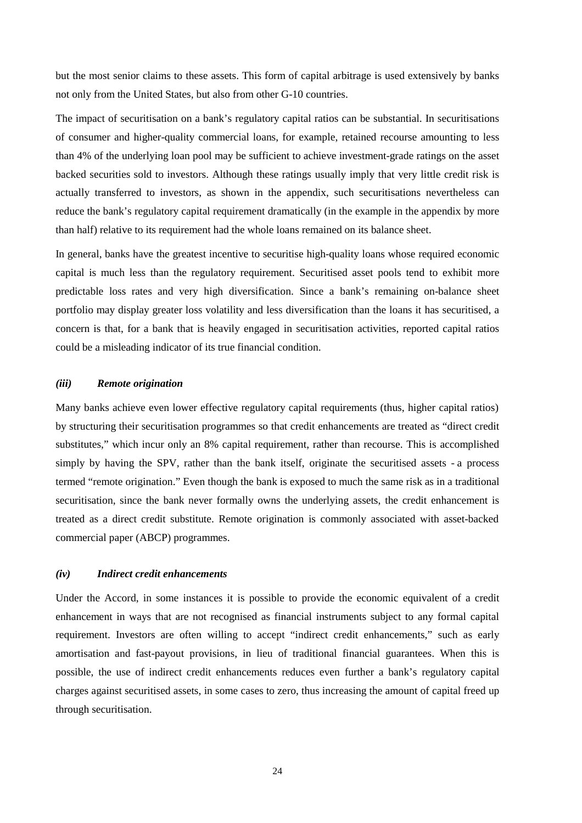but the most senior claims to these assets. This form of capital arbitrage is used extensively by banks not only from the United States, but also from other G-10 countries.

The impact of securitisation on a bank's regulatory capital ratios can be substantial. In securitisations of consumer and higher-quality commercial loans, for example, retained recourse amounting to less than 4% of the underlying loan pool may be sufficient to achieve investment-grade ratings on the asset backed securities sold to investors. Although these ratings usually imply that very little credit risk is actually transferred to investors, as shown in the appendix, such securitisations nevertheless can reduce the bank's regulatory capital requirement dramatically (in the example in the appendix by more than half) relative to its requirement had the whole loans remained on its balance sheet.

In general, banks have the greatest incentive to securitise high-quality loans whose required economic capital is much less than the regulatory requirement. Securitised asset pools tend to exhibit more predictable loss rates and very high diversification. Since a bank's remaining on-balance sheet portfolio may display greater loss volatility and less diversification than the loans it has securitised, a concern is that, for a bank that is heavily engaged in securitisation activities, reported capital ratios could be a misleading indicator of its true financial condition.

#### *(iii) Remote origination*

Many banks achieve even lower effective regulatory capital requirements (thus, higher capital ratios) by structuring their securitisation programmes so that credit enhancements are treated as "direct credit substitutes," which incur only an 8% capital requirement, rather than recourse. This is accomplished simply by having the SPV, rather than the bank itself, originate the securitised assets - a process termed "remote origination." Even though the bank is exposed to much the same risk as in a traditional securitisation, since the bank never formally owns the underlying assets, the credit enhancement is treated as a direct credit substitute. Remote origination is commonly associated with asset-backed commercial paper (ABCP) programmes.

#### *(iv) Indirect credit enhancements*

Under the Accord, in some instances it is possible to provide the economic equivalent of a credit enhancement in ways that are not recognised as financial instruments subject to any formal capital requirement. Investors are often willing to accept "indirect credit enhancements," such as early amortisation and fast-payout provisions, in lieu of traditional financial guarantees. When this is possible, the use of indirect credit enhancements reduces even further a bank's regulatory capital charges against securitised assets, in some cases to zero, thus increasing the amount of capital freed up through securitisation.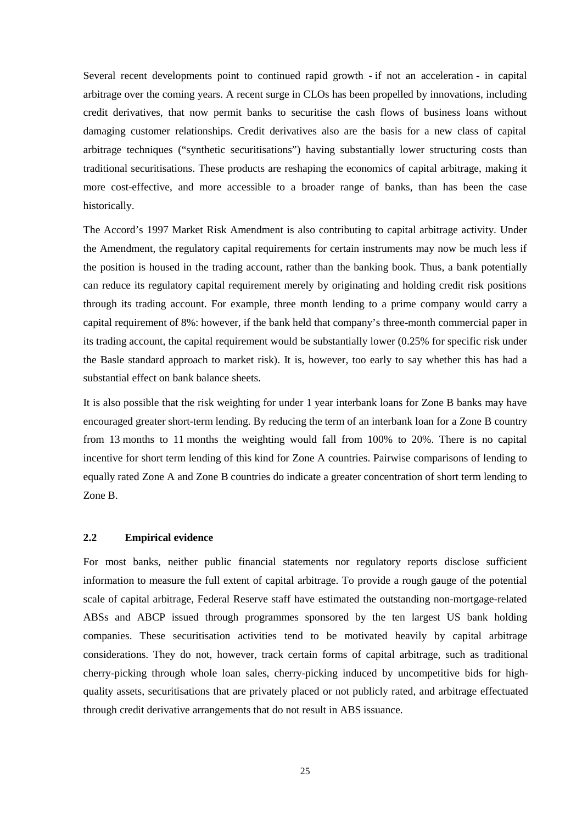Several recent developments point to continued rapid growth - if not an acceleration - in capital arbitrage over the coming years. A recent surge in CLOs has been propelled by innovations, including credit derivatives, that now permit banks to securitise the cash flows of business loans without damaging customer relationships. Credit derivatives also are the basis for a new class of capital arbitrage techniques ("synthetic securitisations") having substantially lower structuring costs than traditional securitisations. These products are reshaping the economics of capital arbitrage, making it more cost-effective, and more accessible to a broader range of banks, than has been the case historically.

The Accord's 1997 Market Risk Amendment is also contributing to capital arbitrage activity. Under the Amendment, the regulatory capital requirements for certain instruments may now be much less if the position is housed in the trading account, rather than the banking book. Thus, a bank potentially can reduce its regulatory capital requirement merely by originating and holding credit risk positions through its trading account. For example, three month lending to a prime company would carry a capital requirement of 8%: however, if the bank held that company's three-month commercial paper in its trading account, the capital requirement would be substantially lower (0.25% for specific risk under the Basle standard approach to market risk). It is, however, too early to say whether this has had a substantial effect on bank balance sheets.

It is also possible that the risk weighting for under 1 year interbank loans for Zone B banks may have encouraged greater short-term lending. By reducing the term of an interbank loan for a Zone B country from 13 months to 11 months the weighting would fall from 100% to 20%. There is no capital incentive for short term lending of this kind for Zone A countries. Pairwise comparisons of lending to equally rated Zone A and Zone B countries do indicate a greater concentration of short term lending to Zone B.

#### **2.2 Empirical evidence**

For most banks, neither public financial statements nor regulatory reports disclose sufficient information to measure the full extent of capital arbitrage. To provide a rough gauge of the potential scale of capital arbitrage, Federal Reserve staff have estimated the outstanding non-mortgage-related ABSs and ABCP issued through programmes sponsored by the ten largest US bank holding companies. These securitisation activities tend to be motivated heavily by capital arbitrage considerations. They do not, however, track certain forms of capital arbitrage, such as traditional cherry-picking through whole loan sales, cherry-picking induced by uncompetitive bids for highquality assets, securitisations that are privately placed or not publicly rated, and arbitrage effectuated through credit derivative arrangements that do not result in ABS issuance.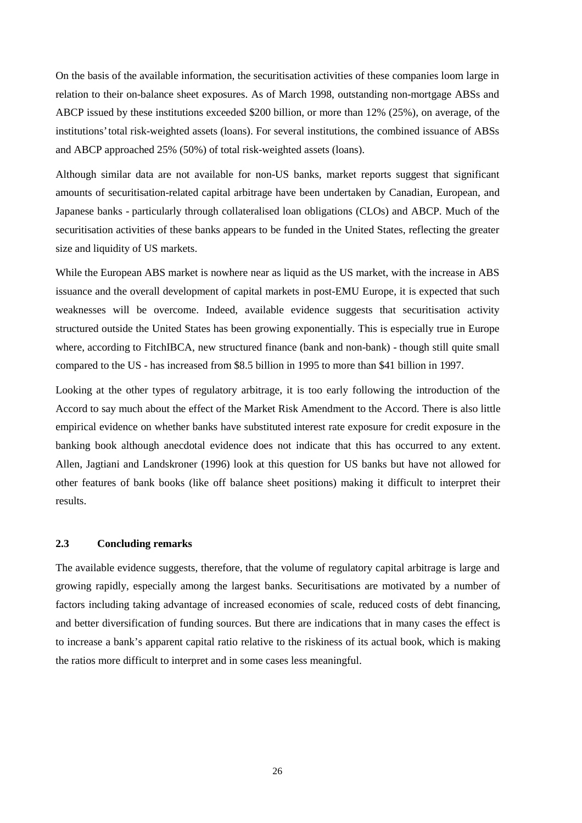On the basis of the available information, the securitisation activities of these companies loom large in relation to their on-balance sheet exposures. As of March 1998, outstanding non-mortgage ABSs and ABCP issued by these institutions exceeded \$200 billion, or more than 12% (25%), on average, of the institutions' total risk-weighted assets (loans). For several institutions, the combined issuance of ABSs and ABCP approached 25% (50%) of total risk-weighted assets (loans).

Although similar data are not available for non-US banks, market reports suggest that significant amounts of securitisation-related capital arbitrage have been undertaken by Canadian, European, and Japanese banks - particularly through collateralised loan obligations (CLOs) and ABCP. Much of the securitisation activities of these banks appears to be funded in the United States, reflecting the greater size and liquidity of US markets.

While the European ABS market is nowhere near as liquid as the US market, with the increase in ABS issuance and the overall development of capital markets in post-EMU Europe, it is expected that such weaknesses will be overcome. Indeed, available evidence suggests that securitisation activity structured outside the United States has been growing exponentially. This is especially true in Europe where, according to FitchIBCA, new structured finance (bank and non-bank) - though still quite small compared to the US - has increased from \$8.5 billion in 1995 to more than \$41 billion in 1997.

Looking at the other types of regulatory arbitrage, it is too early following the introduction of the Accord to say much about the effect of the Market Risk Amendment to the Accord. There is also little empirical evidence on whether banks have substituted interest rate exposure for credit exposure in the banking book although anecdotal evidence does not indicate that this has occurred to any extent. Allen, Jagtiani and Landskroner (1996) look at this question for US banks but have not allowed for other features of bank books (like off balance sheet positions) making it difficult to interpret their results.

#### **2.3 Concluding remarks**

The available evidence suggests, therefore, that the volume of regulatory capital arbitrage is large and growing rapidly, especially among the largest banks. Securitisations are motivated by a number of factors including taking advantage of increased economies of scale, reduced costs of debt financing, and better diversification of funding sources. But there are indications that in many cases the effect is to increase a bank's apparent capital ratio relative to the riskiness of its actual book, which is making the ratios more difficult to interpret and in some cases less meaningful.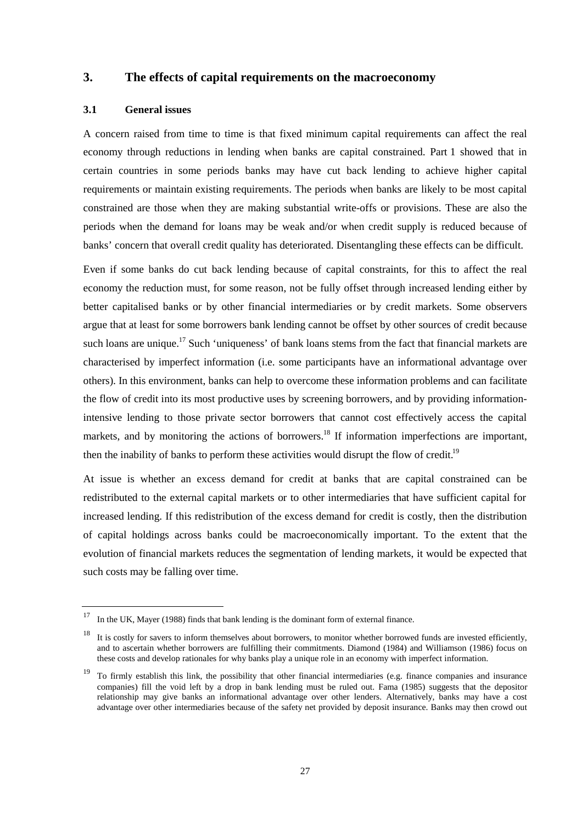## **3. The effects of capital requirements on the macroeconomy**

#### **3.1 General issues**

A concern raised from time to time is that fixed minimum capital requirements can affect the real economy through reductions in lending when banks are capital constrained. Part 1 showed that in certain countries in some periods banks may have cut back lending to achieve higher capital requirements or maintain existing requirements. The periods when banks are likely to be most capital constrained are those when they are making substantial write-offs or provisions. These are also the periods when the demand for loans may be weak and/or when credit supply is reduced because of banks' concern that overall credit quality has deteriorated. Disentangling these effects can be difficult.

Even if some banks do cut back lending because of capital constraints, for this to affect the real economy the reduction must, for some reason, not be fully offset through increased lending either by better capitalised banks or by other financial intermediaries or by credit markets. Some observers argue that at least for some borrowers bank lending cannot be offset by other sources of credit because such loans are unique.<sup>17</sup> Such 'uniqueness' of bank loans stems from the fact that financial markets are characterised by imperfect information (i.e. some participants have an informational advantage over others). In this environment, banks can help to overcome these information problems and can facilitate the flow of credit into its most productive uses by screening borrowers, and by providing informationintensive lending to those private sector borrowers that cannot cost effectively access the capital markets, and by monitoring the actions of borrowers.<sup>18</sup> If information imperfections are important, then the inability of banks to perform these activities would disrupt the flow of credit.<sup>19</sup>

At issue is whether an excess demand for credit at banks that are capital constrained can be redistributed to the external capital markets or to other intermediaries that have sufficient capital for increased lending. If this redistribution of the excess demand for credit is costly, then the distribution of capital holdings across banks could be macroeconomically important. To the extent that the evolution of financial markets reduces the segmentation of lending markets, it would be expected that such costs may be falling over time.

 $17$  In the UK, Mayer (1988) finds that bank lending is the dominant form of external finance.

 $18$  It is costly for savers to inform themselves about borrowers, to monitor whether borrowed funds are invested efficiently, and to ascertain whether borrowers are fulfilling their commitments. Diamond (1984) and Williamson (1986) focus on these costs and develop rationales for why banks play a unique role in an economy with imperfect information.

<sup>&</sup>lt;sup>19</sup> To firmly establish this link, the possibility that other financial intermediaries (e.g. finance companies and insurance companies) fill the void left by a drop in bank lending must be ruled out. Fama (1985) suggests that the depositor relationship may give banks an informational advantage over other lenders. Alternatively, banks may have a cost advantage over other intermediaries because of the safety net provided by deposit insurance. Banks may then crowd out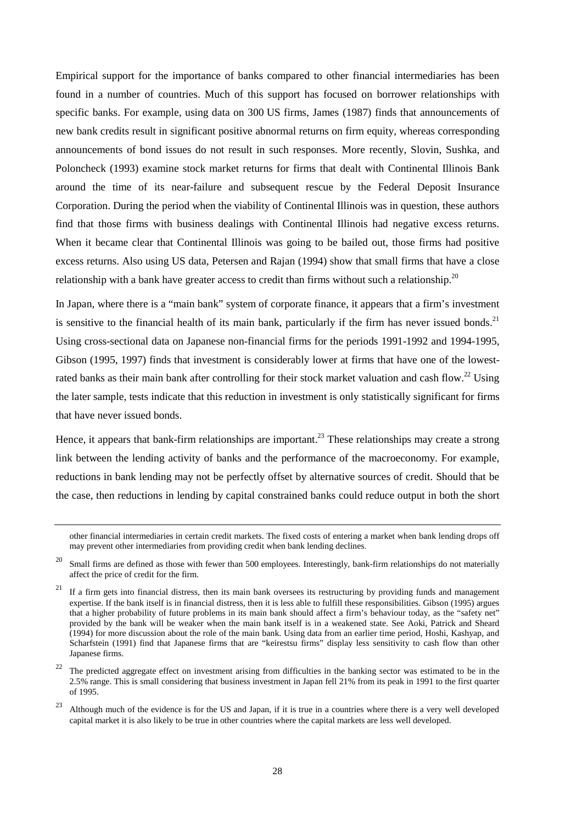Empirical support for the importance of banks compared to other financial intermediaries has been found in a number of countries. Much of this support has focused on borrower relationships with specific banks. For example, using data on 300 US firms, James (1987) finds that announcements of new bank credits result in significant positive abnormal returns on firm equity, whereas corresponding announcements of bond issues do not result in such responses. More recently, Slovin, Sushka, and Poloncheck (1993) examine stock market returns for firms that dealt with Continental Illinois Bank around the time of its near-failure and subsequent rescue by the Federal Deposit Insurance Corporation. During the period when the viability of Continental Illinois was in question, these authors find that those firms with business dealings with Continental Illinois had negative excess returns. When it became clear that Continental Illinois was going to be bailed out, those firms had positive excess returns. Also using US data, Petersen and Rajan (1994) show that small firms that have a close relationship with a bank have greater access to credit than firms without such a relationship.<sup>20</sup>

In Japan, where there is a "main bank" system of corporate finance, it appears that a firm's investment is sensitive to the financial health of its main bank, particularly if the firm has never issued bonds.<sup>21</sup> Using cross-sectional data on Japanese non-financial firms for the periods 1991-1992 and 1994-1995, Gibson (1995, 1997) finds that investment is considerably lower at firms that have one of the lowestrated banks as their main bank after controlling for their stock market valuation and cash flow.<sup>22</sup> Using the later sample, tests indicate that this reduction in investment is only statistically significant for firms that have never issued bonds.

Hence, it appears that bank-firm relationships are important.<sup>23</sup> These relationships may create a strong link between the lending activity of banks and the performance of the macroeconomy. For example, reductions in bank lending may not be perfectly offset by alternative sources of credit. Should that be the case, then reductions in lending by capital constrained banks could reduce output in both the short

other financial intermediaries in certain credit markets. The fixed costs of entering a market when bank lending drops off may prevent other intermediaries from providing credit when bank lending declines.

 $20$  Small firms are defined as those with fewer than 500 employees. Interestingly, bank-firm relationships do not materially affect the price of credit for the firm.

 $21$  If a firm gets into financial distress, then its main bank oversees its restructuring by providing funds and management expertise. If the bank itself is in financial distress, then it is less able to fulfill these responsibilities. Gibson (1995) argues that a higher probability of future problems in its main bank should affect a firm's behaviour today, as the "safety net" provided by the bank will be weaker when the main bank itself is in a weakened state. See Aoki, Patrick and Sheard (1994) for more discussion about the role of the main bank. Using data from an earlier time period, Hoshi, Kashyap, and Scharfstein (1991) find that Japanese firms that are "keirestsu firms" display less sensitivity to cash flow than other Japanese firms.

<sup>&</sup>lt;sup>22</sup> The predicted aggregate effect on investment arising from difficulties in the banking sector was estimated to be in the 2.5% range. This is small considering that business investment in Japan fell 21% from its peak in 1991 to the first quarter of 1995.

<sup>23</sup> Although much of the evidence is for the US and Japan, if it is true in a countries where there is a very well developed capital market it is also likely to be true in other countries where the capital markets are less well developed.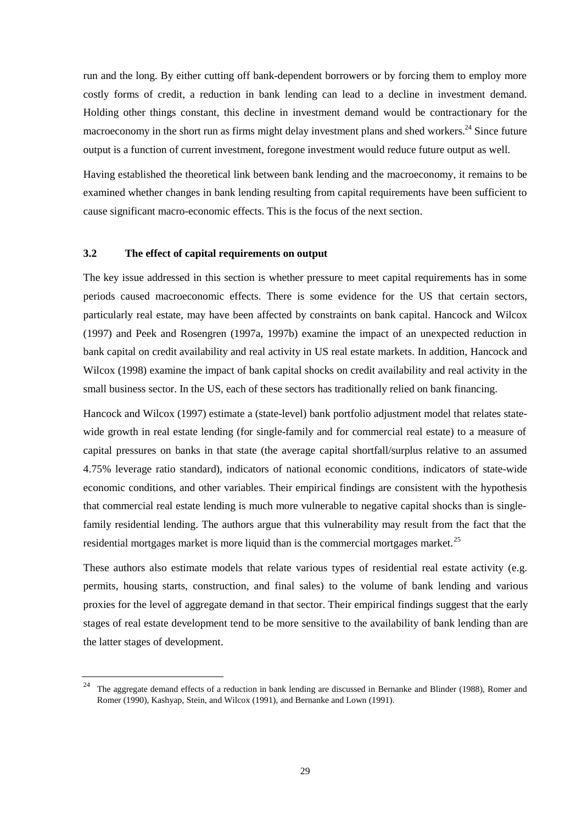run and the long. By either cutting off bank-dependent borrowers or by forcing them to employ more costly forms of credit, a reduction in bank lending can lead to a decline in investment demand. Holding other things constant, this decline in investment demand would be contractionary for the macroeconomy in the short run as firms might delay investment plans and shed workers.<sup>24</sup> Since future output is a function of current investment, foregone investment would reduce future output as well.

Having established the theoretical link between bank lending and the macroeconomy, it remains to be examined whether changes in bank lending resulting from capital requirements have been sufficient to cause significant macro-economic effects. This is the focus of the next section.

#### **3.2 The effect of capital requirements on output**

The key issue addressed in this section is whether pressure to meet capital requirements has in some periods caused macroeconomic effects. There is some evidence for the US that certain sectors, particularly real estate, may have been affected by constraints on bank capital. Hancock and Wilcox (1997) and Peek and Rosengren (1997a, 1997b) examine the impact of an unexpected reduction in bank capital on credit availability and real activity in US real estate markets. In addition, Hancock and Wilcox (1998) examine the impact of bank capital shocks on credit availability and real activity in the small business sector. In the US, each of these sectors has traditionally relied on bank financing.

Hancock and Wilcox (1997) estimate a (state-level) bank portfolio adjustment model that relates statewide growth in real estate lending (for single-family and for commercial real estate) to a measure of capital pressures on banks in that state (the average capital shortfall/surplus relative to an assumed 4.75% leverage ratio standard), indicators of national economic conditions, indicators of state-wide economic conditions, and other variables. Their empirical findings are consistent with the hypothesis that commercial real estate lending is much more vulnerable to negative capital shocks than is singlefamily residential lending. The authors argue that this vulnerability may result from the fact that the residential mortgages market is more liquid than is the commercial mortgages market.<sup>25</sup>

These authors also estimate models that relate various types of residential real estate activity (e.g. permits, housing starts, construction, and final sales) to the volume of bank lending and various proxies for the level of aggregate demand in that sector. Their empirical findings suggest that the early stages of real estate development tend to be more sensitive to the availability of bank lending than are the latter stages of development.

<sup>&</sup>lt;sup>24</sup> The aggregate demand effects of a reduction in bank lending are discussed in Bernanke and Blinder (1988), Romer and Romer (1990), Kashyap, Stein, and Wilcox (1991), and Bernanke and Lown (1991).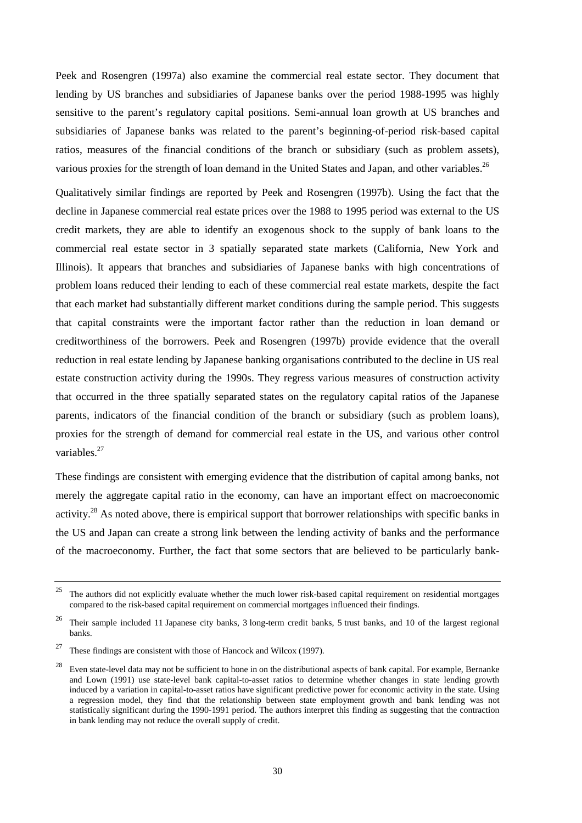Peek and Rosengren (1997a) also examine the commercial real estate sector. They document that lending by US branches and subsidiaries of Japanese banks over the period 1988-1995 was highly sensitive to the parent's regulatory capital positions. Semi-annual loan growth at US branches and subsidiaries of Japanese banks was related to the parent's beginning-of-period risk-based capital ratios, measures of the financial conditions of the branch or subsidiary (such as problem assets), various proxies for the strength of loan demand in the United States and Japan, and other variables.<sup>26</sup>

Qualitatively similar findings are reported by Peek and Rosengren (1997b). Using the fact that the decline in Japanese commercial real estate prices over the 1988 to 1995 period was external to the US credit markets, they are able to identify an exogenous shock to the supply of bank loans to the commercial real estate sector in 3 spatially separated state markets (California, New York and Illinois). It appears that branches and subsidiaries of Japanese banks with high concentrations of problem loans reduced their lending to each of these commercial real estate markets, despite the fact that each market had substantially different market conditions during the sample period. This suggests that capital constraints were the important factor rather than the reduction in loan demand or creditworthiness of the borrowers. Peek and Rosengren (1997b) provide evidence that the overall reduction in real estate lending by Japanese banking organisations contributed to the decline in US real estate construction activity during the 1990s. They regress various measures of construction activity that occurred in the three spatially separated states on the regulatory capital ratios of the Japanese parents, indicators of the financial condition of the branch or subsidiary (such as problem loans), proxies for the strength of demand for commercial real estate in the US, and various other control variables.<sup>27</sup>

These findings are consistent with emerging evidence that the distribution of capital among banks, not merely the aggregate capital ratio in the economy, can have an important effect on macroeconomic activity.<sup>28</sup> As noted above, there is empirical support that borrower relationships with specific banks in the US and Japan can create a strong link between the lending activity of banks and the performance of the macroeconomy. Further, the fact that some sectors that are believed to be particularly bank-

 $25$  The authors did not explicitly evaluate whether the much lower risk-based capital requirement on residential mortgages compared to the risk-based capital requirement on commercial mortgages influenced their findings.

<sup>&</sup>lt;sup>26</sup> Their sample included 11 Japanese city banks, 3 long-term credit banks, 5 trust banks, and 10 of the largest regional banks.

<sup>&</sup>lt;sup>27</sup> These findings are consistent with those of Hancock and Wilcox (1997).

<sup>&</sup>lt;sup>28</sup> Even state-level data may not be sufficient to hone in on the distributional aspects of bank capital. For example, Bernanke and Lown (1991) use state-level bank capital-to-asset ratios to determine whether changes in state lending growth induced by a variation in capital-to-asset ratios have significant predictive power for economic activity in the state. Using a regression model, they find that the relationship between state employment growth and bank lending was not statistically significant during the 1990-1991 period. The authors interpret this finding as suggesting that the contraction in bank lending may not reduce the overall supply of credit.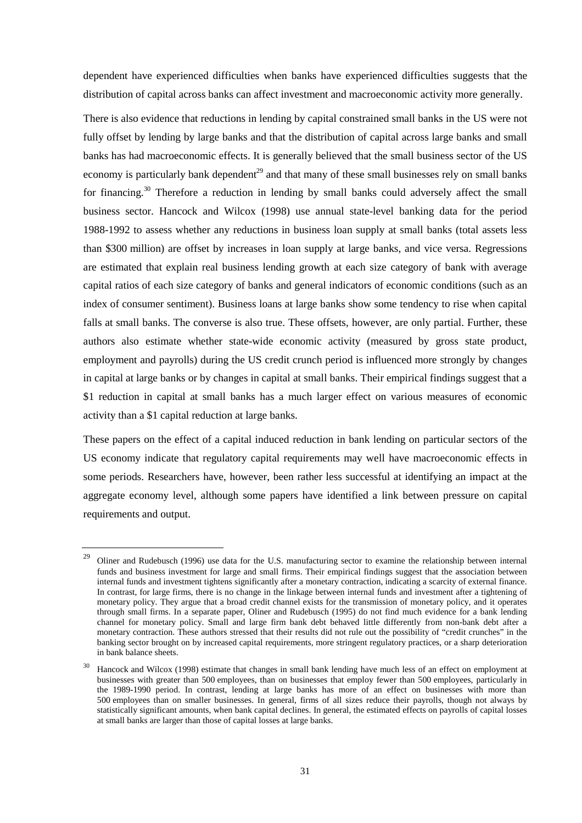dependent have experienced difficulties when banks have experienced difficulties suggests that the distribution of capital across banks can affect investment and macroeconomic activity more generally.

There is also evidence that reductions in lending by capital constrained small banks in the US were not fully offset by lending by large banks and that the distribution of capital across large banks and small banks has had macroeconomic effects. It is generally believed that the small business sector of the US economy is particularly bank dependent<sup>29</sup> and that many of these small businesses rely on small banks for financing.<sup>30</sup> Therefore a reduction in lending by small banks could adversely affect the small business sector. Hancock and Wilcox (1998) use annual state-level banking data for the period 1988-1992 to assess whether any reductions in business loan supply at small banks (total assets less than \$300 million) are offset by increases in loan supply at large banks, and vice versa. Regressions are estimated that explain real business lending growth at each size category of bank with average capital ratios of each size category of banks and general indicators of economic conditions (such as an index of consumer sentiment). Business loans at large banks show some tendency to rise when capital falls at small banks. The converse is also true. These offsets, however, are only partial. Further, these authors also estimate whether state-wide economic activity (measured by gross state product, employment and payrolls) during the US credit crunch period is influenced more strongly by changes in capital at large banks or by changes in capital at small banks. Their empirical findings suggest that a \$1 reduction in capital at small banks has a much larger effect on various measures of economic activity than a \$1 capital reduction at large banks.

These papers on the effect of a capital induced reduction in bank lending on particular sectors of the US economy indicate that regulatory capital requirements may well have macroeconomic effects in some periods. Researchers have, however, been rather less successful at identifying an impact at the aggregate economy level, although some papers have identified a link between pressure on capital requirements and output.

Oliner and Rudebusch (1996) use data for the U.S. manufacturing sector to examine the relationship between internal funds and business investment for large and small firms. Their empirical findings suggest that the association between internal funds and investment tightens significantly after a monetary contraction, indicating a scarcity of external finance. In contrast, for large firms, there is no change in the linkage between internal funds and investment after a tightening of monetary policy. They argue that a broad credit channel exists for the transmission of monetary policy, and it operates through small firms. In a separate paper, Oliner and Rudebusch (1995) do not find much evidence for a bank lending channel for monetary policy. Small and large firm bank debt behaved little differently from non-bank debt after a monetary contraction. These authors stressed that their results did not rule out the possibility of "credit crunches" in the banking sector brought on by increased capital requirements, more stringent regulatory practices, or a sharp deterioration in bank balance sheets.

<sup>30</sup> Hancock and Wilcox (1998) estimate that changes in small bank lending have much less of an effect on employment at businesses with greater than 500 employees, than on businesses that employ fewer than 500 employees, particularly in the 1989-1990 period. In contrast, lending at large banks has more of an effect on businesses with more than 500 employees than on smaller businesses. In general, firms of all sizes reduce their payrolls, though not always by statistically significant amounts, when bank capital declines. In general, the estimated effects on payrolls of capital losses at small banks are larger than those of capital losses at large banks.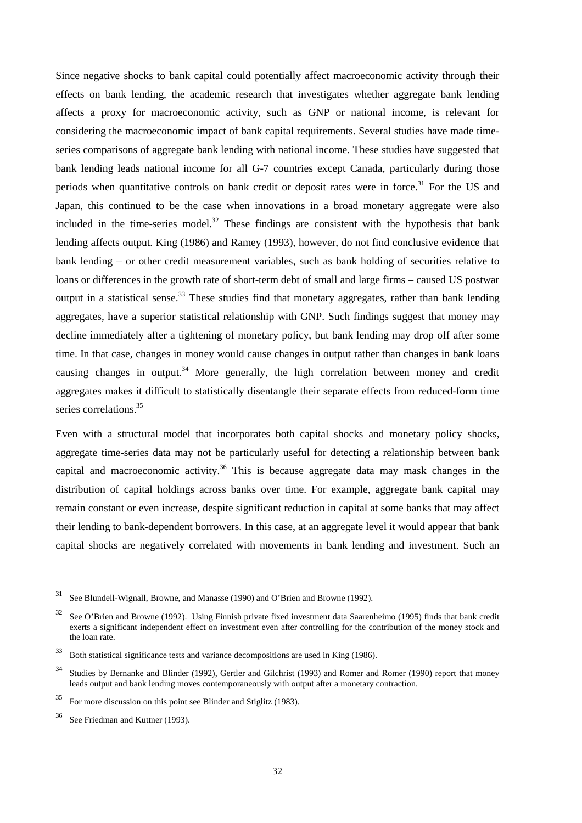Since negative shocks to bank capital could potentially affect macroeconomic activity through their effects on bank lending, the academic research that investigates whether aggregate bank lending affects a proxy for macroeconomic activity, such as GNP or national income, is relevant for considering the macroeconomic impact of bank capital requirements. Several studies have made timeseries comparisons of aggregate bank lending with national income. These studies have suggested that bank lending leads national income for all G-7 countries except Canada, particularly during those periods when quantitative controls on bank credit or deposit rates were in force.<sup>31</sup> For the US and Japan, this continued to be the case when innovations in a broad monetary aggregate were also included in the time-series model. $32$  These findings are consistent with the hypothesis that bank lending affects output. King (1986) and Ramey (1993), however, do not find conclusive evidence that bank lending – or other credit measurement variables, such as bank holding of securities relative to loans or differences in the growth rate of short-term debt of small and large firms – caused US postwar output in a statistical sense.<sup>33</sup> These studies find that monetary aggregates, rather than bank lending aggregates, have a superior statistical relationship with GNP. Such findings suggest that money may decline immediately after a tightening of monetary policy, but bank lending may drop off after some time. In that case, changes in money would cause changes in output rather than changes in bank loans causing changes in output.<sup>34</sup> More generally, the high correlation between money and credit aggregates makes it difficult to statistically disentangle their separate effects from reduced-form time series correlations.<sup>35</sup>

Even with a structural model that incorporates both capital shocks and monetary policy shocks, aggregate time-series data may not be particularly useful for detecting a relationship between bank capital and macroeconomic activity.<sup>36</sup> This is because aggregate data may mask changes in the distribution of capital holdings across banks over time. For example, aggregate bank capital may remain constant or even increase, despite significant reduction in capital at some banks that may affect their lending to bank-dependent borrowers. In this case, at an aggregate level it would appear that bank capital shocks are negatively correlated with movements in bank lending and investment. Such an

<sup>31</sup> See Blundell-Wignall, Browne, and Manasse (1990) and O'Brien and Browne (1992).

 $32$  See O'Brien and Browne (1992). Using Finnish private fixed investment data Saarenheimo (1995) finds that bank credit exerts a significant independent effect on investment even after controlling for the contribution of the money stock and the loan rate.

<sup>33</sup> Both statistical significance tests and variance decompositions are used in King (1986).

<sup>&</sup>lt;sup>34</sup> Studies by Bernanke and Blinder (1992), Gertler and Gilchrist (1993) and Romer and Romer (1990) report that money leads output and bank lending moves contemporaneously with output after a monetary contraction.

 $35$  For more discussion on this point see Blinder and Stiglitz (1983).

See Friedman and Kuttner (1993).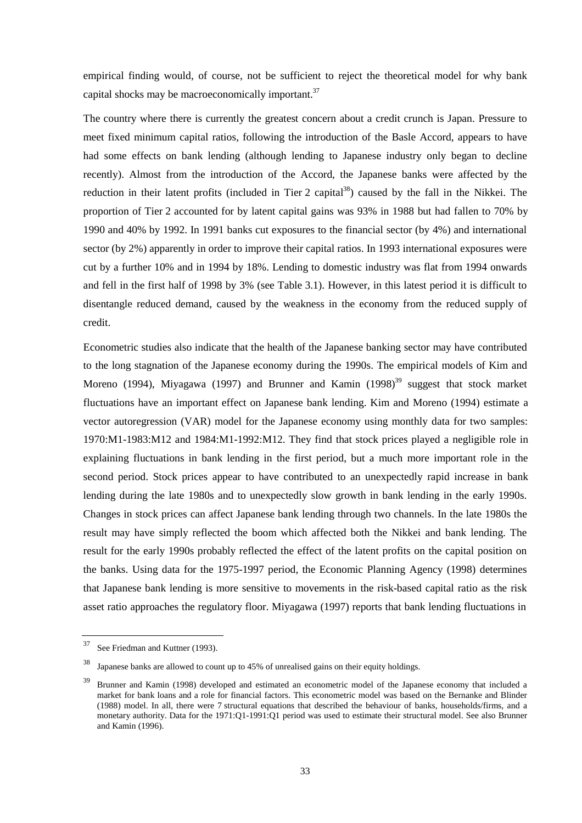empirical finding would, of course, not be sufficient to reject the theoretical model for why bank capital shocks may be macroeconomically important.<sup>37</sup>

The country where there is currently the greatest concern about a credit crunch is Japan. Pressure to meet fixed minimum capital ratios, following the introduction of the Basle Accord, appears to have had some effects on bank lending (although lending to Japanese industry only began to decline recently). Almost from the introduction of the Accord, the Japanese banks were affected by the reduction in their latent profits (included in Tier 2 capital<sup>38</sup>) caused by the fall in the Nikkei. The proportion of Tier 2 accounted for by latent capital gains was 93% in 1988 but had fallen to 70% by 1990 and 40% by 1992. In 1991 banks cut exposures to the financial sector (by 4%) and international sector (by 2%) apparently in order to improve their capital ratios. In 1993 international exposures were cut by a further 10% and in 1994 by 18%. Lending to domestic industry was flat from 1994 onwards and fell in the first half of 1998 by 3% (see Table 3.1). However, in this latest period it is difficult to disentangle reduced demand, caused by the weakness in the economy from the reduced supply of credit.

Econometric studies also indicate that the health of the Japanese banking sector may have contributed to the long stagnation of the Japanese economy during the 1990s. The empirical models of Kim and Moreno (1994), Miyagawa (1997) and Brunner and Kamin (1998)<sup>39</sup> suggest that stock market fluctuations have an important effect on Japanese bank lending. Kim and Moreno (1994) estimate a vector autoregression (VAR) model for the Japanese economy using monthly data for two samples: 1970:M1-1983:M12 and 1984:M1-1992:M12. They find that stock prices played a negligible role in explaining fluctuations in bank lending in the first period, but a much more important role in the second period. Stock prices appear to have contributed to an unexpectedly rapid increase in bank lending during the late 1980s and to unexpectedly slow growth in bank lending in the early 1990s. Changes in stock prices can affect Japanese bank lending through two channels. In the late 1980s the result may have simply reflected the boom which affected both the Nikkei and bank lending. The result for the early 1990s probably reflected the effect of the latent profits on the capital position on the banks. Using data for the 1975-1997 period, the Economic Planning Agency (1998) determines that Japanese bank lending is more sensitive to movements in the risk-based capital ratio as the risk asset ratio approaches the regulatory floor. Miyagawa (1997) reports that bank lending fluctuations in

<sup>37</sup> See Friedman and Kuttner (1993).

Japanese banks are allowed to count up to 45% of unrealised gains on their equity holdings.

<sup>39</sup> Brunner and Kamin (1998) developed and estimated an econometric model of the Japanese economy that included a market for bank loans and a role for financial factors. This econometric model was based on the Bernanke and Blinder (1988) model. In all, there were 7 structural equations that described the behaviour of banks, households/firms, and a monetary authority. Data for the 1971:Q1-1991:Q1 period was used to estimate their structural model. See also Brunner and Kamin (1996).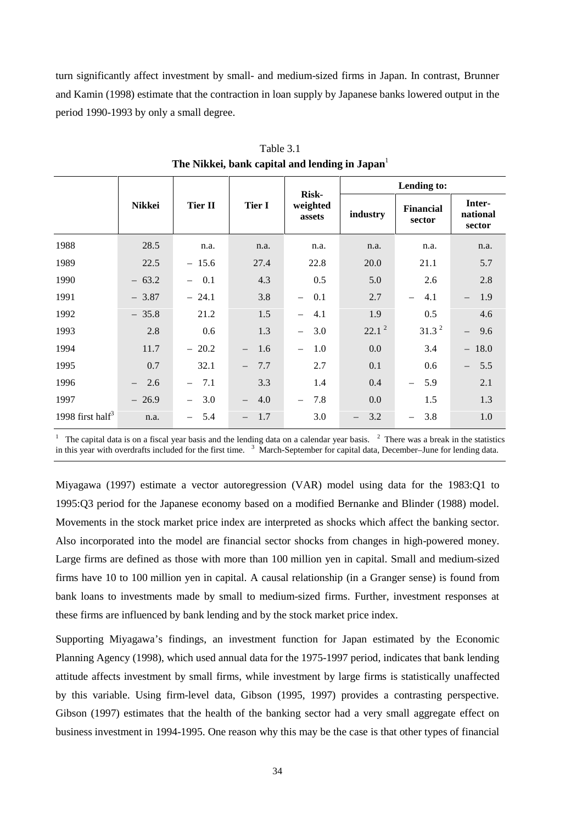turn significantly affect investment by small- and medium-sized firms in Japan. In contrast, Brunner and Kamin (1998) estimate that the contraction in loan supply by Japanese banks lowered output in the period 1990-1993 by only a small degree.

|                              |                                 |                                 |                                 | <b>Risk-</b>                    |                                 | Lending to:                     |                              |
|------------------------------|---------------------------------|---------------------------------|---------------------------------|---------------------------------|---------------------------------|---------------------------------|------------------------------|
|                              | Nikkei                          | <b>Tier II</b>                  | <b>Tier I</b>                   | weighted<br>assets              | industry                        | Financial<br>sector             | Inter-<br>national<br>sector |
| 1988                         | 28.5                            | n.a.                            | n.a.                            | n.a.                            | n.a.                            | n.a.                            | n.a.                         |
| 1989                         | 22.5                            | $-15.6$                         | 27.4                            | 22.8                            | 20.0                            | 21.1                            | 5.7                          |
| 1990                         | $-63.2$                         | 0.1<br>$-$                      | 4.3                             | 0.5                             | 5.0                             | 2.6                             | 2.8                          |
| 1991                         | $-3.87$                         | $-24.1$                         | 3.8                             | 0.1<br>$-$                      | 2.7                             | 4.1<br>$\qquad \qquad -$        | 1.9<br>$-$                   |
| 1992                         | $-35.8$                         | 21.2                            | 1.5                             | 4.1<br>$\overline{\phantom{0}}$ | 1.9                             | 0.5                             | 4.6                          |
| 1993                         | 2.8                             | 0.6                             | 1.3                             | 3.0<br>$-$                      | $22.1^2$                        | 31.3 <sup>2</sup>               | 9.6<br>$-$                   |
| 1994                         | 11.7                            | $-20.2$                         | 1.6<br>$\equiv$                 | 1.0<br>$\overline{\phantom{m}}$ | 0.0                             | 3.4                             | $-18.0$                      |
| 1995                         | 0.7                             | 32.1                            | 7.7<br>$\overline{\phantom{m}}$ | 2.7                             | 0.1                             | 0.6                             | 5.5<br>$-$                   |
| 1996                         | 2.6<br>$\overline{\phantom{0}}$ | 7.1<br>$\overline{\phantom{a}}$ | 3.3                             | 1.4                             | 0.4                             | 5.9<br>$\equiv$                 | 2.1                          |
| 1997                         | $-26.9$                         | 3.0<br>$\overline{\phantom{0}}$ | 4.0<br>$\overline{\phantom{0}}$ | 7.8<br>$\overline{\phantom{m}}$ | 0.0                             | 1.5                             | 1.3                          |
| 1998 first half <sup>3</sup> | n.a.                            | 5.4<br>$-$                      | 1.7<br>$\overline{\phantom{m}}$ | 3.0                             | 3.2<br>$\overline{\phantom{0}}$ | 3.8<br>$\overline{\phantom{0}}$ | 1.0                          |

Table 3.1 The Nikkei, bank capital and lending in Japan<sup>1</sup>

1 The capital data is on a fiscal year basis and the lending data on a calendar year basis.  $2$  There was a break in the statistics in this year with overdrafts included for the first time. <sup>3</sup> March-September for capital data, December–June for lending data.

Miyagawa (1997) estimate a vector autoregression (VAR) model using data for the 1983:Q1 to 1995:Q3 period for the Japanese economy based on a modified Bernanke and Blinder (1988) model. Movements in the stock market price index are interpreted as shocks which affect the banking sector. Also incorporated into the model are financial sector shocks from changes in high-powered money. Large firms are defined as those with more than 100 million yen in capital. Small and medium-sized firms have 10 to 100 million yen in capital. A causal relationship (in a Granger sense) is found from bank loans to investments made by small to medium-sized firms. Further, investment responses at these firms are influenced by bank lending and by the stock market price index.

Supporting Miyagawa's findings, an investment function for Japan estimated by the Economic Planning Agency (1998), which used annual data for the 1975-1997 period, indicates that bank lending attitude affects investment by small firms, while investment by large firms is statistically unaffected by this variable. Using firm-level data, Gibson (1995, 1997) provides a contrasting perspective. Gibson (1997) estimates that the health of the banking sector had a very small aggregate effect on business investment in 1994-1995. One reason why this may be the case is that other types of financial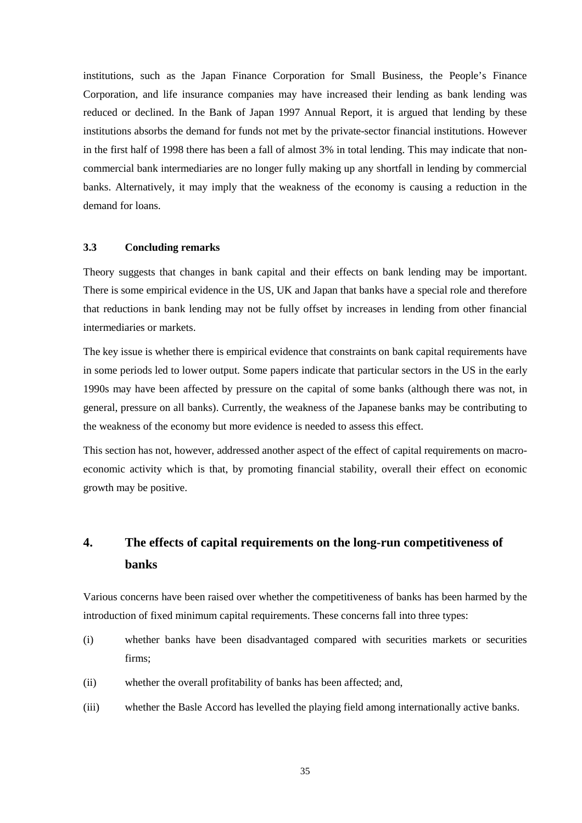institutions, such as the Japan Finance Corporation for Small Business, the People's Finance Corporation, and life insurance companies may have increased their lending as bank lending was reduced or declined. In the Bank of Japan 1997 Annual Report, it is argued that lending by these institutions absorbs the demand for funds not met by the private-sector financial institutions. However in the first half of 1998 there has been a fall of almost 3% in total lending. This may indicate that noncommercial bank intermediaries are no longer fully making up any shortfall in lending by commercial banks. Alternatively, it may imply that the weakness of the economy is causing a reduction in the demand for loans.

#### **3.3 Concluding remarks**

Theory suggests that changes in bank capital and their effects on bank lending may be important. There is some empirical evidence in the US, UK and Japan that banks have a special role and therefore that reductions in bank lending may not be fully offset by increases in lending from other financial intermediaries or markets.

The key issue is whether there is empirical evidence that constraints on bank capital requirements have in some periods led to lower output. Some papers indicate that particular sectors in the US in the early 1990s may have been affected by pressure on the capital of some banks (although there was not, in general, pressure on all banks). Currently, the weakness of the Japanese banks may be contributing to the weakness of the economy but more evidence is needed to assess this effect.

This section has not, however, addressed another aspect of the effect of capital requirements on macroeconomic activity which is that, by promoting financial stability, overall their effect on economic growth may be positive.

# **4. The effects of capital requirements on the long-run competitiveness of banks**

Various concerns have been raised over whether the competitiveness of banks has been harmed by the introduction of fixed minimum capital requirements. These concerns fall into three types:

- (i) whether banks have been disadvantaged compared with securities markets or securities firms;
- (ii) whether the overall profitability of banks has been affected; and,
- (iii) whether the Basle Accord has levelled the playing field among internationally active banks.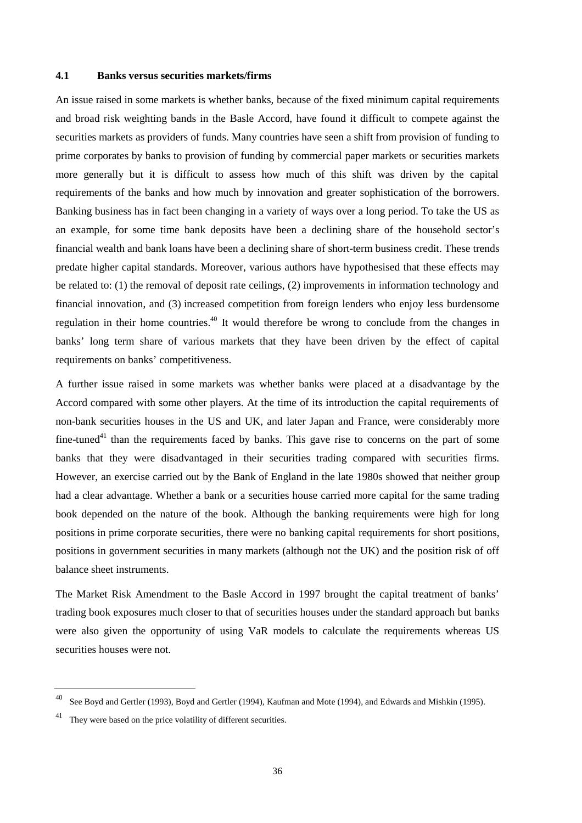#### **4.1 Banks versus securities markets/firms**

An issue raised in some markets is whether banks, because of the fixed minimum capital requirements and broad risk weighting bands in the Basle Accord, have found it difficult to compete against the securities markets as providers of funds. Many countries have seen a shift from provision of funding to prime corporates by banks to provision of funding by commercial paper markets or securities markets more generally but it is difficult to assess how much of this shift was driven by the capital requirements of the banks and how much by innovation and greater sophistication of the borrowers. Banking business has in fact been changing in a variety of ways over a long period. To take the US as an example, for some time bank deposits have been a declining share of the household sector's financial wealth and bank loans have been a declining share of short-term business credit. These trends predate higher capital standards. Moreover, various authors have hypothesised that these effects may be related to: (1) the removal of deposit rate ceilings, (2) improvements in information technology and financial innovation, and (3) increased competition from foreign lenders who enjoy less burdensome regulation in their home countries.<sup>40</sup> It would therefore be wrong to conclude from the changes in banks' long term share of various markets that they have been driven by the effect of capital requirements on banks' competitiveness.

A further issue raised in some markets was whether banks were placed at a disadvantage by the Accord compared with some other players. At the time of its introduction the capital requirements of non-bank securities houses in the US and UK, and later Japan and France, were considerably more  $fine-tuned<sup>41</sup>$  than the requirements faced by banks. This gave rise to concerns on the part of some banks that they were disadvantaged in their securities trading compared with securities firms. However, an exercise carried out by the Bank of England in the late 1980s showed that neither group had a clear advantage. Whether a bank or a securities house carried more capital for the same trading book depended on the nature of the book. Although the banking requirements were high for long positions in prime corporate securities, there were no banking capital requirements for short positions, positions in government securities in many markets (although not the UK) and the position risk of off balance sheet instruments.

The Market Risk Amendment to the Basle Accord in 1997 brought the capital treatment of banks' trading book exposures much closer to that of securities houses under the standard approach but banks were also given the opportunity of using VaR models to calculate the requirements whereas US securities houses were not.

See Boyd and Gertler (1993), Boyd and Gertler (1994), Kaufman and Mote (1994), and Edwards and Mishkin (1995).

They were based on the price volatility of different securities.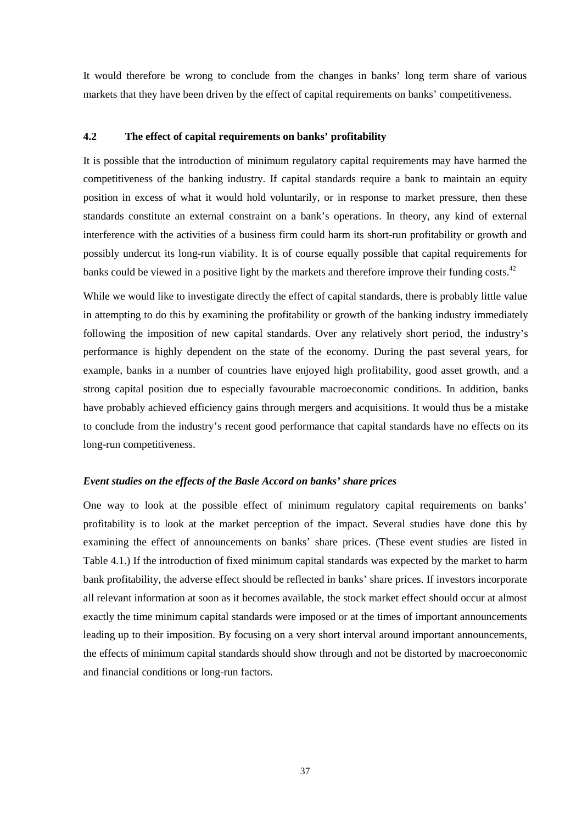It would therefore be wrong to conclude from the changes in banks' long term share of various markets that they have been driven by the effect of capital requirements on banks' competitiveness.

## **4.2 The effect of capital requirements on banks' profitability**

It is possible that the introduction of minimum regulatory capital requirements may have harmed the competitiveness of the banking industry. If capital standards require a bank to maintain an equity position in excess of what it would hold voluntarily, or in response to market pressure, then these standards constitute an external constraint on a bank's operations. In theory, any kind of external interference with the activities of a business firm could harm its short-run profitability or growth and possibly undercut its long-run viability. It is of course equally possible that capital requirements for banks could be viewed in a positive light by the markets and therefore improve their funding costs.<sup>42</sup>

While we would like to investigate directly the effect of capital standards, there is probably little value in attempting to do this by examining the profitability or growth of the banking industry immediately following the imposition of new capital standards. Over any relatively short period, the industry's performance is highly dependent on the state of the economy. During the past several years, for example, banks in a number of countries have enjoyed high profitability, good asset growth, and a strong capital position due to especially favourable macroeconomic conditions. In addition, banks have probably achieved efficiency gains through mergers and acquisitions. It would thus be a mistake to conclude from the industry's recent good performance that capital standards have no effects on its long-run competitiveness.

#### *Event studies on the effects of the Basle Accord on banks' share prices*

One way to look at the possible effect of minimum regulatory capital requirements on banks' profitability is to look at the market perception of the impact. Several studies have done this by examining the effect of announcements on banks' share prices. (These event studies are listed in Table 4.1.) If the introduction of fixed minimum capital standards was expected by the market to harm bank profitability, the adverse effect should be reflected in banks' share prices. If investors incorporate all relevant information at soon as it becomes available, the stock market effect should occur at almost exactly the time minimum capital standards were imposed or at the times of important announcements leading up to their imposition. By focusing on a very short interval around important announcements, the effects of minimum capital standards should show through and not be distorted by macroeconomic and financial conditions or long-run factors.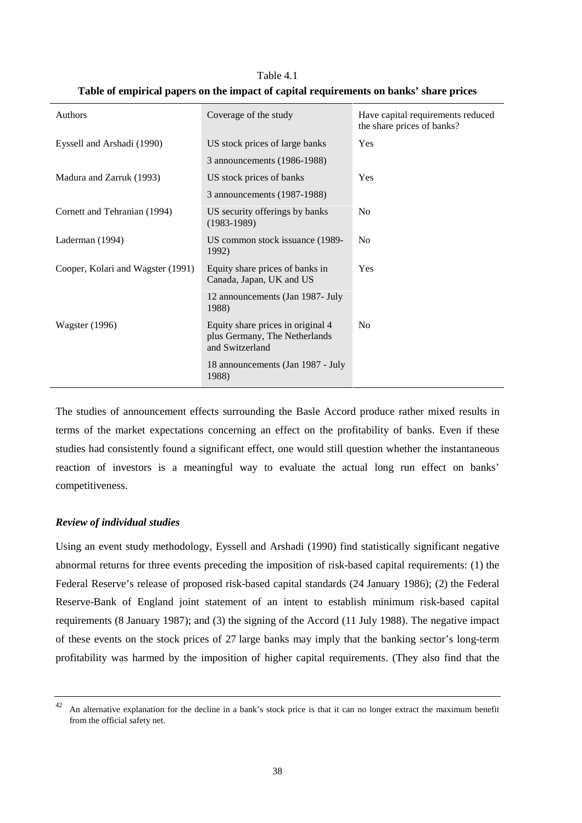| Authors                           | Coverage of the study                                                                 | Have capital requirements reduced<br>the share prices of banks? |
|-----------------------------------|---------------------------------------------------------------------------------------|-----------------------------------------------------------------|
| Eyssell and Arshadi (1990)        | US stock prices of large banks                                                        | Yes                                                             |
|                                   | 3 announcements (1986-1988)                                                           |                                                                 |
| Madura and Zarruk (1993)          | US stock prices of banks                                                              | Yes                                                             |
|                                   | 3 announcements (1987-1988)                                                           |                                                                 |
| Cornett and Tehranian (1994)      | US security offerings by banks<br>$(1983-1989)$                                       | No                                                              |
| Laderman (1994)                   | US common stock issuance (1989-<br>1992)                                              | N <sub>0</sub>                                                  |
| Cooper, Kolari and Wagster (1991) | Equity share prices of banks in<br>Canada, Japan, UK and US                           | <b>Yes</b>                                                      |
|                                   | 12 announcements (Jan 1987- July<br>1988)                                             |                                                                 |
| <b>Wagster</b> (1996)             | Equity share prices in original 4<br>plus Germany, The Netherlands<br>and Switzerland | N <sub>0</sub>                                                  |
|                                   | 18 announcements (Jan 1987 - July<br>1988)                                            |                                                                 |

Table 4.1 **Table of empirical papers on the impact of capital requirements on banks' share prices**

The studies of announcement effects surrounding the Basle Accord produce rather mixed results in terms of the market expectations concerning an effect on the profitability of banks. Even if these studies had consistently found a significant effect, one would still question whether the instantaneous reaction of investors is a meaningful way to evaluate the actual long run effect on banks' competitiveness.

### *Review of individual studies*

Using an event study methodology, Eyssell and Arshadi (1990) find statistically significant negative abnormal returns for three events preceding the imposition of risk-based capital requirements: (1) the Federal Reserve's release of proposed risk-based capital standards (24 January 1986); (2) the Federal Reserve-Bank of England joint statement of an intent to establish minimum risk-based capital requirements (8 January 1987); and (3) the signing of the Accord (11 July 1988). The negative impact of these events on the stock prices of 27 large banks may imply that the banking sector's long-term profitability was harmed by the imposition of higher capital requirements. (They also find that the

 $42$  An alternative explanation for the decline in a bank's stock price is that it can no longer extract the maximum benefit from the official safety net.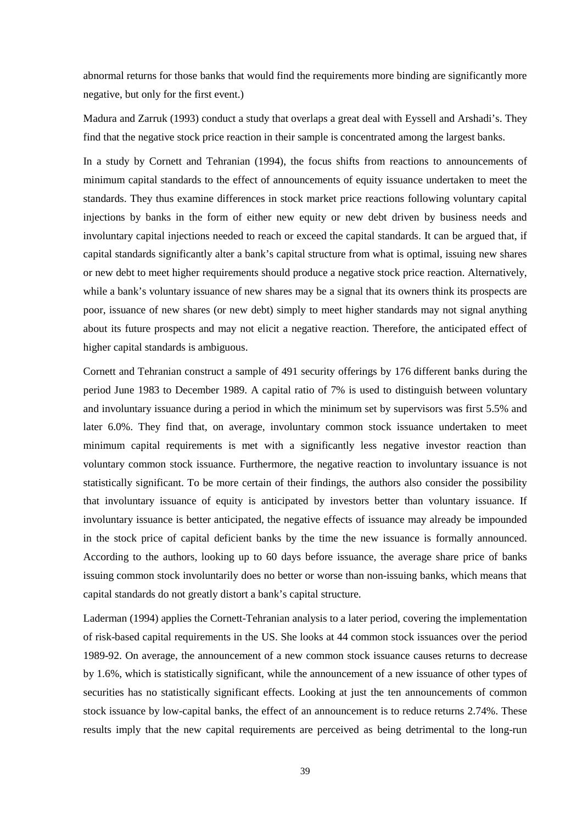abnormal returns for those banks that would find the requirements more binding are significantly more negative, but only for the first event.)

Madura and Zarruk (1993) conduct a study that overlaps a great deal with Eyssell and Arshadi's. They find that the negative stock price reaction in their sample is concentrated among the largest banks.

In a study by Cornett and Tehranian (1994), the focus shifts from reactions to announcements of minimum capital standards to the effect of announcements of equity issuance undertaken to meet the standards. They thus examine differences in stock market price reactions following voluntary capital injections by banks in the form of either new equity or new debt driven by business needs and involuntary capital injections needed to reach or exceed the capital standards. It can be argued that, if capital standards significantly alter a bank's capital structure from what is optimal, issuing new shares or new debt to meet higher requirements should produce a negative stock price reaction. Alternatively, while a bank's voluntary issuance of new shares may be a signal that its owners think its prospects are poor, issuance of new shares (or new debt) simply to meet higher standards may not signal anything about its future prospects and may not elicit a negative reaction. Therefore, the anticipated effect of higher capital standards is ambiguous.

Cornett and Tehranian construct a sample of 491 security offerings by 176 different banks during the period June 1983 to December 1989. A capital ratio of 7% is used to distinguish between voluntary and involuntary issuance during a period in which the minimum set by supervisors was first 5.5% and later 6.0%. They find that, on average, involuntary common stock issuance undertaken to meet minimum capital requirements is met with a significantly less negative investor reaction than voluntary common stock issuance. Furthermore, the negative reaction to involuntary issuance is not statistically significant. To be more certain of their findings, the authors also consider the possibility that involuntary issuance of equity is anticipated by investors better than voluntary issuance. If involuntary issuance is better anticipated, the negative effects of issuance may already be impounded in the stock price of capital deficient banks by the time the new issuance is formally announced. According to the authors, looking up to 60 days before issuance, the average share price of banks issuing common stock involuntarily does no better or worse than non-issuing banks, which means that capital standards do not greatly distort a bank's capital structure.

Laderman (1994) applies the Cornett-Tehranian analysis to a later period, covering the implementation of risk-based capital requirements in the US. She looks at 44 common stock issuances over the period 1989-92. On average, the announcement of a new common stock issuance causes returns to decrease by 1.6%, which is statistically significant, while the announcement of a new issuance of other types of securities has no statistically significant effects. Looking at just the ten announcements of common stock issuance by low-capital banks, the effect of an announcement is to reduce returns 2.74%. These results imply that the new capital requirements are perceived as being detrimental to the long-run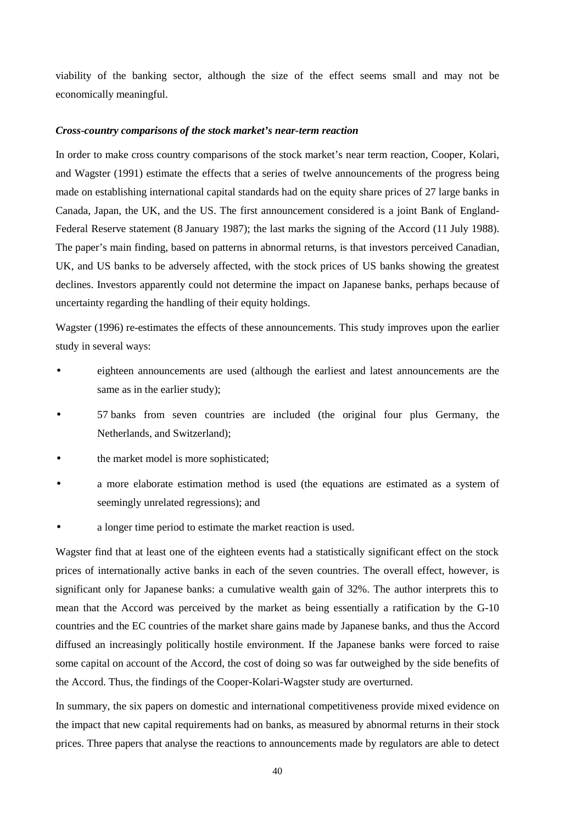viability of the banking sector, although the size of the effect seems small and may not be economically meaningful.

#### *Cross-country comparisons of the stock market's near-term reaction*

In order to make cross country comparisons of the stock market's near term reaction, Cooper, Kolari, and Wagster (1991) estimate the effects that a series of twelve announcements of the progress being made on establishing international capital standards had on the equity share prices of 27 large banks in Canada, Japan, the UK, and the US. The first announcement considered is a joint Bank of England-Federal Reserve statement (8 January 1987); the last marks the signing of the Accord (11 July 1988). The paper's main finding, based on patterns in abnormal returns, is that investors perceived Canadian, UK, and US banks to be adversely affected, with the stock prices of US banks showing the greatest declines. Investors apparently could not determine the impact on Japanese banks, perhaps because of uncertainty regarding the handling of their equity holdings.

Wagster (1996) re-estimates the effects of these announcements. This study improves upon the earlier study in several ways:

- eighteen announcements are used (although the earliest and latest announcements are the same as in the earlier study);
- 57 banks from seven countries are included (the original four plus Germany, the Netherlands, and Switzerland);
- the market model is more sophisticated;
- a more elaborate estimation method is used (the equations are estimated as a system of seemingly unrelated regressions); and
- a longer time period to estimate the market reaction is used.

Wagster find that at least one of the eighteen events had a statistically significant effect on the stock prices of internationally active banks in each of the seven countries. The overall effect, however, is significant only for Japanese banks: a cumulative wealth gain of 32%. The author interprets this to mean that the Accord was perceived by the market as being essentially a ratification by the G-10 countries and the EC countries of the market share gains made by Japanese banks, and thus the Accord diffused an increasingly politically hostile environment. If the Japanese banks were forced to raise some capital on account of the Accord, the cost of doing so was far outweighed by the side benefits of the Accord. Thus, the findings of the Cooper-Kolari-Wagster study are overturned.

In summary, the six papers on domestic and international competitiveness provide mixed evidence on the impact that new capital requirements had on banks, as measured by abnormal returns in their stock prices. Three papers that analyse the reactions to announcements made by regulators are able to detect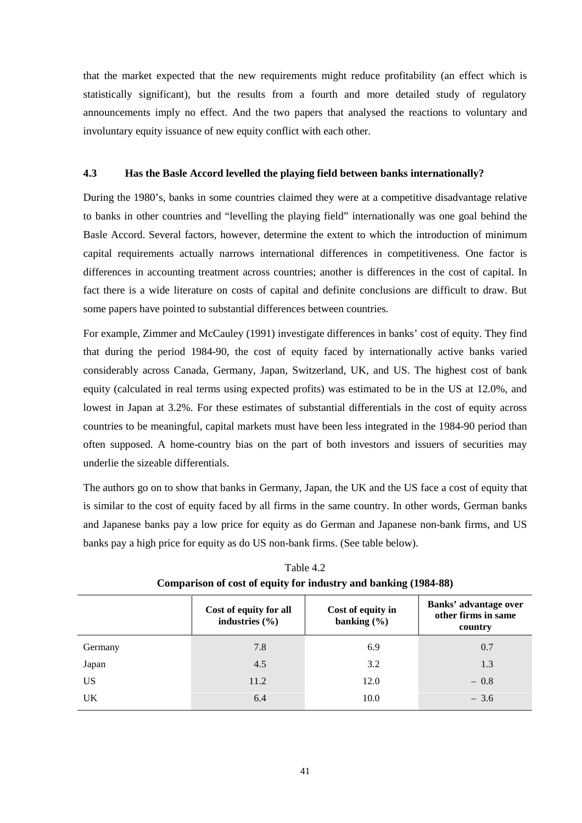that the market expected that the new requirements might reduce profitability (an effect which is statistically significant), but the results from a fourth and more detailed study of regulatory announcements imply no effect. And the two papers that analysed the reactions to voluntary and involuntary equity issuance of new equity conflict with each other.

#### **4.3 Has the Basle Accord levelled the playing field between banks internationally?**

During the 1980's, banks in some countries claimed they were at a competitive disadvantage relative to banks in other countries and "levelling the playing field" internationally was one goal behind the Basle Accord. Several factors, however, determine the extent to which the introduction of minimum capital requirements actually narrows international differences in competitiveness. One factor is differences in accounting treatment across countries; another is differences in the cost of capital. In fact there is a wide literature on costs of capital and definite conclusions are difficult to draw. But some papers have pointed to substantial differences between countries.

For example, Zimmer and McCauley (1991) investigate differences in banks' cost of equity. They find that during the period 1984-90, the cost of equity faced by internationally active banks varied considerably across Canada, Germany, Japan, Switzerland, UK, and US. The highest cost of bank equity (calculated in real terms using expected profits) was estimated to be in the US at 12.0%, and lowest in Japan at 3.2%. For these estimates of substantial differentials in the cost of equity across countries to be meaningful, capital markets must have been less integrated in the 1984-90 period than often supposed. A home-country bias on the part of both investors and issuers of securities may underlie the sizeable differentials.

The authors go on to show that banks in Germany, Japan, the UK and the US face a cost of equity that is similar to the cost of equity faced by all firms in the same country. In other words, German banks and Japanese banks pay a low price for equity as do German and Japanese non-bank firms, and US banks pay a high price for equity as do US non-bank firms. (See table below).

|         | Cost of equity for all<br>industries $(\% )$ | Cost of equity in<br>banking $(\% )$ | Banks' advantage over<br>other firms in same<br>country |
|---------|----------------------------------------------|--------------------------------------|---------------------------------------------------------|
| Germany | 7.8                                          | 6.9                                  | 0.7                                                     |
| Japan   | 4.5                                          | 3.2                                  | 1.3                                                     |
| US      | 11.2                                         | 12.0                                 | $-0.8$                                                  |
| UK      | 6.4                                          | 10.0                                 | $-3.6$                                                  |

Table 4.2 **Comparison of cost of equity for industry and banking (1984-88)**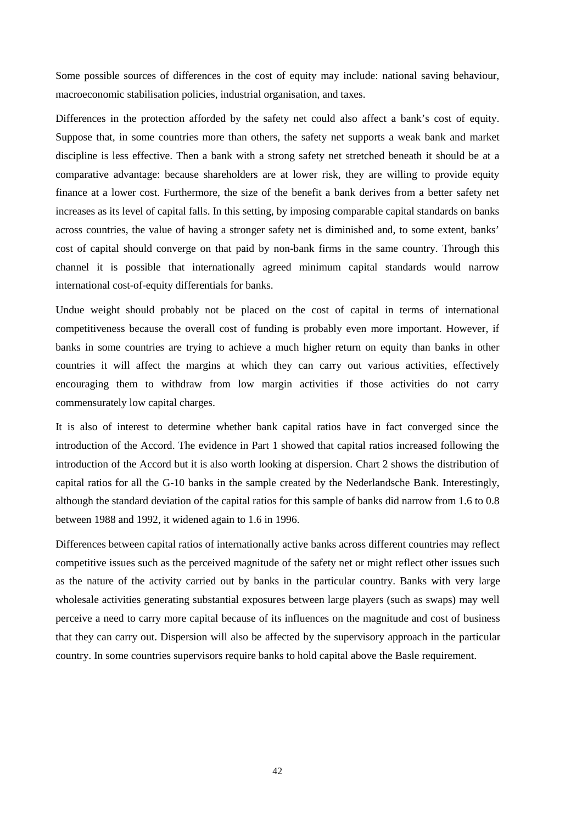Some possible sources of differences in the cost of equity may include: national saving behaviour, macroeconomic stabilisation policies, industrial organisation, and taxes.

Differences in the protection afforded by the safety net could also affect a bank's cost of equity. Suppose that, in some countries more than others, the safety net supports a weak bank and market discipline is less effective. Then a bank with a strong safety net stretched beneath it should be at a comparative advantage: because shareholders are at lower risk, they are willing to provide equity finance at a lower cost. Furthermore, the size of the benefit a bank derives from a better safety net increases as its level of capital falls. In this setting, by imposing comparable capital standards on banks across countries, the value of having a stronger safety net is diminished and, to some extent, banks' cost of capital should converge on that paid by non-bank firms in the same country. Through this channel it is possible that internationally agreed minimum capital standards would narrow international cost-of-equity differentials for banks.

Undue weight should probably not be placed on the cost of capital in terms of international competitiveness because the overall cost of funding is probably even more important. However, if banks in some countries are trying to achieve a much higher return on equity than banks in other countries it will affect the margins at which they can carry out various activities, effectively encouraging them to withdraw from low margin activities if those activities do not carry commensurately low capital charges.

It is also of interest to determine whether bank capital ratios have in fact converged since the introduction of the Accord. The evidence in Part 1 showed that capital ratios increased following the introduction of the Accord but it is also worth looking at dispersion. Chart 2 shows the distribution of capital ratios for all the G-10 banks in the sample created by the Nederlandsche Bank. Interestingly, although the standard deviation of the capital ratios for this sample of banks did narrow from 1.6 to 0.8 between 1988 and 1992, it widened again to 1.6 in 1996.

Differences between capital ratios of internationally active banks across different countries may reflect competitive issues such as the perceived magnitude of the safety net or might reflect other issues such as the nature of the activity carried out by banks in the particular country. Banks with very large wholesale activities generating substantial exposures between large players (such as swaps) may well perceive a need to carry more capital because of its influences on the magnitude and cost of business that they can carry out. Dispersion will also be affected by the supervisory approach in the particular country. In some countries supervisors require banks to hold capital above the Basle requirement.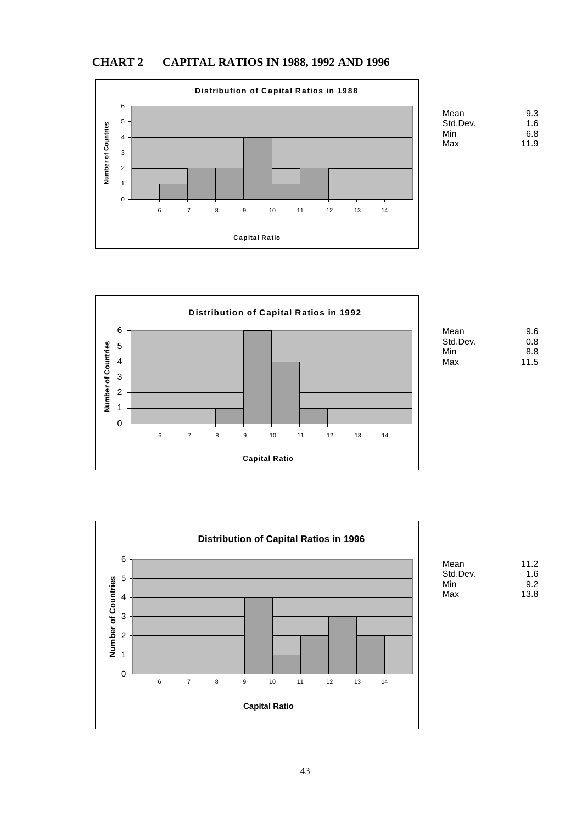



| Mean     | 9.3  |
|----------|------|
| Std.Dev. | 1.6  |
| Min      | 6.8  |
| Max      | 11.9 |



| Mean     | 9.6  |
|----------|------|
| Std.Dev. | 0.8  |
| Min      | 8.8  |
| Max      | 11.5 |



| aη   | 11.2 |
|------|------|
| Dev. | 1.6  |
|      | 9.2  |
| C    | 13.8 |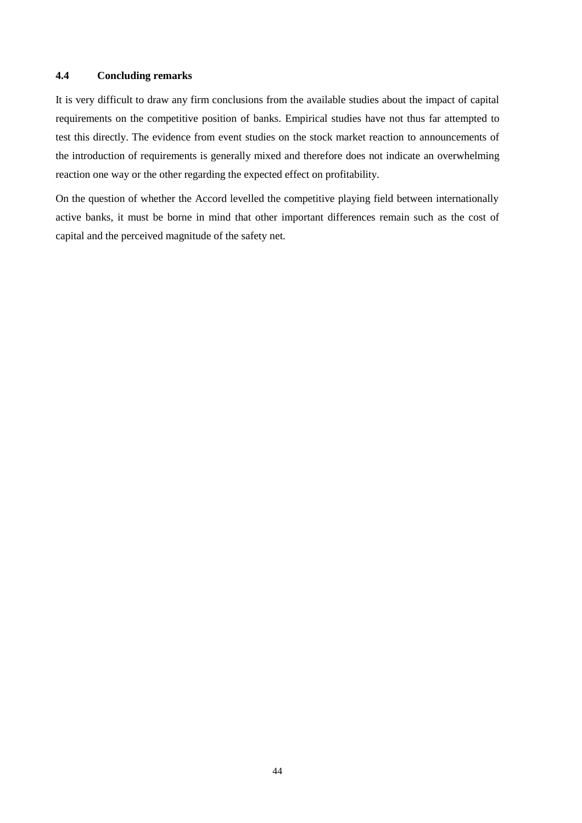## **4.4 Concluding remarks**

It is very difficult to draw any firm conclusions from the available studies about the impact of capital requirements on the competitive position of banks. Empirical studies have not thus far attempted to test this directly. The evidence from event studies on the stock market reaction to announcements of the introduction of requirements is generally mixed and therefore does not indicate an overwhelming reaction one way or the other regarding the expected effect on profitability.

On the question of whether the Accord levelled the competitive playing field between internationally active banks, it must be borne in mind that other important differences remain such as the cost of capital and the perceived magnitude of the safety net.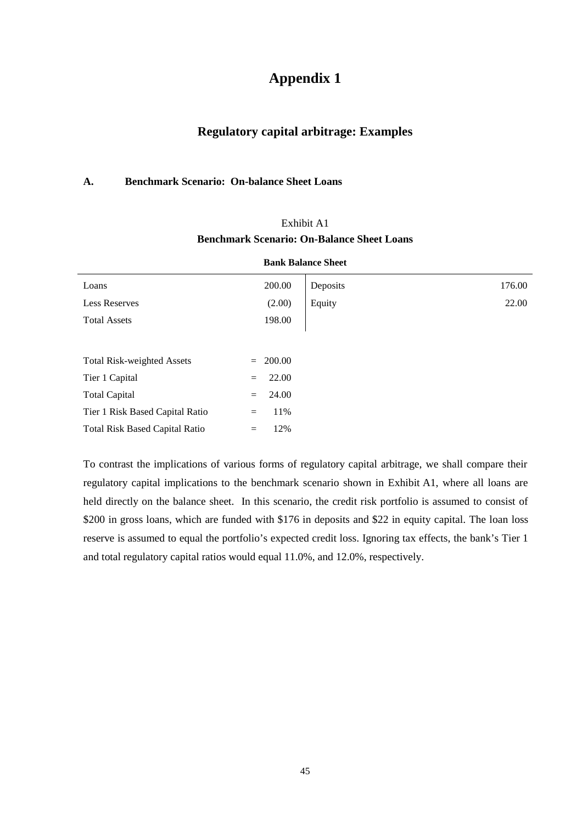# **Appendix 1**

# **Regulatory capital arbitrage: Examples**

#### **A. Benchmark Scenario: On-balance Sheet Loans**

|                                       | <b>Bank Balance Sheet</b> |          |        |  |
|---------------------------------------|---------------------------|----------|--------|--|
| Loans                                 | 200.00                    | Deposits | 176.00 |  |
| <b>Less Reserves</b>                  | (2.00)                    | Equity   | 22.00  |  |
| <b>Total Assets</b>                   | 198.00                    |          |        |  |
|                                       |                           |          |        |  |
| <b>Total Risk-weighted Assets</b>     | 200.00<br>$=$             |          |        |  |
| Tier 1 Capital                        | 22.00<br>$=$              |          |        |  |
| <b>Total Capital</b>                  | 24.00<br>$=$              |          |        |  |
| Tier 1 Risk Based Capital Ratio       | 11%<br>$=$                |          |        |  |
| <b>Total Risk Based Capital Ratio</b> | 12%<br>$=$                |          |        |  |

# Exhibit A1 **Benchmark Scenario: On-Balance Sheet Loans**

To contrast the implications of various forms of regulatory capital arbitrage, we shall compare their regulatory capital implications to the benchmark scenario shown in Exhibit A1, where all loans are held directly on the balance sheet. In this scenario, the credit risk portfolio is assumed to consist of \$200 in gross loans, which are funded with \$176 in deposits and \$22 in equity capital. The loan loss reserve is assumed to equal the portfolio's expected credit loss. Ignoring tax effects, the bank's Tier 1 and total regulatory capital ratios would equal 11.0%, and 12.0%, respectively.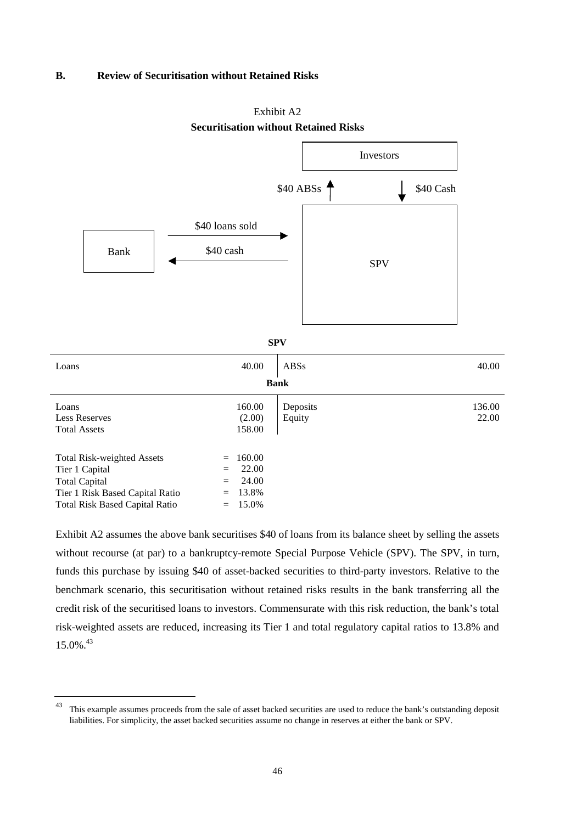#### **B. Review of Securitisation without Retained Risks**





### **Securitisation without Retained Risks**

**SPV**

| Loans                                                                                                                                                   | 40.00                                                                       | ABSs               | 40.00           |  |  |  |  |
|---------------------------------------------------------------------------------------------------------------------------------------------------------|-----------------------------------------------------------------------------|--------------------|-----------------|--|--|--|--|
| <b>Bank</b>                                                                                                                                             |                                                                             |                    |                 |  |  |  |  |
| Loans<br><b>Less Reserves</b><br><b>Total Assets</b>                                                                                                    | 160.00<br>(2.00)<br>158.00                                                  | Deposits<br>Equity | 136.00<br>22.00 |  |  |  |  |
| <b>Total Risk-weighted Assets</b><br>Tier 1 Capital<br><b>Total Capital</b><br>Tier 1 Risk Based Capital Ratio<br><b>Total Risk Based Capital Ratio</b> | 160.00<br>$=$<br>22.00<br>$=$<br>24.00<br>$=$<br>13.8%<br>$=$<br>$= 15.0\%$ |                    |                 |  |  |  |  |

Exhibit A2 assumes the above bank securitises \$40 of loans from its balance sheet by selling the assets without recourse (at par) to a bankruptcy-remote Special Purpose Vehicle (SPV). The SPV, in turn, funds this purchase by issuing \$40 of asset-backed securities to third-party investors. Relative to the benchmark scenario, this securitisation without retained risks results in the bank transferring all the credit risk of the securitised loans to investors. Commensurate with this risk reduction, the bank's total risk-weighted assets are reduced, increasing its Tier 1 and total regulatory capital ratios to 13.8% and 15.0%.<sup>43</sup>

<sup>&</sup>lt;sup>43</sup> This example assumes proceeds from the sale of asset backed securities are used to reduce the bank's outstanding deposit liabilities. For simplicity, the asset backed securities assume no change in reserves at either the bank or SPV.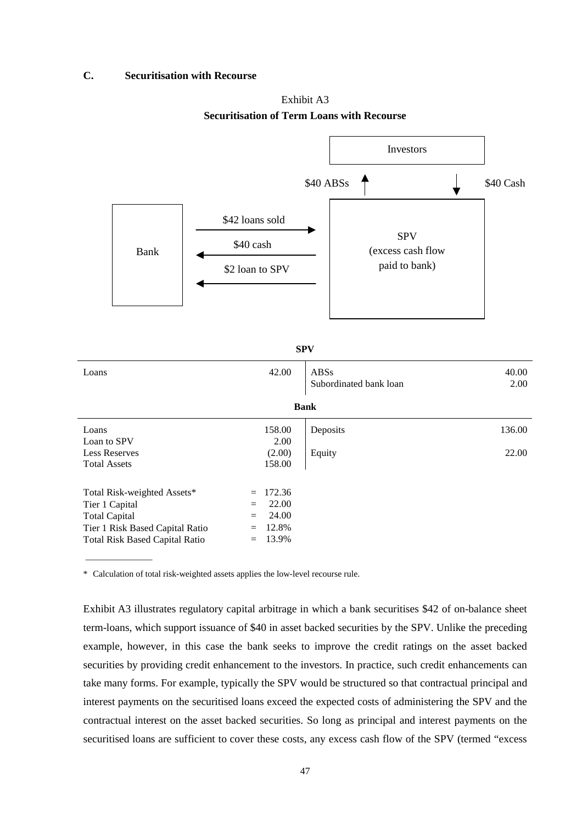### **C. Securitisation with Recourse**

Exhibit A3 **Securitisation of Term Loans with Recourse**



**SPV**

| Loans                           | 42.00         | <b>ABSs</b><br>Subordinated bank loan | 40.00<br>2.00 |  |  |  |  |  |
|---------------------------------|---------------|---------------------------------------|---------------|--|--|--|--|--|
| <b>Bank</b>                     |               |                                       |               |  |  |  |  |  |
| Loans                           | 158.00        | Deposits                              | 136.00        |  |  |  |  |  |
| Loan to SPV                     | 2.00          |                                       |               |  |  |  |  |  |
| <b>Less Reserves</b>            | (2.00)        | Equity                                | 22.00         |  |  |  |  |  |
| <b>Total Assets</b>             | 158.00        |                                       |               |  |  |  |  |  |
| Total Risk-weighted Assets*     | 172.36<br>$=$ |                                       |               |  |  |  |  |  |
| Tier 1 Capital                  | 22.00<br>$=$  |                                       |               |  |  |  |  |  |
| <b>Total Capital</b>            | 24.00<br>$=$  |                                       |               |  |  |  |  |  |
| Tier 1 Risk Based Capital Ratio | 12.8%         |                                       |               |  |  |  |  |  |
| Total Risk Based Capital Ratio  | 13.9%<br>$=$  |                                       |               |  |  |  |  |  |

\* Calculation of total risk-weighted assets applies the low-level recourse rule.

Exhibit A3 illustrates regulatory capital arbitrage in which a bank securitises \$42 of on-balance sheet term-loans, which support issuance of \$40 in asset backed securities by the SPV. Unlike the preceding example, however, in this case the bank seeks to improve the credit ratings on the asset backed securities by providing credit enhancement to the investors. In practice, such credit enhancements can take many forms. For example, typically the SPV would be structured so that contractual principal and interest payments on the securitised loans exceed the expected costs of administering the SPV and the contractual interest on the asset backed securities. So long as principal and interest payments on the securitised loans are sufficient to cover these costs, any excess cash flow of the SPV (termed "excess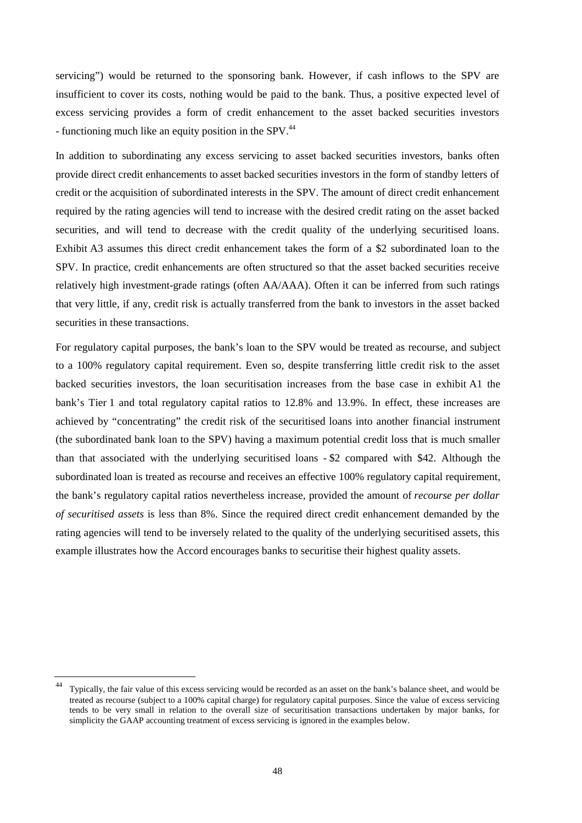servicing") would be returned to the sponsoring bank. However, if cash inflows to the SPV are insufficient to cover its costs, nothing would be paid to the bank. Thus, a positive expected level of excess servicing provides a form of credit enhancement to the asset backed securities investors - functioning much like an equity position in the SPV.<sup>44</sup>

In addition to subordinating any excess servicing to asset backed securities investors, banks often provide direct credit enhancements to asset backed securities investors in the form of standby letters of credit or the acquisition of subordinated interests in the SPV. The amount of direct credit enhancement required by the rating agencies will tend to increase with the desired credit rating on the asset backed securities, and will tend to decrease with the credit quality of the underlying securitised loans. Exhibit A3 assumes this direct credit enhancement takes the form of a \$2 subordinated loan to the SPV. In practice, credit enhancements are often structured so that the asset backed securities receive relatively high investment-grade ratings (often AA/AAA). Often it can be inferred from such ratings that very little, if any, credit risk is actually transferred from the bank to investors in the asset backed securities in these transactions.

For regulatory capital purposes, the bank's loan to the SPV would be treated as recourse, and subject to a 100% regulatory capital requirement. Even so, despite transferring little credit risk to the asset backed securities investors, the loan securitisation increases from the base case in exhibit A1 the bank's Tier 1 and total regulatory capital ratios to 12.8% and 13.9%. In effect, these increases are achieved by "concentrating" the credit risk of the securitised loans into another financial instrument (the subordinated bank loan to the SPV) having a maximum potential credit loss that is much smaller than that associated with the underlying securitised loans - \$2 compared with \$42. Although the subordinated loan is treated as recourse and receives an effective 100% regulatory capital requirement, the bank's regulatory capital ratios nevertheless increase, provided the amount of *recourse per dollar of securitised assets* is less than 8%. Since the required direct credit enhancement demanded by the rating agencies will tend to be inversely related to the quality of the underlying securitised assets, this example illustrates how the Accord encourages banks to securitise their highest quality assets.

Typically, the fair value of this excess servicing would be recorded as an asset on the bank's balance sheet, and would be treated as recourse (subject to a 100% capital charge) for regulatory capital purposes. Since the value of excess servicing tends to be very small in relation to the overall size of securitisation transactions undertaken by major banks, for simplicity the GAAP accounting treatment of excess servicing is ignored in the examples below.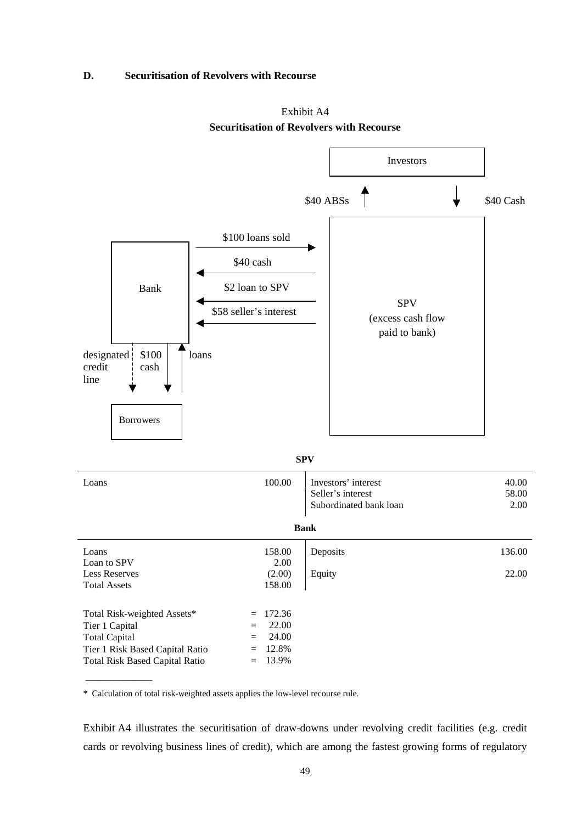#### **D. Securitisation of Revolvers with Recourse**





\* Calculation of total risk-weighted assets applies the low-level recourse rule.

Exhibit A4 illustrates the securitisation of draw-downs under revolving credit facilities (e.g. credit cards or revolving business lines of credit), which are among the fastest growing forms of regulatory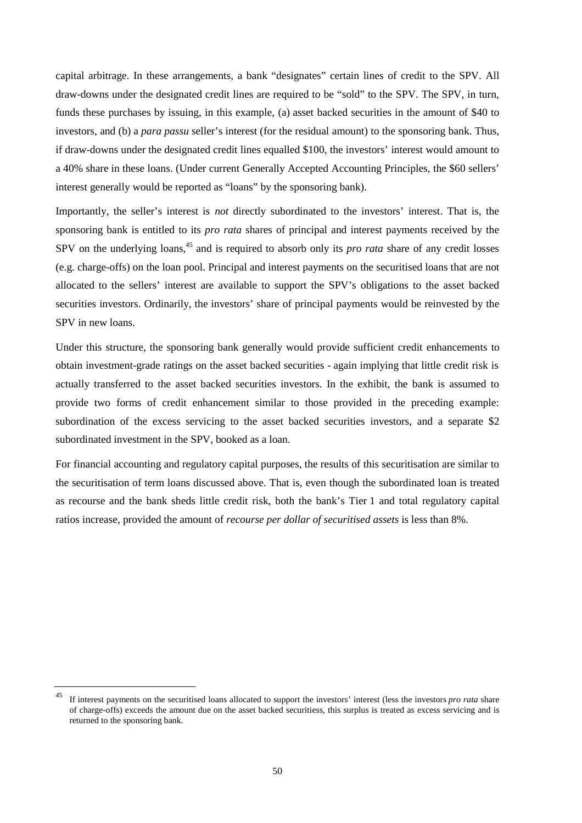capital arbitrage. In these arrangements, a bank "designates" certain lines of credit to the SPV. All draw-downs under the designated credit lines are required to be "sold" to the SPV. The SPV, in turn, funds these purchases by issuing, in this example, (a) asset backed securities in the amount of \$40 to investors, and (b) a *para passu* seller's interest (for the residual amount) to the sponsoring bank. Thus, if draw-downs under the designated credit lines equalled \$100, the investors' interest would amount to a 40% share in these loans. (Under current Generally Accepted Accounting Principles, the \$60 sellers' interest generally would be reported as "loans" by the sponsoring bank).

Importantly, the seller's interest is *not* directly subordinated to the investors' interest. That is, the sponsoring bank is entitled to its *pro rata* shares of principal and interest payments received by the SPV on the underlying loans,<sup>45</sup> and is required to absorb only its *pro rata* share of any credit losses (e.g. charge-offs) on the loan pool. Principal and interest payments on the securitised loans that are not allocated to the sellers' interest are available to support the SPV's obligations to the asset backed securities investors. Ordinarily, the investors' share of principal payments would be reinvested by the SPV in new loans.

Under this structure, the sponsoring bank generally would provide sufficient credit enhancements to obtain investment-grade ratings on the asset backed securities - again implying that little credit risk is actually transferred to the asset backed securities investors. In the exhibit, the bank is assumed to provide two forms of credit enhancement similar to those provided in the preceding example: subordination of the excess servicing to the asset backed securities investors, and a separate \$2 subordinated investment in the SPV, booked as a loan.

For financial accounting and regulatory capital purposes, the results of this securitisation are similar to the securitisation of term loans discussed above. That is, even though the subordinated loan is treated as recourse and the bank sheds little credit risk, both the bank's Tier 1 and total regulatory capital ratios increase, provided the amount of *recourse per dollar of securitised assets* is less than 8%.

<sup>45</sup> If interest payments on the securitised loans allocated to support the investors' interest (less the investors *pro rata* share of charge-offs) exceeds the amount due on the asset backed securitiess, this surplus is treated as excess servicing and is returned to the sponsoring bank.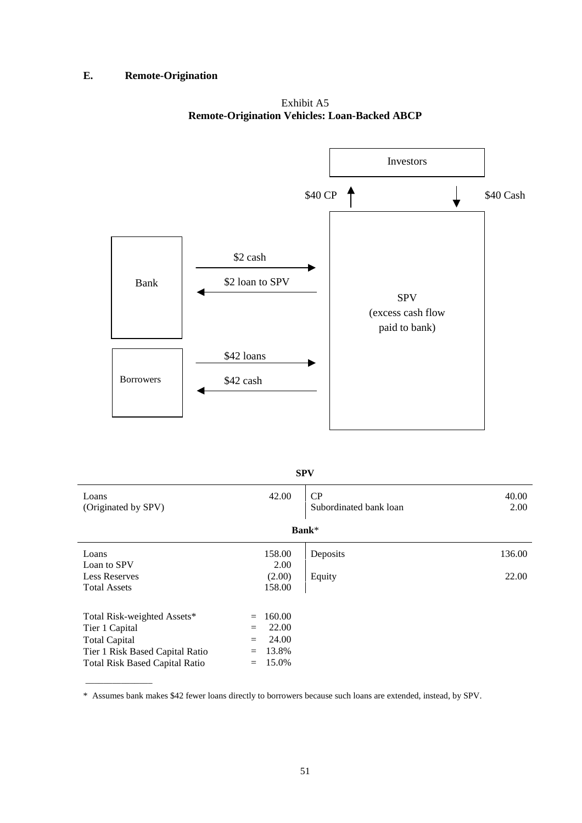### **E. Remote-Origination**

\_\_\_\_\_\_\_\_\_\_\_\_\_\_\_

Exhibit A5 **Remote-Origination Vehicles: Loan-Backed ABCP**



### **SPV**

| Loans<br>(Originated by SPV)          |     | 42.00  | CP<br>Subordinated bank loan | 40.00<br>2.00 |  |  |  |  |
|---------------------------------------|-----|--------|------------------------------|---------------|--|--|--|--|
|                                       |     |        |                              |               |  |  |  |  |
| Bank*                                 |     |        |                              |               |  |  |  |  |
| Loans                                 |     | 158.00 | Deposits                     | 136.00        |  |  |  |  |
| Loan to SPV                           |     | 2.00   |                              |               |  |  |  |  |
| <b>Less Reserves</b>                  |     | (2.00) | Equity                       | 22.00         |  |  |  |  |
| <b>Total Assets</b>                   |     | 158.00 |                              |               |  |  |  |  |
|                                       |     |        |                              |               |  |  |  |  |
| Total Risk-weighted Assets*           | $=$ | 160.00 |                              |               |  |  |  |  |
| Tier 1 Capital                        | $=$ | 22.00  |                              |               |  |  |  |  |
| <b>Total Capital</b>                  | $=$ | 24.00  |                              |               |  |  |  |  |
| Tier 1 Risk Based Capital Ratio       | $=$ | 13.8%  |                              |               |  |  |  |  |
| <b>Total Risk Based Capital Ratio</b> | $=$ | 15.0%  |                              |               |  |  |  |  |

\* Assumes bank makes \$42 fewer loans directly to borrowers because such loans are extended, instead, by SPV.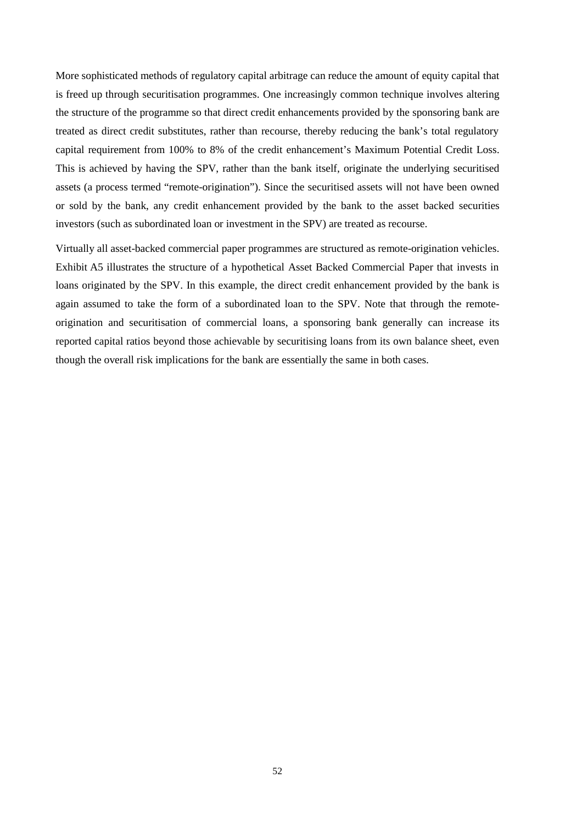More sophisticated methods of regulatory capital arbitrage can reduce the amount of equity capital that is freed up through securitisation programmes. One increasingly common technique involves altering the structure of the programme so that direct credit enhancements provided by the sponsoring bank are treated as direct credit substitutes, rather than recourse, thereby reducing the bank's total regulatory capital requirement from 100% to 8% of the credit enhancement's Maximum Potential Credit Loss. This is achieved by having the SPV, rather than the bank itself, originate the underlying securitised assets (a process termed "remote-origination"). Since the securitised assets will not have been owned or sold by the bank, any credit enhancement provided by the bank to the asset backed securities investors (such as subordinated loan or investment in the SPV) are treated as recourse.

Virtually all asset-backed commercial paper programmes are structured as remote-origination vehicles. Exhibit A5 illustrates the structure of a hypothetical Asset Backed Commercial Paper that invests in loans originated by the SPV. In this example, the direct credit enhancement provided by the bank is again assumed to take the form of a subordinated loan to the SPV. Note that through the remoteorigination and securitisation of commercial loans, a sponsoring bank generally can increase its reported capital ratios beyond those achievable by securitising loans from its own balance sheet, even though the overall risk implications for the bank are essentially the same in both cases.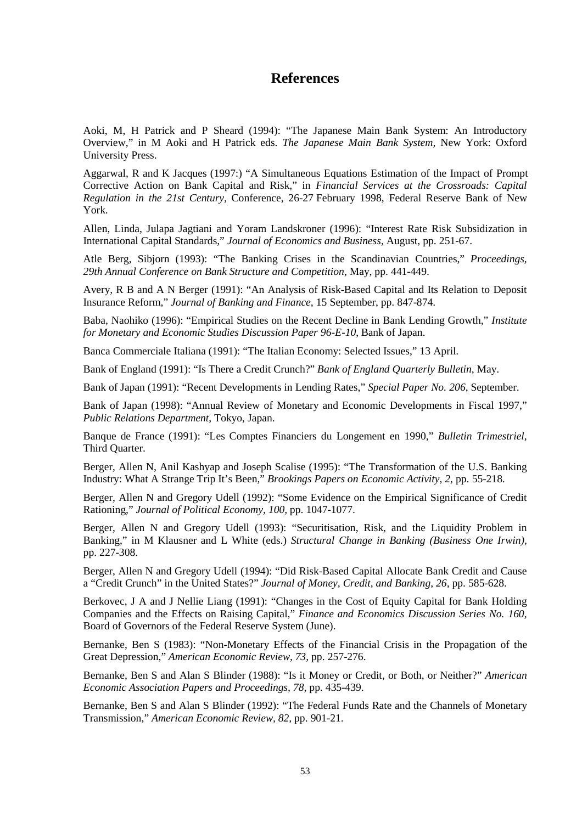# **References**

Aoki, M, H Patrick and P Sheard (1994): "The Japanese Main Bank System: An Introductory Overview," in M Aoki and H Patrick eds. *The Japanese Main Bank System,* New York: Oxford University Press.

Aggarwal, R and K Jacques (1997:) "A Simultaneous Equations Estimation of the Impact of Prompt Corrective Action on Bank Capital and Risk," in *Financial Services at the Crossroads: Capital Regulation in the 21st Century,* Conference, 26-27 February 1998, Federal Reserve Bank of New York.

Allen, Linda, Julapa Jagtiani and Yoram Landskroner (1996): "Interest Rate Risk Subsidization in International Capital Standards," *Journal of Economics and Business*, August, pp. 251-67.

Atle Berg, Sibjorn (1993): "The Banking Crises in the Scandinavian Countries," *Proceedings, 29th Annual Conference on Bank Structure and Competition*, May, pp. 441-449.

Avery, R B and A N Berger (1991): "An Analysis of Risk-Based Capital and Its Relation to Deposit Insurance Reform," *Journal of Banking and Finance,* 15 September, pp. 847-874.

Baba, Naohiko (1996): "Empirical Studies on the Recent Decline in Bank Lending Growth," *Institute for Monetary and Economic Studies Discussion Paper 96-E-10*, Bank of Japan.

Banca Commerciale Italiana (1991): "The Italian Economy: Selected Issues," 13 April.

Bank of England (1991): "Is There a Credit Crunch?" *Bank of England Quarterly Bulletin*, May.

Bank of Japan (1991): "Recent Developments in Lending Rates," *Special Paper No. 206*, September.

Bank of Japan (1998): "Annual Review of Monetary and Economic Developments in Fiscal 1997," *Public Relations Department*, Tokyo, Japan.

Banque de France (1991): "Les Comptes Financiers du Longement en 1990," *Bulletin Trimestriel,* Third Quarter.

Berger, Allen N, Anil Kashyap and Joseph Scalise (1995): "The Transformation of the U.S. Banking Industry: What A Strange Trip It's Been," *Brookings Papers on Economic Activity, 2,* pp. 55-218.

Berger, Allen N and Gregory Udell (1992): "Some Evidence on the Empirical Significance of Credit Rationing," *Journal of Political Economy, 100,* pp. 1047-1077.

Berger, Allen N and Gregory Udell (1993): "Securitisation, Risk, and the Liquidity Problem in Banking," in M Klausner and L White (eds.) *Structural Change in Banking (Business One Irwin),* pp. 227-308.

Berger, Allen N and Gregory Udell (1994): "Did Risk-Based Capital Allocate Bank Credit and Cause a "Credit Crunch" in the United States?" *Journal of Money, Credit, and Banking*, *26,* pp. 585-628.

Berkovec, J A and J Nellie Liang (1991): "Changes in the Cost of Equity Capital for Bank Holding Companies and the Effects on Raising Capital," *Finance and Economics Discussion Series No. 160,* Board of Governors of the Federal Reserve System (June).

Bernanke, Ben S (1983): "Non-Monetary Effects of the Financial Crisis in the Propagation of the Great Depression," *American Economic Review, 73,* pp. 257-276.

Bernanke, Ben S and Alan S Blinder (1988): "Is it Money or Credit, or Both, or Neither?" *American Economic Association Papers and Proceedings, 78,* pp. 435-439.

Bernanke, Ben S and Alan S Blinder (1992): "The Federal Funds Rate and the Channels of Monetary Transmission," *American Economic Review, 82,* pp. 901-21.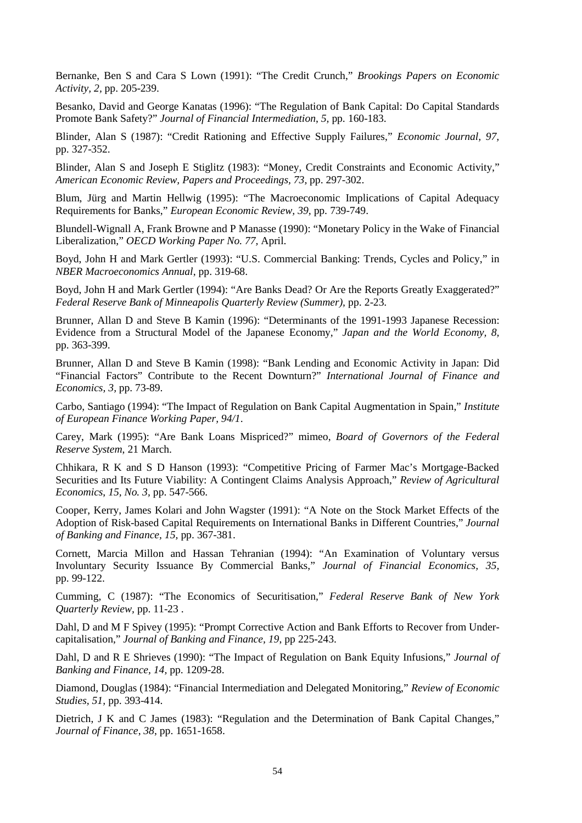Bernanke, Ben S and Cara S Lown (1991): "The Credit Crunch," *Brookings Papers on Economic Activity, 2,* pp. 205-239.

Besanko, David and George Kanatas (1996): "The Regulation of Bank Capital: Do Capital Standards Promote Bank Safety?" *Journal of Financial Intermediation*, *5,* pp. 160-183.

Blinder, Alan S (1987): "Credit Rationing and Effective Supply Failures," *Economic Journal, 97,* pp. 327-352.

Blinder, Alan S and Joseph E Stiglitz (1983): "Money, Credit Constraints and Economic Activity," *American Economic Review, Papers and Proceedings, 73,* pp. 297-302.

Blum, Jürg and Martin Hellwig (1995): "The Macroeconomic Implications of Capital Adequacy Requirements for Banks," *European Economic Review, 39,* pp. 739-749.

Blundell-Wignall A, Frank Browne and P Manasse (1990): "Monetary Policy in the Wake of Financial Liberalization," *OECD Working Paper No. 77,* April.

Boyd, John H and Mark Gertler (1993): "U.S. Commercial Banking: Trends, Cycles and Policy," in *NBER Macroeconomics Annual*, pp. 319-68.

Boyd, John H and Mark Gertler (1994): "Are Banks Dead? Or Are the Reports Greatly Exaggerated?" *Federal Reserve Bank of Minneapolis Quarterly Review (Summer),* pp. 2-23.

Brunner, Allan D and Steve B Kamin (1996): "Determinants of the 1991-1993 Japanese Recession: Evidence from a Structural Model of the Japanese Economy," *Japan and the World Economy, 8,* pp. 363-399.

Brunner, Allan D and Steve B Kamin (1998): "Bank Lending and Economic Activity in Japan: Did "Financial Factors" Contribute to the Recent Downturn?" *International Journal of Finance and Economics, 3,* pp. 73-89.

Carbo, Santiago (1994): "The Impact of Regulation on Bank Capital Augmentation in Spain," *Institute of European Finance Working Paper, 94/1*.

Carey, Mark (1995): "Are Bank Loans Mispriced?" mimeo, *Board of Governors of the Federal Reserve System*, 21 March.

Chhikara, R K and S D Hanson (1993): "Competitive Pricing of Farmer Mac's Mortgage-Backed Securities and Its Future Viability: A Contingent Claims Analysis Approach," *Review of Agricultural Economics*, *15, No. 3,* pp. 547-566.

Cooper, Kerry, James Kolari and John Wagster (1991): "A Note on the Stock Market Effects of the Adoption of Risk-based Capital Requirements on International Banks in Different Countries," *Journal of Banking and Finance, 15,* pp. 367-381.

Cornett, Marcia Millon and Hassan Tehranian (1994): "An Examination of Voluntary versus Involuntary Security Issuance By Commercial Banks," *Journal of Financial Economics, 35,* pp. 99-122.

Cumming, C (1987): "The Economics of Securitisation," *Federal Reserve Bank of New York Quarterly Review,* pp. 11-23 .

Dahl, D and M F Spivey (1995): "Prompt Corrective Action and Bank Efforts to Recover from Undercapitalisation," *Journal of Banking and Finance, 19*, pp 225-243.

Dahl, D and R E Shrieves (1990): "The Impact of Regulation on Bank Equity Infusions," *Journal of Banking and Finance, 14,* pp. 1209-28.

Diamond, Douglas (1984): "Financial Intermediation and Delegated Monitoring," *Review of Economic Studies, 51,* pp. 393-414.

Dietrich, J K and C James (1983): "Regulation and the Determination of Bank Capital Changes," *Journal of Finance*, *38*, pp. 1651-1658.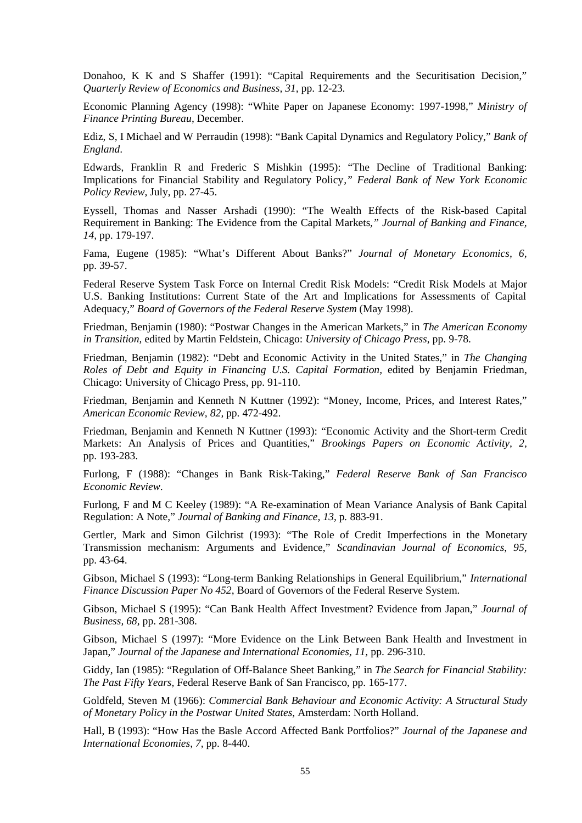Donahoo, K K and S Shaffer (1991): "Capital Requirements and the Securitisation Decision," *Quarterly Review of Economics and Business, 31,* pp. 12-23.

Economic Planning Agency (1998): "White Paper on Japanese Economy: 1997-1998," *Ministry of Finance Printing Bureau*, December.

Ediz, S, I Michael and W Perraudin (1998): "Bank Capital Dynamics and Regulatory Policy," *Bank of England*.

Edwards, Franklin R and Frederic S Mishkin (1995): "The Decline of Traditional Banking: Implications for Financial Stability and Regulatory Policy*," Federal Bank of New York Economic Policy Review,* July, pp. 27-45.

Eyssell, Thomas and Nasser Arshadi (1990): "The Wealth Effects of the Risk-based Capital Requirement in Banking: The Evidence from the Capital Markets*," Journal of Banking and Finance, 14,* pp. 179-197.

Fama, Eugene (1985): "What's Different About Banks?" *Journal of Monetary Economics, 6,* pp. 39-57.

Federal Reserve System Task Force on Internal Credit Risk Models: "Credit Risk Models at Major U.S. Banking Institutions: Current State of the Art and Implications for Assessments of Capital Adequacy," *Board of Governors of the Federal Reserve System* (May 1998).

Friedman, Benjamin (1980): "Postwar Changes in the American Markets," in *The American Economy in Transition,* edited by Martin Feldstein, Chicago: *University of Chicago Press*, pp. 9-78.

Friedman, Benjamin (1982): "Debt and Economic Activity in the United States," in *The Changing Roles of Debt and Equity in Financing U.S. Capital Formation,* edited by Benjamin Friedman, Chicago: University of Chicago Press, pp. 91-110.

Friedman, Benjamin and Kenneth N Kuttner (1992): "Money, Income, Prices, and Interest Rates," *American Economic Review, 82,* pp. 472-492.

Friedman, Benjamin and Kenneth N Kuttner (1993): "Economic Activity and the Short-term Credit Markets: An Analysis of Prices and Quantities," *Brookings Papers on Economic Activity, 2,* pp. 193-283.

Furlong, F (1988): "Changes in Bank Risk-Taking," *Federal Reserve Bank of San Francisco Economic Review*.

Furlong, F and M C Keeley (1989): "A Re-examination of Mean Variance Analysis of Bank Capital Regulation: A Note," *Journal of Banking and Finance, 13,* p*.* 883-91.

Gertler, Mark and Simon Gilchrist (1993): "The Role of Credit Imperfections in the Monetary Transmission mechanism: Arguments and Evidence," *Scandinavian Journal of Economics*, *95,* pp. 43-64.

Gibson, Michael S (1993): "Long-term Banking Relationships in General Equilibrium," *International Finance Discussion Paper No 452*, Board of Governors of the Federal Reserve System.

Gibson, Michael S (1995): "Can Bank Health Affect Investment? Evidence from Japan," *Journal of Business, 68,* pp. 281-308.

Gibson, Michael S (1997): "More Evidence on the Link Between Bank Health and Investment in Japan," *Journal of the Japanese and International Economies, 11,* pp. 296-310.

Giddy, Ian (1985): "Regulation of Off-Balance Sheet Banking," in *The Search for Financial Stability: The Past Fifty Years,* Federal Reserve Bank of San Francisco, pp. 165-177.

Goldfeld, Steven M (1966): *Commercial Bank Behaviour and Economic Activity: A Structural Study of Monetary Policy in the Postwar United States*, Amsterdam: North Holland.

Hall, B (1993): "How Has the Basle Accord Affected Bank Portfolios?" *Journal of the Japanese and International Economies*, *7,* pp. 8-440.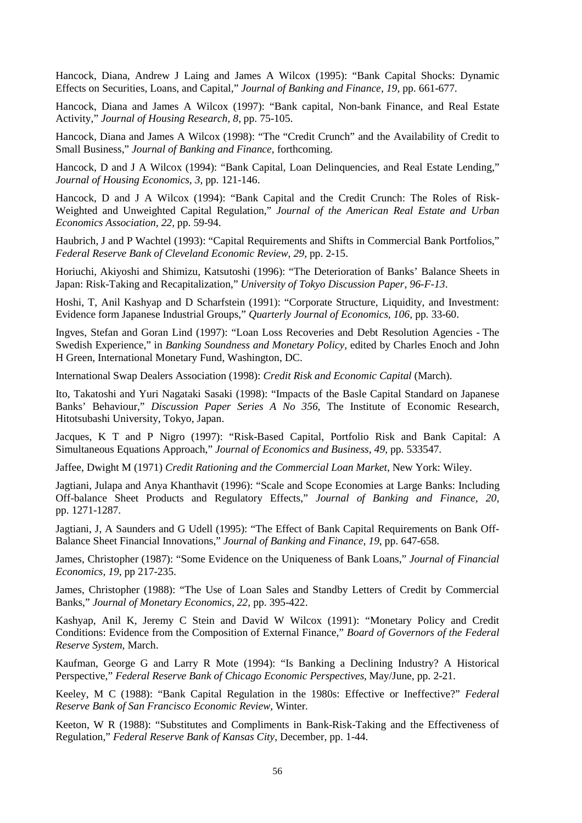Hancock, Diana, Andrew J Laing and James A Wilcox (1995): "Bank Capital Shocks: Dynamic Effects on Securities, Loans, and Capital," *Journal of Banking and Finance*, *19,* pp. 661-677.

Hancock, Diana and James A Wilcox (1997): "Bank capital, Non-bank Finance, and Real Estate Activity," *Journal of Housing Research, 8,* pp. 75-105.

Hancock, Diana and James A Wilcox (1998): "The "Credit Crunch" and the Availability of Credit to Small Business," *Journal of Banking and Finance,* forthcoming.

Hancock, D and J A Wilcox (1994): "Bank Capital, Loan Delinquencies, and Real Estate Lending," *Journal of Housing Economics, 3,* pp. 121-146.

Hancock, D and J A Wilcox (1994): "Bank Capital and the Credit Crunch: The Roles of Risk-Weighted and Unweighted Capital Regulation," *Journal of the American Real Estate and Urban Economics Association, 22,* pp. 59-94.

Haubrich, J and P Wachtel (1993): "Capital Requirements and Shifts in Commercial Bank Portfolios," *Federal Reserve Bank of Cleveland Economic Review, 29,* pp. 2-15.

Horiuchi, Akiyoshi and Shimizu, Katsutoshi (1996): "The Deterioration of Banks' Balance Sheets in Japan: Risk-Taking and Recapitalization," *University of Tokyo Discussion Paper*, *96-F-13*.

Hoshi, T, Anil Kashyap and D Scharfstein (1991): "Corporate Structure, Liquidity, and Investment: Evidence form Japanese Industrial Groups," *Quarterly Journal of Economics, 106,* pp. 33-60.

Ingves, Stefan and Goran Lind (1997): "Loan Loss Recoveries and Debt Resolution Agencies - The Swedish Experience," in *Banking Soundness and Monetary Policy,* edited by Charles Enoch and John H Green, International Monetary Fund, Washington, DC.

International Swap Dealers Association (1998): *Credit Risk and Economic Capital* (March).

Ito, Takatoshi and Yuri Nagataki Sasaki (1998): "Impacts of the Basle Capital Standard on Japanese Banks' Behaviour," *Discussion Paper Series A No 356,* The Institute of Economic Research, Hitotsubashi University, Tokyo, Japan.

Jacques, K T and P Nigro (1997): "Risk-Based Capital, Portfolio Risk and Bank Capital: A Simultaneous Equations Approach," *Journal of Economics and Business*, *49,* pp. 533547.

Jaffee, Dwight M (1971) *Credit Rationing and the Commercial Loan Market*, New York: Wiley.

Jagtiani, Julapa and Anya Khanthavit (1996): "Scale and Scope Economies at Large Banks: Including Off-balance Sheet Products and Regulatory Effects," *Journal of Banking and Finance, 20,* pp. 1271-1287.

Jagtiani, J, A Saunders and G Udell (1995): "The Effect of Bank Capital Requirements on Bank Off-Balance Sheet Financial Innovations," *Journal of Banking and Finance, 19,* pp. 647-658.

James, Christopher (1987): "Some Evidence on the Uniqueness of Bank Loans," *Journal of Financial Economics, 19,* pp 217-235.

James, Christopher (1988): "The Use of Loan Sales and Standby Letters of Credit by Commercial Banks," *Journal of Monetary Economics, 22,* pp. 395-422.

Kashyap, Anil K, Jeremy C Stein and David W Wilcox (1991): "Monetary Policy and Credit Conditions: Evidence from the Composition of External Finance," *Board of Governors of the Federal Reserve System*, March.

Kaufman, George G and Larry R Mote (1994): "Is Banking a Declining Industry? A Historical Perspective," *Federal Reserve Bank of Chicago Economic Perspectives*, May/June, pp. 2-21.

Keeley, M C (1988): "Bank Capital Regulation in the 1980s: Effective or Ineffective?" *Federal Reserve Bank of San Francisco Economic Review,* Winter*.*

Keeton, W R (1988): "Substitutes and Compliments in Bank-Risk-Taking and the Effectiveness of Regulation," *Federal Reserve Bank of Kansas City*, December, pp. 1-44.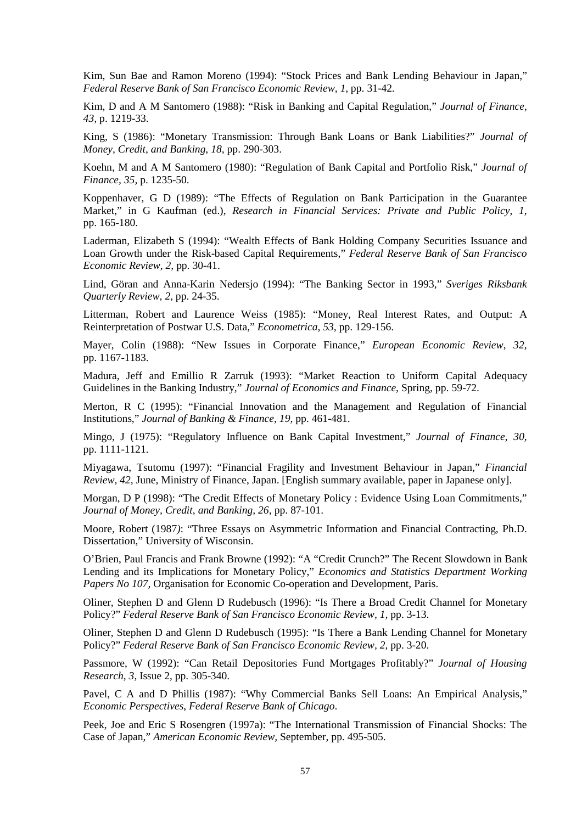Kim, Sun Bae and Ramon Moreno (1994): "Stock Prices and Bank Lending Behaviour in Japan," *Federal Reserve Bank of San Francisco Economic Review, 1,* pp. 31-42.

Kim, D and A M Santomero (1988): "Risk in Banking and Capital Regulation," *Journal of Finance, 43,* p. 1219-33.

King, S (1986): "Monetary Transmission: Through Bank Loans or Bank Liabilities?" *Journal of Money, Credit, and Banking*, *18,* pp. 290-303.

Koehn, M and A M Santomero (1980): "Regulation of Bank Capital and Portfolio Risk," *Journal of Finance, 35,* p. 1235-50.

Koppenhaver, G D (1989): "The Effects of Regulation on Bank Participation in the Guarantee Market," in G Kaufman (ed.), *Research in Financial Services: Private and Public Policy*, *1,* pp. 165-180.

Laderman, Elizabeth S (1994): "Wealth Effects of Bank Holding Company Securities Issuance and Loan Growth under the Risk-based Capital Requirements," *Federal Reserve Bank of San Francisco Economic Review*, *2,* pp. 30-41.

Lind, Göran and Anna-Karin Nedersjo (1994): "The Banking Sector in 1993," *Sveriges Riksbank Quarterly Review*, *2,* pp. 24-35.

Litterman, Robert and Laurence Weiss (1985): "Money, Real Interest Rates, and Output: A Reinterpretation of Postwar U.S. Data," *Econometrica*, *53,* pp. 129-156.

Mayer, Colin (1988): "New Issues in Corporate Finance," *European Economic Review*, *32,* pp. 1167-1183.

Madura, Jeff and Emillio R Zarruk (1993): "Market Reaction to Uniform Capital Adequacy Guidelines in the Banking Industry," *Journal of Economics and Finance*, Spring, pp. 59-72.

Merton, R C (1995): "Financial Innovation and the Management and Regulation of Financial Institutions," *Journal of Banking & Finance*, *19,* pp. 461-481.

Mingo, J (1975): "Regulatory Influence on Bank Capital Investment," *Journal of Finance*, *30,* pp. 1111-1121.

Miyagawa, Tsutomu (1997): "Financial Fragility and Investment Behaviour in Japan," *Financial Review, 42,* June, Ministry of Finance, Japan. [English summary available, paper in Japanese only].

Morgan, D P (1998): "The Credit Effects of Monetary Policy : Evidence Using Loan Commitments," *Journal of Money, Credit, and Banking, 26,* pp. 87-101.

Moore, Robert (1987*)*: "Three Essays on Asymmetric Information and Financial Contracting, Ph.D. Dissertation," University of Wisconsin.

O'Brien, Paul Francis and Frank Browne (1992): "A "Credit Crunch?" The Recent Slowdown in Bank Lending and its Implications for Monetary Policy," *Economics and Statistics Department Working Papers No 107,* Organisation for Economic Co-operation and Development, Paris.

Oliner, Stephen D and Glenn D Rudebusch (1996): "Is There a Broad Credit Channel for Monetary Policy?" *Federal Reserve Bank of San Francisco Economic Review, 1,* pp. 3-13.

Oliner, Stephen D and Glenn D Rudebusch (1995): "Is There a Bank Lending Channel for Monetary Policy?" *Federal Reserve Bank of San Francisco Economic Review, 2,* pp. 3-20.

Passmore, W (1992): "Can Retail Depositories Fund Mortgages Profitably?" *Journal of Housing Research*, *3,* Issue 2, pp. 305-340.

Pavel, C A and D Phillis (1987): "Why Commercial Banks Sell Loans: An Empirical Analysis," *Economic Perspectives*, *Federal Reserve Bank of Chicago*.

Peek, Joe and Eric S Rosengren (1997a): "The International Transmission of Financial Shocks: The Case of Japan," *American Economic Review,* September, pp. 495-505.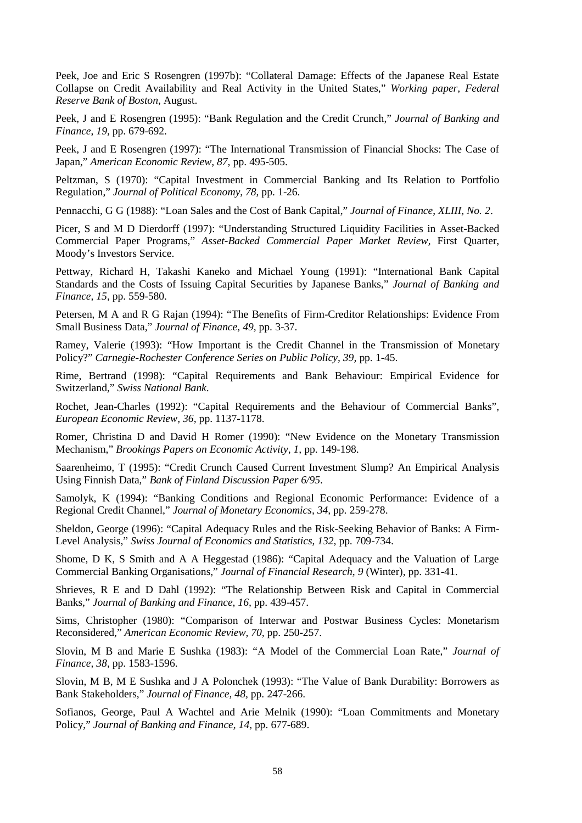Peek, Joe and Eric S Rosengren (1997b): "Collateral Damage: Effects of the Japanese Real Estate Collapse on Credit Availability and Real Activity in the United States," *Working paper, Federal Reserve Bank of Boston*, August.

Peek, J and E Rosengren (1995): "Bank Regulation and the Credit Crunch," *Journal of Banking and Finance*, *19,* pp. 679-692.

Peek, J and E Rosengren (1997): "The International Transmission of Financial Shocks: The Case of Japan," *American Economic Review, 87,* pp. 495-505.

Peltzman, S (1970): "Capital Investment in Commercial Banking and Its Relation to Portfolio Regulation," *Journal of Political Economy*, *78*, pp. 1-26.

Pennacchi, G G (1988): "Loan Sales and the Cost of Bank Capital," *Journal of Finance*, *XLIII, No. 2*.

Picer, S and M D Dierdorff (1997): "Understanding Structured Liquidity Facilities in Asset-Backed Commercial Paper Programs," *Asset-Backed Commercial Paper Market Review,* First Quarter, Moody's Investors Service.

Pettway, Richard H, Takashi Kaneko and Michael Young (1991): "International Bank Capital Standards and the Costs of Issuing Capital Securities by Japanese Banks," *Journal of Banking and Finance, 15,* pp. 559-580.

Petersen, M A and R G Rajan (1994): "The Benefits of Firm-Creditor Relationships: Evidence From Small Business Data," *Journal of Finance, 49,* pp. 3-37.

Ramey, Valerie (1993): "How Important is the Credit Channel in the Transmission of Monetary Policy?" *Carnegie-Rochester Conference Series on Public Policy, 39,* pp. 1-45.

Rime, Bertrand (1998): "Capital Requirements and Bank Behaviour: Empirical Evidence for Switzerland," *Swiss National Bank*.

Rochet, Jean-Charles (1992): "Capital Requirements and the Behaviour of Commercial Banks", *European Economic Review, 36,* pp. 1137-1178.

Romer, Christina D and David H Romer (1990): "New Evidence on the Monetary Transmission Mechanism," *Brookings Papers on Economic Activity, 1,* pp. 149-198.

Saarenheimo, T (1995): "Credit Crunch Caused Current Investment Slump? An Empirical Analysis Using Finnish Data," *Bank of Finland Discussion Paper 6/95*.

Samolyk, K (1994): "Banking Conditions and Regional Economic Performance: Evidence of a Regional Credit Channel," *Journal of Monetary Economics, 34,* pp. 259-278.

Sheldon, George (1996): "Capital Adequacy Rules and the Risk-Seeking Behavior of Banks: A Firm-Level Analysis," *Swiss Journal of Economics and Statistics*, *132,* pp. 709-734.

Shome, D K, S Smith and A A Heggestad (1986): "Capital Adequacy and the Valuation of Large Commercial Banking Organisations," *Journal of Financial Research, 9* (Winter), pp. 331-41.

Shrieves, R E and D Dahl (1992): "The Relationship Between Risk and Capital in Commercial Banks," *Journal of Banking and Finance*, *16,* pp. 439-457.

Sims, Christopher (1980): "Comparison of Interwar and Postwar Business Cycles: Monetarism Reconsidered," *American Economic Review*, *70,* pp. 250-257.

Slovin, M B and Marie E Sushka (1983): "A Model of the Commercial Loan Rate," *Journal of Finance, 38,* pp. 1583-1596.

Slovin, M B, M E Sushka and J A Polonchek (1993): "The Value of Bank Durability: Borrowers as Bank Stakeholders," *Journal of Finance, 48,* pp. 247-266.

Sofianos, George, Paul A Wachtel and Arie Melnik (1990): "Loan Commitments and Monetary Policy," *Journal of Banking and Finance, 14,* pp. 677-689.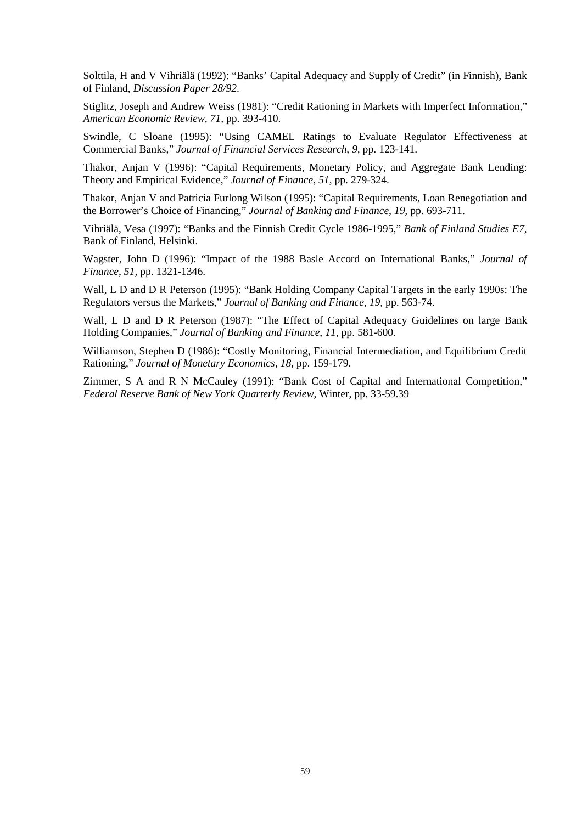Solttila, H and V Vihriälä (1992): "Banks' Capital Adequacy and Supply of Credit" (in Finnish), Bank of Finland, *Discussion Paper 28/92*.

Stiglitz, Joseph and Andrew Weiss (1981): "Credit Rationing in Markets with Imperfect Information," *American Economic Review, 71,* pp. 393-410.

Swindle, C Sloane (1995): "Using CAMEL Ratings to Evaluate Regulator Effectiveness at Commercial Banks," *Journal of Financial Services Research*, *9,* pp. 123-141.

Thakor, Anjan V (1996): "Capital Requirements, Monetary Policy, and Aggregate Bank Lending: Theory and Empirical Evidence," *Journal of Finance*, *51,* pp. 279-324.

Thakor, Anjan V and Patricia Furlong Wilson (1995): "Capital Requirements, Loan Renegotiation and the Borrower's Choice of Financing," *Journal of Banking and Finance*, *19,* pp. 693-711.

Vihriälä, Vesa (1997): "Banks and the Finnish Credit Cycle 1986-1995," *Bank of Finland Studies E7*, Bank of Finland, Helsinki.

Wagster, John D (1996): "Impact of the 1988 Basle Accord on International Banks," *Journal of Finance*, *51,* pp. 1321-1346.

Wall, L D and D R Peterson (1995): "Bank Holding Company Capital Targets in the early 1990s: The Regulators versus the Markets," *Journal of Banking and Finance, 19,* pp. 563-74.

Wall, L D and D R Peterson (1987): "The Effect of Capital Adequacy Guidelines on large Bank Holding Companies," *Journal of Banking and Finance*, *11,* pp. 581-600.

Williamson, Stephen D (1986): "Costly Monitoring, Financial Intermediation, and Equilibrium Credit Rationing," *Journal of Monetary Economics, 18,* pp. 159-179.

Zimmer, S A and R N McCauley (1991): "Bank Cost of Capital and International Competition," *Federal Reserve Bank of New York Quarterly Review*, Winter, pp. 33-59.39